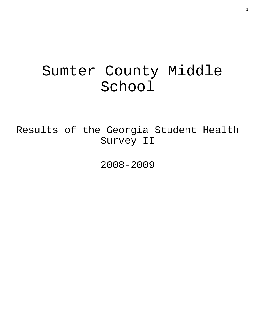# Sumter County Middle School

Results of the Georgia Student Health Survey II

2008-2009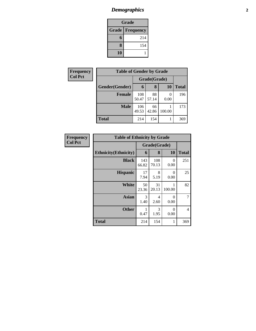# *Demographics* **2**

| Grade                    |     |  |  |  |
|--------------------------|-----|--|--|--|
| <b>Grade   Frequency</b> |     |  |  |  |
| 6                        | 214 |  |  |  |
| 8                        | 154 |  |  |  |
| 10                       |     |  |  |  |

| Frequency      |                |              | <b>Table of Gender by Grade</b> |           |              |
|----------------|----------------|--------------|---------------------------------|-----------|--------------|
| <b>Col Pct</b> |                | Grade(Grade) |                                 |           |              |
|                | Gender(Gender) | 6            | 8                               | <b>10</b> | <b>Total</b> |
|                | <b>Female</b>  | 108<br>50.47 | 88<br>57.14                     | 0<br>0.00 | 196          |
|                | <b>Male</b>    | 106<br>49.53 | 66<br>42.86                     | 100.00    | 173          |
|                | <b>Total</b>   | 214          | 154                             |           | 369          |

| Frequency      | <b>Table of Ethnicity by Grade</b> |              |              |                  |                |
|----------------|------------------------------------|--------------|--------------|------------------|----------------|
| <b>Col Pct</b> |                                    |              | Grade(Grade) |                  |                |
|                | <b>Ethnicity</b> (Ethnicity)       | 6            | 8            | 10               | <b>Total</b>   |
|                | <b>Black</b>                       | 143<br>66.82 | 108<br>70.13 | $\theta$<br>0.00 | 251            |
|                | <b>Hispanic</b>                    | 17<br>7.94   | 8<br>5.19    | $\Omega$<br>0.00 | 25             |
|                | <b>White</b>                       | 50<br>23.36  | 31<br>20.13  | 100.00           | 82             |
|                | <b>Asian</b>                       | 3<br>1.40    | 4<br>2.60    | $\theta$<br>0.00 | 7              |
|                | <b>Other</b>                       | 1<br>0.47    | 3<br>1.95    | $\Omega$<br>0.00 | $\overline{4}$ |
|                | <b>Total</b>                       | 214          | 154          |                  | 369            |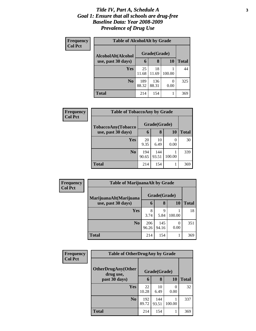#### *Title IV, Part A, Schedule A* **3** *Goal 1: Ensure that all schools are drug-free Baseline Data: Year 2008-2009 Prevalence of Drug Use*

| Frequency      | <b>Table of AlcoholAlt by Grade</b> |              |              |           |       |  |
|----------------|-------------------------------------|--------------|--------------|-----------|-------|--|
| <b>Col Pct</b> | AlcoholAlt(Alcohol                  |              | Grade(Grade) |           |       |  |
|                | use, past 30 days)                  | 6            | 8            | <b>10</b> | Total |  |
|                | <b>Yes</b>                          | 25<br>11.68  | 18<br>11.69  | 100.00    | 44    |  |
|                | N <sub>0</sub>                      | 189<br>88.32 | 136<br>88.31 | 0<br>0.00 | 325   |  |
|                | <b>Total</b>                        | 214          | 154          |           | 369   |  |

| Frequency<br><b>Col Pct</b> | <b>Table of TobaccoAny by Grade</b> |              |              |           |              |
|-----------------------------|-------------------------------------|--------------|--------------|-----------|--------------|
|                             | TobaccoAny(Tobacco                  | Grade(Grade) |              |           |              |
|                             | use, past 30 days)                  | 6            | 8            | <b>10</b> | <b>Total</b> |
|                             | <b>Yes</b>                          | 20<br>9.35   | 10<br>6.49   | 0<br>0.00 | 30           |
|                             | N <sub>0</sub>                      | 194<br>90.65 | 144<br>93.51 | 100.00    | 339          |
|                             | <b>Total</b>                        | 214          | 154          |           | 369          |

| <b>Frequency</b><br><b>Col Pct</b> | <b>Table of MarijuanaAlt by Grade</b> |              |              |           |              |
|------------------------------------|---------------------------------------|--------------|--------------|-----------|--------------|
|                                    | MarijuanaAlt(Marijuana                | Grade(Grade) |              |           |              |
|                                    | use, past 30 days)                    | 6            | 8            | <b>10</b> | <b>Total</b> |
|                                    | Yes                                   | 8<br>3.74    | Q<br>5.84    | 100.00    | 18           |
|                                    | N <sub>o</sub>                        | 206<br>96.26 | 145<br>94.16 | 0.00      | 351          |
|                                    | <b>Total</b>                          | 214          | 154          |           | 369          |

| Frequency<br><b>Col Pct</b> | <b>Table of OtherDrugAny by Grade</b>  |              |              |        |              |
|-----------------------------|----------------------------------------|--------------|--------------|--------|--------------|
|                             | <b>OtherDrugAny(Other</b><br>drug use, |              | Grade(Grade) |        |              |
|                             | past 30 days)                          | 6            | 8            | 10     | <b>Total</b> |
|                             | <b>Yes</b>                             | 22<br>10.28  | 10<br>6.49   | 0.00   | 32           |
|                             | N <sub>0</sub>                         | 192<br>89.72 | 144<br>93.51 | 100.00 | 337          |
|                             | <b>Total</b>                           | 214          | 154          | 1      | 369          |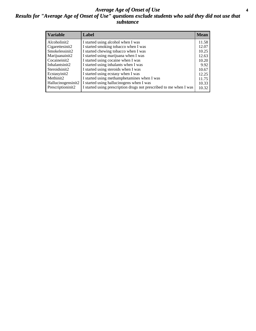#### *Average Age of Onset of Use* **4** *Results for "Average Age of Onset of Use" questions exclude students who said they did not use that substance*

| <b>Variable</b>    | Label                                                              | Mean  |
|--------------------|--------------------------------------------------------------------|-------|
| Alcoholinit2       | I started using alcohol when I was                                 | 11.58 |
| Cigarettesinit2    | I started smoking tobacco when I was                               | 12.07 |
| Smokelessinit2     | I started chewing tobacco when I was                               | 10.25 |
| Marijuanainit2     | I started using marijuana when I was                               | 12.63 |
| Cocaineinit2       | I started using cocaine when I was                                 | 10.20 |
| Inhalantsinit2     | I started using inhalants when I was                               | 9.92  |
| Steroidsinit2      | I started using steroids when I was                                | 10.67 |
| Ecstasyinit2       | I started using ecstasy when I was                                 | 12.25 |
| Methinit2          | I started using methamphetamines when I was                        | 11.75 |
| Hallucinogensinit2 | I started using hallucinogens when I was                           | 10.33 |
| Prescriptioninit2  | I started using prescription drugs not prescribed to me when I was | 10.32 |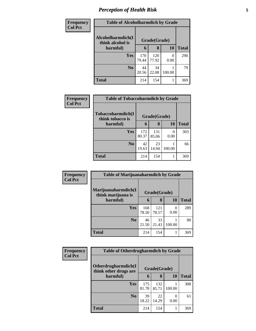# *Perception of Health Risk* **5**

| <b>Frequency</b> | <b>Table of Alcoholharmdich by Grade</b> |              |              |           |              |
|------------------|------------------------------------------|--------------|--------------|-----------|--------------|
| <b>Col Pct</b>   | Alcoholharmdich(I<br>think alcohol is    |              | Grade(Grade) |           |              |
|                  | harmful)                                 | 6            | 8            | 10        | <b>Total</b> |
|                  | Yes                                      | 170<br>79.44 | 120<br>77.92 | 0<br>0.00 | 290          |
|                  | N <sub>0</sub>                           | 44<br>20.56  | 34<br>22.08  | 100.00    | 79           |
|                  | <b>Total</b>                             | 214          | 154          | 1         | 369          |

| <b>Frequency</b> | <b>Table of Tobaccoharmdich by Grade</b> |              |              |                  |              |
|------------------|------------------------------------------|--------------|--------------|------------------|--------------|
| <b>Col Pct</b>   | Tobaccoharmdich(I<br>think tobacco is    | Grade(Grade) |              |                  |              |
|                  | harmful)                                 | 6            | 8            | 10               | <b>Total</b> |
|                  | Yes                                      | 172<br>80.37 | 131<br>85.06 | $\Omega$<br>0.00 | 303          |
|                  | N <sub>0</sub>                           | 42<br>19.63  | 23<br>14.94  | 100.00           | 66           |
|                  | <b>Total</b>                             | 214          | 154          |                  | 369          |

| Frequency      | <b>Table of Marijuanaharmdich by Grade</b> |              |              |           |              |
|----------------|--------------------------------------------|--------------|--------------|-----------|--------------|
| <b>Col Pct</b> | Marijuanaharmdich(I<br>think marijuana is  | Grade(Grade) |              |           |              |
|                | harmful)                                   | 6            | 8            | <b>10</b> | <b>Total</b> |
|                | Yes                                        | 168<br>78.50 | 121<br>78.57 | 0<br>0.00 | 289          |
|                | N <sub>0</sub>                             | 46<br>21.50  | 33<br>21.43  | 100.00    | 80           |
|                | <b>Total</b>                               | 214          | 154          |           | 369          |

| Frequency      | <b>Table of Otherdrugharmdich by Grade</b>   |              |              |                          |              |
|----------------|----------------------------------------------|--------------|--------------|--------------------------|--------------|
| <b>Col Pct</b> | Otherdrugharmdich(I<br>think other drugs are | Grade(Grade) |              |                          |              |
|                | harmful)                                     | 6            | 8            | <b>10</b>                | <b>Total</b> |
|                | <b>Yes</b>                                   | 175<br>81.78 | 132<br>85.71 | 100.00                   | 308          |
|                | N <sub>0</sub>                               | 39<br>18.22  | 22<br>14.29  | $\left( \right)$<br>0.00 | 61           |
|                | <b>Total</b>                                 | 214          | 154          |                          | 369          |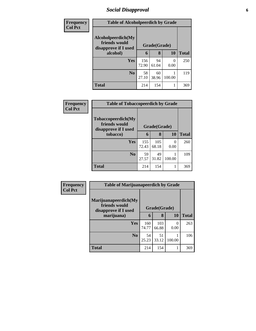# *Social Disapproval* **6**

| Frequency      | <b>Table of Alcoholpeerdich by Grade</b>                    |              |             |           |              |  |
|----------------|-------------------------------------------------------------|--------------|-------------|-----------|--------------|--|
| <b>Col Pct</b> | Alcoholpeerdich(My<br>friends would<br>disapprove if I used | Grade(Grade) |             |           |              |  |
|                | alcohol)                                                    | 6            | 8           | 10        | <b>Total</b> |  |
|                | <b>Yes</b>                                                  | 156<br>72.90 | 94<br>61.04 | 0<br>0.00 | 250          |  |
|                | N <sub>0</sub>                                              | 58<br>27.10  | 60<br>38.96 | 100.00    | 119          |  |
|                | <b>Total</b>                                                | 214          | 154         |           | 369          |  |

| Frequency<br>Col Pct | <b>Table of Tobaccopeerdich by Grade</b>                            |              |              |           |              |  |  |
|----------------------|---------------------------------------------------------------------|--------------|--------------|-----------|--------------|--|--|
|                      | <b>Tobaccopeerdich</b> (My<br>friends would<br>disapprove if I used | Grade(Grade) |              |           |              |  |  |
|                      | tobacco)                                                            | 6            | 8            | 10        | <b>Total</b> |  |  |
|                      | <b>Yes</b>                                                          | 155<br>72.43 | 105<br>68.18 | 0<br>0.00 | 260          |  |  |
|                      | N <sub>0</sub>                                                      | 59<br>27.57  | 49<br>31.82  | 100.00    | 109          |  |  |
|                      | <b>Total</b>                                                        | 214          | 154          |           | 369          |  |  |

| Frequency      | <b>Table of Marijuanapeerdich by Grade</b>                    |              |              |           |              |  |
|----------------|---------------------------------------------------------------|--------------|--------------|-----------|--------------|--|
| <b>Col Pct</b> | Marijuanapeerdich(My<br>friends would<br>disapprove if I used | Grade(Grade) |              |           |              |  |
|                | marijuana)                                                    | 6            | 8            | <b>10</b> | <b>Total</b> |  |
|                | <b>Yes</b>                                                    | 160<br>74.77 | 103<br>66.88 | 0<br>0.00 | 263          |  |
|                | N <sub>0</sub>                                                | 54<br>25.23  | 51<br>33.12  | 100.00    | 106          |  |
|                | <b>Total</b>                                                  | 214          | 154          |           | 369          |  |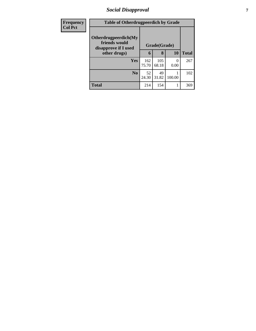# *Social Disapproval* **7**

| <b>Frequency</b> |                                                               | <b>Table of Otherdrugpeerdich by Grade</b> |              |           |              |  |
|------------------|---------------------------------------------------------------|--------------------------------------------|--------------|-----------|--------------|--|
| <b>Col Pct</b>   | Otherdrugpeerdich(My<br>friends would<br>disapprove if I used | Grade(Grade)                               |              |           |              |  |
|                  | other drugs)                                                  | 6                                          | 8            | 10        | <b>Total</b> |  |
|                  | Yes                                                           | 162<br>75.70                               | 105<br>68.18 | 0<br>0.00 | 267          |  |
|                  | N <sub>0</sub>                                                | 52<br>24.30                                | 49<br>31.82  | 100.00    | 102          |  |
|                  | <b>Total</b>                                                  | 214                                        | 154          |           | 369          |  |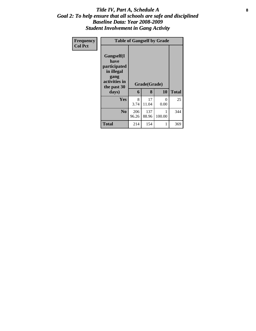#### Title IV, Part A, Schedule A **8** *Goal 2: To help ensure that all schools are safe and disciplined Baseline Data: Year 2008-2009 Student Involvement in Gang Activity*

| Frequency<br><b>Col Pct</b> | <b>Table of Gangself by Grade</b>                                                                 |              |                   |             |              |
|-----------------------------|---------------------------------------------------------------------------------------------------|--------------|-------------------|-------------|--------------|
|                             | Gangself(I<br>have<br>participated<br>in illegal<br>gang<br>activities in<br>the past 30<br>days) | 6            | Grade(Grade)<br>8 | 10          | <b>Total</b> |
|                             | Yes                                                                                               | 8<br>3.74    | 17<br>11.04       | 0<br>0.00   | 25           |
|                             | N <sub>0</sub>                                                                                    | 206<br>96.26 | 137<br>88.96      | 1<br>100.00 | 344          |
|                             | <b>Total</b>                                                                                      | 214          | 154               | 1           | 369          |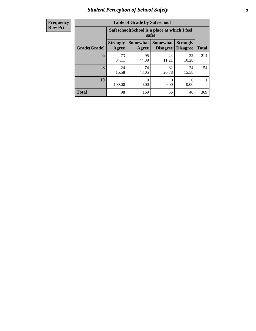# *Student Perception of School Safety* **9**

| Frequency      |
|----------------|
|                |
| <b>Row Pct</b> |
|                |

| <b>Table of Grade by Safeschool</b> |                          |                                                        |                                    |                                    |              |  |  |  |  |
|-------------------------------------|--------------------------|--------------------------------------------------------|------------------------------------|------------------------------------|--------------|--|--|--|--|
|                                     |                          | Safeschool (School is a place at which I feel<br>safe) |                                    |                                    |              |  |  |  |  |
| Grade(Grade)                        | <b>Strongly</b><br>Agree | <b>Somewhat</b><br>Agree                               | <b>Somewhat</b><br><b>Disagree</b> | <b>Strongly</b><br><b>Disagree</b> | <b>Total</b> |  |  |  |  |
| 6                                   | 73<br>34.11              | 95<br>44.39                                            | 24<br>11.21                        | 22<br>10.28                        | 214          |  |  |  |  |
| 8                                   | 24<br>15.58              | 74<br>48.05                                            | 32<br>20.78                        | 24<br>15.58                        | 154          |  |  |  |  |
| <b>10</b>                           | 100.00                   | 0<br>0.00                                              | 0<br>0.00                          | 0<br>0.00                          |              |  |  |  |  |
| <b>Total</b>                        | 98                       | 169                                                    | 56                                 | 46                                 | 369          |  |  |  |  |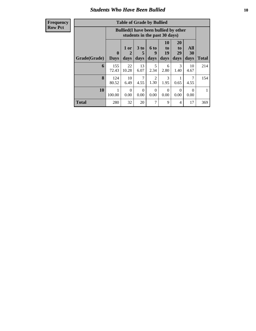## *Students Who Have Been Bullied* **10**

| <b>Table of Grade by Bullied</b> |                         |                                                                               |                   |                          |                        |                               |                   |              |  |
|----------------------------------|-------------------------|-------------------------------------------------------------------------------|-------------------|--------------------------|------------------------|-------------------------------|-------------------|--------------|--|
|                                  |                         | <b>Bullied</b> (I have been bullied by other<br>students in the past 30 days) |                   |                          |                        |                               |                   |              |  |
| Grade(Grade)                     | $\bf{0}$<br><b>Days</b> | 1 or<br>2<br>days                                                             | 3 to<br>5<br>days | <b>6 to</b><br>9<br>days | 10<br>to<br>19<br>days | <b>20</b><br>to<br>29<br>days | All<br>30<br>days | <b>Total</b> |  |
| 6                                | 155<br>72.43            | 22<br>10.28                                                                   | 13<br>6.07        | 5<br>2.34                | 6<br>2.80              | 3<br>1.40                     | 10<br>4.67        | 214          |  |
| 8                                | 124<br>80.52            | 10<br>6.49                                                                    | 7<br>4.55         | $\overline{2}$<br>1.30   | 3<br>1.95              | 0.65                          | 7<br>4.55         | 154          |  |
| 10                               | 1<br>100.00             | $\Omega$<br>0.00                                                              | $\Omega$<br>0.00  | $\Omega$<br>0.00         | $\Omega$<br>0.00       | 0<br>0.00                     | 0<br>0.00         | 1            |  |
| <b>Total</b>                     | 280                     | 32                                                                            | 20                | 7                        | 9                      | 4                             | 17                | 369          |  |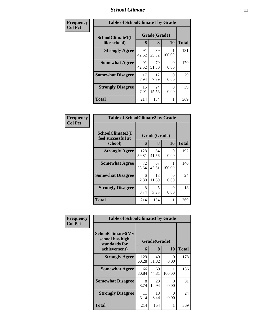## *School Climate* **11**

| Frequency      | <b>Table of SchoolClimate1 by Grade</b> |             |                    |           |     |  |
|----------------|-----------------------------------------|-------------|--------------------|-----------|-----|--|
| <b>Col Pct</b> | SchoolClimate1(I<br>like school)        | 6           | Grade(Grade)<br>10 | Total     |     |  |
|                | <b>Strongly Agree</b>                   | 91<br>42.52 | 8<br>39<br>25.32   | 100.00    | 131 |  |
|                | <b>Somewhat Agree</b>                   | 91<br>42.52 | 79<br>51.30        | 0<br>0.00 | 170 |  |
|                | <b>Somewhat Disagree</b>                | 17<br>7.94  | 12<br>7.79         | 0<br>0.00 | 29  |  |
|                | <b>Strongly Disagree</b>                | 15<br>7.01  | 24<br>15.58        | 0<br>0.00 | 39  |  |
|                | <b>Total</b>                            | 214         | 154                |           | 369 |  |

| Frequency      | <b>Table of SchoolClimate2 by Grade</b>           |              |                   |           |              |
|----------------|---------------------------------------------------|--------------|-------------------|-----------|--------------|
| <b>Col Pct</b> | SchoolClimate2(I<br>feel successful at<br>school) | 6            | Grade(Grade)<br>8 | 10        | <b>Total</b> |
|                | <b>Strongly Agree</b>                             | 128<br>59.81 | 64<br>41.56       | 0<br>0.00 | 192          |
|                | <b>Somewhat Agree</b>                             | 72<br>33.64  | 67<br>43.51       | 100.00    | 140          |
|                | <b>Somewhat Disagree</b>                          | 6<br>2.80    | 18<br>11.69       | 0<br>0.00 | 24           |
|                | <b>Strongly Disagree</b>                          | 8<br>3.74    | 5<br>3.25         | ∩<br>0.00 | 13           |
|                | <b>Total</b>                                      | 214          | 154               | 1         | 369          |

| Frequency<br>Col Pct | <b>Table of SchoolClimate3 by Grade</b>                               |              |                   |                  |              |  |
|----------------------|-----------------------------------------------------------------------|--------------|-------------------|------------------|--------------|--|
|                      | SchoolClimate3(My<br>school has high<br>standards for<br>achievement) | 6            | Grade(Grade)<br>8 | 10               | <b>Total</b> |  |
|                      | <b>Strongly Agree</b>                                                 | 129<br>60.28 | 49<br>31.82       | $\Omega$<br>0.00 | 178          |  |
|                      | <b>Somewhat Agree</b>                                                 | 66<br>30.84  | 69<br>44.81       | 100.00           | 136          |  |
|                      | <b>Somewhat Disagree</b>                                              | 8<br>3.74    | 23<br>14.94       | 0<br>0.00        | 31           |  |
|                      | <b>Strongly Disagree</b>                                              | 11<br>5.14   | 13<br>8.44        | 0<br>0.00        | 24           |  |
|                      | <b>Total</b>                                                          | 214          | 154               | 1                | 369          |  |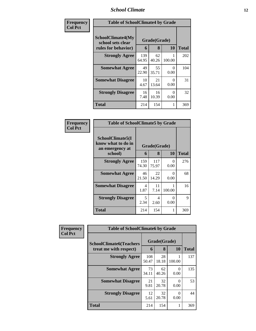# *School Climate* **12**

| Frequency      | <b>Table of SchoolClimate4 by Grade</b>                       |              |                   |           |              |
|----------------|---------------------------------------------------------------|--------------|-------------------|-----------|--------------|
| <b>Col Pct</b> | SchoolClimate4(My<br>school sets clear<br>rules for behavior) | 6            | Grade(Grade)<br>8 | <b>10</b> | <b>Total</b> |
|                | <b>Strongly Agree</b>                                         | 139<br>64.95 | 62<br>40.26       | 100.00    | 202          |
|                | <b>Somewhat Agree</b>                                         | 49<br>22.90  | 55<br>35.71       | 0<br>0.00 | 104          |
|                | <b>Somewhat Disagree</b>                                      | 10<br>4.67   | 21<br>13.64       | 0<br>0.00 | 31           |
|                | <b>Strongly Disagree</b>                                      | 16<br>7.48   | 16<br>10.39       | 0<br>0.00 | 32           |
|                | Total                                                         | 214          | 154               | 1         | 369          |

| Frequency<br>  Col Pct |
|------------------------|
|                        |

| <b>Table of SchoolClimate5 by Grade</b>                   |              |              |           |       |  |  |  |
|-----------------------------------------------------------|--------------|--------------|-----------|-------|--|--|--|
| SchoolClimate5(I<br>know what to do in<br>an emergency at |              | Grade(Grade) |           |       |  |  |  |
| school)                                                   | 6            | 8            | 10        | Total |  |  |  |
| <b>Strongly Agree</b>                                     | 159<br>74.30 | 117<br>75.97 | 0<br>0.00 | 276   |  |  |  |
| <b>Somewhat Agree</b>                                     | 46<br>21.50  | 22<br>14.29  | 0<br>0.00 | 68    |  |  |  |
| <b>Somewhat Disagree</b>                                  | 4<br>1.87    | 11<br>7.14   | 100.00    | 16    |  |  |  |
| <b>Strongly Disagree</b>                                  | 5<br>2.34    | 4<br>2.60    | 0<br>0.00 | 9     |  |  |  |
| Total                                                     | 214          | 154          | 1         | 369   |  |  |  |

| Frequency      | <b>Table of SchoolClimate6 by Grade</b>                  |              |                                     |           |                     |  |
|----------------|----------------------------------------------------------|--------------|-------------------------------------|-----------|---------------------|--|
| <b>Col Pct</b> | <b>SchoolClimate6(Teachers</b><br>treat me with respect) |              | Grade(Grade)<br><b>10</b><br>8<br>6 |           |                     |  |
|                | <b>Strongly Agree</b>                                    | 108<br>50.47 | 28<br>18.18                         | 100.00    | <b>Total</b><br>137 |  |
|                | <b>Somewhat Agree</b>                                    | 73<br>34.11  | 62<br>40.26                         | 0<br>0.00 | 135                 |  |
|                | <b>Somewhat Disagree</b>                                 | 21<br>9.81   | 32<br>20.78                         | ∩<br>0.00 | 53                  |  |
|                | <b>Strongly Disagree</b>                                 | 12<br>5.61   | 32<br>20.78                         | 0<br>0.00 | 44                  |  |
|                | <b>Total</b>                                             | 214          | 154                                 |           | 369                 |  |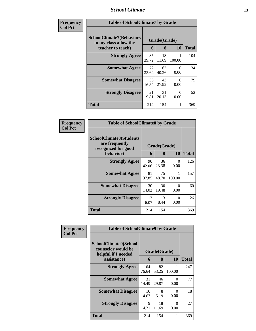## *School Climate* **13**

| Frequency<br><b>Col Pct</b> | <b>Table of SchoolClimate7 by Grade</b>                                       |             |                   |           |              |
|-----------------------------|-------------------------------------------------------------------------------|-------------|-------------------|-----------|--------------|
|                             | <b>SchoolClimate7(Behaviors</b><br>in my class allow the<br>teacher to teach) | 6           | Grade(Grade)<br>8 | 10        | <b>Total</b> |
|                             | <b>Strongly Agree</b>                                                         | 85<br>39.72 | 18<br>11.69       | 100.00    | 104          |
|                             | <b>Somewhat Agree</b>                                                         | 72<br>33.64 | 62<br>40.26       | 0<br>0.00 | 134          |
|                             | <b>Somewhat Disagree</b>                                                      | 36<br>16.82 | 43<br>27.92       | 0<br>0.00 | 79           |
|                             | <b>Strongly Disagree</b>                                                      | 21<br>9.81  | 31<br>20.13       | 0<br>0.00 | 52           |
|                             | <b>Total</b>                                                                  | 214         | 154               |           | 369          |

| Frequency      | <b>Table of SchoolClimate8 by Grade</b>                                              |             |                   |           |              |
|----------------|--------------------------------------------------------------------------------------|-------------|-------------------|-----------|--------------|
| <b>Col Pct</b> | <b>SchoolClimate8(Students</b><br>are frequently<br>recognized for good<br>behavior) | 6           | Grade(Grade)<br>8 | <b>10</b> | <b>Total</b> |
|                |                                                                                      |             |                   |           |              |
|                | <b>Strongly Agree</b>                                                                | 90<br>42.06 | 36<br>23.38       | 0<br>0.00 | 126          |
|                | <b>Somewhat Agree</b>                                                                | 81<br>37.85 | 75<br>48.70       | 100.00    | 157          |
|                | <b>Somewhat Disagree</b>                                                             | 30<br>14.02 | 30<br>19.48       | 0<br>0.00 | 60           |
|                | <b>Strongly Disagree</b>                                                             | 13<br>6.07  | 13<br>8.44        | ∩<br>0.00 | 26           |
|                | Total                                                                                | 214         | 154               |           | 369          |

| Frequency      | <b>Table of SchoolClimate9 by Grade</b>                                           |              |                   |                  |              |
|----------------|-----------------------------------------------------------------------------------|--------------|-------------------|------------------|--------------|
| <b>Col Pct</b> | SchoolClimate9(School<br>counselor would be<br>helpful if I needed<br>assistance) | 6            | Grade(Grade)<br>8 | 10               | <b>Total</b> |
|                | <b>Strongly Agree</b>                                                             | 164<br>76.64 | 82<br>53.25       | 100.00           | 247          |
|                | <b>Somewhat Agree</b>                                                             | 31<br>14.49  | 46<br>29.87       | 0<br>0.00        | 77           |
|                | <b>Somewhat Disagree</b>                                                          | 10<br>4.67   | 8<br>5.19         | 0<br>0.00        | 18           |
|                | <b>Strongly Disagree</b>                                                          | 9<br>4.21    | 18<br>11.69       | $\Omega$<br>0.00 | 27           |
|                | Total                                                                             | 214          | 154               |                  | 369          |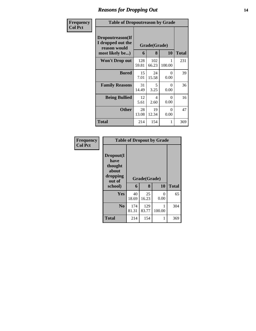## *Reasons for Dropping Out* **14**

| Frequency      | <b>Table of Dropoutreason by Grade</b>                                   |              |                   |                  |              |
|----------------|--------------------------------------------------------------------------|--------------|-------------------|------------------|--------------|
| <b>Col Pct</b> | Dropoutreason(If<br>I dropped out the<br>reason would<br>most likely be) | 6            | Grade(Grade)<br>8 | <b>10</b>        | <b>Total</b> |
|                | <b>Won't Drop out</b>                                                    | 128<br>59.81 | 102<br>66.23      | 1<br>100.00      | 231          |
|                | <b>Bored</b>                                                             | 15<br>7.01   | 24<br>15.58       | 0<br>0.00        | 39           |
|                | <b>Family Reasons</b>                                                    | 31<br>14.49  | 5<br>3.25         | $\Omega$<br>0.00 | 36           |
|                | <b>Being Bullied</b>                                                     | 12<br>5.61   | 4<br>2.60         | $\Omega$<br>0.00 | 16           |
|                | <b>Other</b>                                                             | 28<br>13.08  | 19<br>12.34       | 0<br>0.00        | 47           |
|                | Total                                                                    | 214          | 154               | 1                | 369          |

| Frequency      | <b>Table of Dropout by Grade</b>                                       |              |                   |           |              |  |  |
|----------------|------------------------------------------------------------------------|--------------|-------------------|-----------|--------------|--|--|
| <b>Col Pct</b> | Dropout(I<br>have<br>thought<br>about<br>dropping<br>out of<br>school) | 6            | Grade(Grade)<br>8 | 10        | <b>Total</b> |  |  |
|                | Yes                                                                    | 40<br>18.69  | 25<br>16.23       | 0<br>0.00 | 65           |  |  |
|                | N <sub>0</sub>                                                         | 174<br>81.31 | 129<br>83.77      | 100.00    | 304          |  |  |
|                | <b>Total</b>                                                           | 214          | 154               | 1         | 369          |  |  |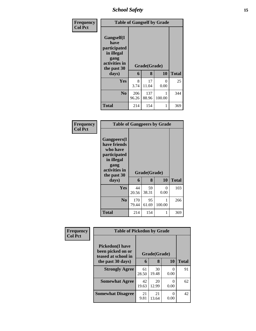*School Safety* **15**

| Frequency<br><b>Col Pct</b> | <b>Table of Gangself by Grade</b>                                                                |              |              |                      |              |
|-----------------------------|--------------------------------------------------------------------------------------------------|--------------|--------------|----------------------|--------------|
|                             | <b>Gangself</b> (I<br>have<br>participated<br>in illegal<br>gang<br>activities in<br>the past 30 |              | Grade(Grade) |                      |              |
|                             | days)                                                                                            | 6            | 8            | 10                   | <b>Total</b> |
|                             | Yes                                                                                              | 8<br>3.74    | 17<br>11.04  | $\mathbf{0}$<br>0.00 | 25           |
|                             | N <sub>0</sub>                                                                                   | 206<br>96.26 | 137<br>88.96 | 100.00               | 344          |
|                             | <b>Total</b>                                                                                     | 214          | 154          |                      | 369          |

#### **Frequency Col Pct**

| <b>Table of Gangpeers by Grade</b>                                                                     |              |              |             |              |  |  |  |
|--------------------------------------------------------------------------------------------------------|--------------|--------------|-------------|--------------|--|--|--|
| <b>Gangpeers</b> (I<br>have friends<br>who have<br>participated<br>in illegal<br>gang<br>activities in |              | Grade(Grade) |             |              |  |  |  |
| the past 30                                                                                            |              |              |             |              |  |  |  |
| days)                                                                                                  | 6            | 8            | 10          | <b>Total</b> |  |  |  |
| Yes                                                                                                    | 44<br>20.56  | 59<br>38.31  | 0<br>0.00   | 103          |  |  |  |
| N <sub>0</sub>                                                                                         | 170<br>79.44 | 95<br>61.69  | 1<br>100.00 | 266          |  |  |  |

| Frequency<br><b>Col Pct</b> | <b>Table of Pickedon by Grade</b>                                   |             |              |           |              |
|-----------------------------|---------------------------------------------------------------------|-------------|--------------|-----------|--------------|
|                             | <b>Pickedon</b> (I have<br>been picked on or<br>teased at school in |             | Grade(Grade) |           |              |
|                             | the past 30 days)                                                   | 6           | 8            | 10        | <b>Total</b> |
|                             | <b>Strongly Agree</b>                                               | 61<br>28.50 | 30<br>19.48  | 0<br>0.00 | 91           |
|                             | <b>Somewhat Agree</b>                                               | 42<br>19.63 | 20<br>12.99  | 0<br>0.00 | 62           |
|                             | <b>Somewhat Disagree</b>                                            | 21<br>9.81  | 21<br>13.64  | 0<br>0.00 | 42           |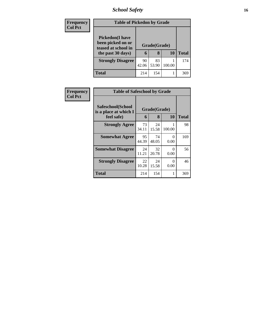# *School Safety* **16**

| Frequency<br><b>Col Pct</b> | <b>Table of Pickedon by Grade</b>                                                        |             |                   |        |              |
|-----------------------------|------------------------------------------------------------------------------------------|-------------|-------------------|--------|--------------|
|                             | <b>Pickedon</b> (I have<br>been picked on or<br>teased at school in<br>the past 30 days) | 6           | Grade(Grade)<br>8 | 10     | <b>Total</b> |
|                             | <b>Strongly Disagree</b>                                                                 | 90<br>42.06 | 83<br>53.90       | 100.00 | 174          |
|                             | Total                                                                                    | 214         | 154               |        | 369          |

| <b>Frequency</b> |                                                          | <b>Table of Safeschool by Grade</b> |                   |           |              |  |  |  |  |  |  |  |
|------------------|----------------------------------------------------------|-------------------------------------|-------------------|-----------|--------------|--|--|--|--|--|--|--|
| <b>Col Pct</b>   | Safeschool(School<br>is a place at which I<br>feel safe) | 6                                   | Grade(Grade)<br>8 | <b>10</b> | <b>Total</b> |  |  |  |  |  |  |  |
|                  | <b>Strongly Agree</b>                                    | 73<br>34.11                         | 24<br>15.58       | 100.00    | 98           |  |  |  |  |  |  |  |
|                  | <b>Somewhat Agree</b>                                    | 95<br>44.39                         | 74<br>48.05       | 0<br>0.00 | 169          |  |  |  |  |  |  |  |
|                  | <b>Somewhat Disagree</b>                                 | 24<br>11.21                         | 32<br>20.78       | 0<br>0.00 | 56           |  |  |  |  |  |  |  |
|                  | <b>Strongly Disagree</b>                                 | 22<br>10.28                         | 24<br>15.58       | 0<br>0.00 | 46           |  |  |  |  |  |  |  |
|                  | Total                                                    | 214                                 | 154               | 1         | 369          |  |  |  |  |  |  |  |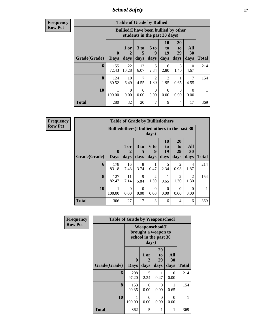*School Safety* **17**

**Frequency Row Pct**

| <b>Table of Grade by Bullied</b> |                         |                                                                                                                                                                               |            |                        |           |                |            |     |  |  |  |  |
|----------------------------------|-------------------------|-------------------------------------------------------------------------------------------------------------------------------------------------------------------------------|------------|------------------------|-----------|----------------|------------|-----|--|--|--|--|
|                                  |                         | <b>Bullied</b> (I have been bullied by other<br>students in the past 30 days)                                                                                                 |            |                        |           |                |            |     |  |  |  |  |
| Grade(Grade)                     | $\bf{0}$<br><b>Days</b> | <b>10</b><br><b>20</b><br>3 <sub>to</sub><br>All<br>1 or<br>6 to<br>to<br>to<br>19<br>29<br>9<br>30<br>5<br>2<br>days<br><b>Total</b><br>days<br>days<br>days<br>days<br>days |            |                        |           |                |            |     |  |  |  |  |
| 6                                | 155<br>72.43            | 22<br>10.28                                                                                                                                                                   | 13<br>6.07 | 5<br>2.34              | 6<br>2.80 | 3<br>1.40      | 10<br>4.67 | 214 |  |  |  |  |
| 8                                | 124<br>80.52            | 10<br>6.49                                                                                                                                                                    | 7<br>4.55  | $\overline{2}$<br>1.30 | 3<br>1.95 | 1<br>0.65      | 7<br>4.55  | 154 |  |  |  |  |
| 10                               | 1<br>100.00             | $\Omega$<br>0<br>$\Omega$<br>0<br>$\Omega$<br>0<br>0.00<br>0.00<br>0.00<br>0.00<br>0.00<br>0.00                                                                               |            |                        |           |                |            |     |  |  |  |  |
| <b>Total</b>                     | 280                     | 32                                                                                                                                                                            | 20         | 7                      | 9         | $\overline{4}$ | 17         | 369 |  |  |  |  |

|                                                                                                                               |                                                          |                   |                     | <b>Table of Grade by Bulliedothers</b> |                                    |                        |                        |              |  |  |  |
|-------------------------------------------------------------------------------------------------------------------------------|----------------------------------------------------------|-------------------|---------------------|----------------------------------------|------------------------------------|------------------------|------------------------|--------------|--|--|--|
|                                                                                                                               | Bullied others (I bullied others in the past 30<br>days) |                   |                     |                                        |                                    |                        |                        |              |  |  |  |
| Grade(Grade)                                                                                                                  | $\mathbf{0}$<br><b>Days</b>                              | 1 or<br>2<br>days | 3 to<br>days        | <b>6 to</b><br>9<br>days               | 10<br>t <sub>0</sub><br>19<br>days | 20<br>to<br>29<br>days | All<br>30<br>days      | <b>Total</b> |  |  |  |
| 6                                                                                                                             | 178<br>83.18                                             | 16<br>7.48        | 8<br>3.74           | 0.47                                   | 5<br>2.34                          | 2<br>0.93              | 4<br>1.87              | 214          |  |  |  |
| 8                                                                                                                             | 127<br>82.47                                             | 11<br>7.14        | $\mathbf Q$<br>5.84 | 2<br>1.30                              | 0.65                               | $\mathfrak{D}$<br>1.30 | $\mathfrak{D}$<br>1.30 | 154          |  |  |  |
| 10<br>$\Omega$<br>$\Omega$<br>$\Omega$<br>$\Omega$<br>$\Omega$<br>0<br>100.00<br>0.00<br>0.00<br>0.00<br>0.00<br>0.00<br>0.00 |                                                          |                   |                     |                                        |                                    |                        |                        |              |  |  |  |
| <b>Total</b>                                                                                                                  | 306                                                      | 27                | 17                  | 3                                      | 6                                  | 4                      | 6                      | 369          |  |  |  |

| Frequency      | <b>Table of Grade by Weaponschool</b> |                                                                        |                   |                        |                   |              |
|----------------|---------------------------------------|------------------------------------------------------------------------|-------------------|------------------------|-------------------|--------------|
| <b>Row Pct</b> |                                       | <b>Weaponschool</b> (I<br>brought a weapon to<br>school in the past 30 |                   |                        |                   |              |
|                | Grade(Grade)                          | 0<br><b>Days</b>                                                       | 1 or<br>2<br>days | 20<br>to<br>29<br>days | All<br>30<br>days | <b>Total</b> |
|                | 6                                     | 208<br>97.20                                                           | 5<br>2.34         | 0.47                   | $\Omega$<br>0.00  | 214          |
|                | 8                                     | 153<br>99.35                                                           | 0<br>0.00         | 0<br>0.00              | 0.65              | 154          |
|                | 10                                    | 1<br>100.00                                                            | $\Omega$<br>0.00  | 0<br>0.00              | $\Omega$<br>0.00  | 1            |
|                | <b>Total</b>                          | 362                                                                    | 5                 | 1                      | 1                 | 369          |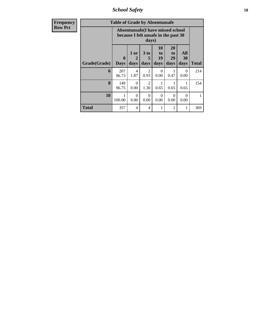*School Safety* **18**

| <b>Frequency</b> |              | <b>Table of Grade by Absentunsafe</b> |                                                                           |                              |                        |                               |                   |       |
|------------------|--------------|---------------------------------------|---------------------------------------------------------------------------|------------------------------|------------------------|-------------------------------|-------------------|-------|
| <b>Row Pct</b>   |              |                                       | Absentunsafe(I have missed school<br>because I felt unsafe in the past 30 | days)                        |                        |                               |                   |       |
|                  | Grade(Grade) | $\mathbf{0}$<br><b>Days</b>           | 1 or<br>days                                                              | 3 <sub>to</sub><br>5<br>days | 10<br>to<br>19<br>days | <b>20</b><br>to<br>29<br>days | All<br>30<br>days | Total |
|                  | 6            | 207<br>96.73                          | 4<br>1.87                                                                 | 2<br>0.93                    | $\Omega$<br>0.00       | 1<br>0.47                     | $\Omega$<br>0.00  | 214   |
|                  | 8            | 149<br>96.75                          | $\Omega$<br>0.00                                                          | 2<br>1.30                    | 0.65                   | 0.65                          | 1<br>0.65         | 154   |
|                  | 10           | 1<br>100.00                           | $\Omega$<br>0.00                                                          | $\Omega$<br>0.00             | $\Omega$<br>0.00       | $\Omega$<br>0.00              | $\Omega$<br>0.00  |       |
|                  | <b>Total</b> | 357                                   | 4                                                                         | $\overline{4}$               | 1                      | $\overline{2}$                | 1                 | 369   |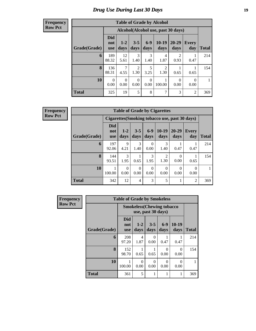# *Drug Use During Last 30 Days* **19**

**Frequency Row Pct**

|              |                                 |                                    |                        |                  | <b>Table of Grade by Alcohol</b> |                        |                  |       |  |  |  |  |  |  |
|--------------|---------------------------------|------------------------------------|------------------------|------------------|----------------------------------|------------------------|------------------|-------|--|--|--|--|--|--|
|              |                                 | Alcohol(Alcohol use, past 30 days) |                        |                  |                                  |                        |                  |       |  |  |  |  |  |  |
| Grade(Grade) | <b>Did</b><br>not<br><b>use</b> | $1 - 2$<br>days                    | $3 - 5$<br>days        | $6-9$<br>days    | $10-19$<br>days                  | $20 - 29$<br>days      | Every<br>day     | Total |  |  |  |  |  |  |
| 6            | 189<br>88.32                    | 12<br>5.61                         | 3<br>1.40              | 3<br>1.40        | 4<br>1.87                        | $\mathfrak{D}$<br>0.93 | 0.47             | 214   |  |  |  |  |  |  |
| 8            | 136<br>88.31                    | 7<br>4.55                          | $\mathfrak{D}$<br>1.30 | 5<br>3.25        | $\overline{2}$<br>1.30           | 0.65                   | 0.65             | 154   |  |  |  |  |  |  |
| 10           | 0<br>0.00                       | $\Omega$<br>0.00                   | $\Omega$<br>0.00       | $\Omega$<br>0.00 | 1<br>100.00                      | $\Omega$<br>0.00       | $\Omega$<br>0.00 |       |  |  |  |  |  |  |
| <b>Total</b> | 325                             | 19                                 | 5                      | 8                | 7                                | 3                      | $\overline{2}$   | 369   |  |  |  |  |  |  |

| <b>Table of Grade by Cigarettes</b>            |                                 |                       |                  |                  |                        |                   |                     |              |  |  |
|------------------------------------------------|---------------------------------|-----------------------|------------------|------------------|------------------------|-------------------|---------------------|--------------|--|--|
| Cigarettes (Smoking tobacco use, past 30 days) |                                 |                       |                  |                  |                        |                   |                     |              |  |  |
| Grade(Grade)                                   | <b>Did</b><br>not<br><b>use</b> | $1 - 2$<br>days       | $3 - 5$<br>days  | $6-9$<br>days    | $10-19$<br>days        | $20 - 29$<br>days | <b>Every</b><br>day | <b>Total</b> |  |  |
| 6                                              | 197<br>92.06                    | $\mathbf Q$<br>4.21   | 3<br>1.40        | 0<br>0.00        | 3<br>1.40              | 0.47              | 0.47                | 214          |  |  |
| 8                                              | 144<br>93.51                    | $\mathcal{F}$<br>1.95 | 0.65             | 3<br>1.95        | $\mathfrak{D}$<br>1.30 | $\theta$<br>0.00  | 0.65                | 154          |  |  |
| 10                                             | 100.00                          | $\theta$<br>0.00      | $\Omega$<br>0.00 | $\Omega$<br>0.00 | $\Omega$<br>0.00       | $\Omega$<br>0.00  | $\Omega$<br>0.00    |              |  |  |
| <b>Total</b>                                   | 342                             | 12                    | 4                | 3                | 5                      |                   | 2                   | 369          |  |  |

| Frequency      |              | <b>Table of Grade by Smokeless</b> |                  |                                                         |                  |                  |              |  |  |  |  |  |
|----------------|--------------|------------------------------------|------------------|---------------------------------------------------------|------------------|------------------|--------------|--|--|--|--|--|
| <b>Row Pct</b> |              |                                    |                  | <b>Smokeless</b> (Chewing tobacco<br>use, past 30 days) |                  |                  |              |  |  |  |  |  |
|                | Grade(Grade) | <b>Did</b><br>not<br><b>use</b>    | $1 - 2$<br>days  | $3 - 5$<br>days                                         | $6-9$<br>days    | $10-19$<br>days  | <b>Total</b> |  |  |  |  |  |
|                | 6            | 208<br>97.20                       | 4<br>1.87        | 0<br>0.00                                               | 0.47             | 0.47             | 214          |  |  |  |  |  |
|                | 8            | 152<br>98.70                       | 0.65             | 0.65                                                    | $\Omega$<br>0.00 | $\Omega$<br>0.00 | 154          |  |  |  |  |  |
|                | 10           | 100.00                             | $\Omega$<br>0.00 | 0<br>0.00                                               | $\Omega$<br>0.00 | $\Omega$<br>0.00 |              |  |  |  |  |  |
|                | <b>Total</b> | 361                                | 5                |                                                         |                  |                  | 369          |  |  |  |  |  |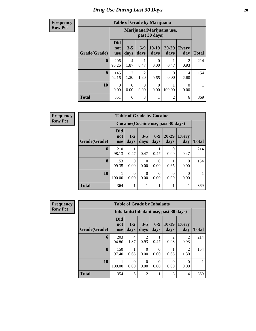#### **Frequency Row Pct**

|              |                                 |                                                                                                   |                        | <b>Table of Grade by Marijuana</b> |                |                        |     |  |  |  |  |  |
|--------------|---------------------------------|---------------------------------------------------------------------------------------------------|------------------------|------------------------------------|----------------|------------------------|-----|--|--|--|--|--|
|              |                                 | Marijuana (Marijuana use,<br>past 30 days)                                                        |                        |                                    |                |                        |     |  |  |  |  |  |
| Grade(Grade) | <b>Did</b><br>not<br><b>use</b> | $6 - 9$<br>$10-19$<br>$20 - 29$<br>$3 - 5$<br><b>Every</b><br>days<br>days<br>day<br>days<br>days |                        |                                    |                |                        |     |  |  |  |  |  |
| 6            | 206<br>96.26                    | $\overline{4}$<br>1.87                                                                            | 0.47                   | $\Omega$<br>0.00                   | 0.47           | $\overline{c}$<br>0.93 | 214 |  |  |  |  |  |
| 8            | 145<br>94.16                    | 2<br>1.30                                                                                         | $\overline{2}$<br>1.30 | 0.65                               | 0<br>0.00      | 4<br>2.60              | 154 |  |  |  |  |  |
| 10           | $\theta$<br>0.00                | $\Omega$<br>0.00                                                                                  | $\theta$<br>0.00       | $\Omega$<br>0.00                   | 100.00         | $\theta$<br>0.00       | 1   |  |  |  |  |  |
| <b>Total</b> | 351                             | 6                                                                                                 | 3                      |                                    | $\overline{2}$ | 6                      | 369 |  |  |  |  |  |

| $\overline{I}$ | <b>Table of Grade by Cocaine</b> |                                 |                                     |                  |               |                   |                     |              |  |  |  |  |  |
|----------------|----------------------------------|---------------------------------|-------------------------------------|------------------|---------------|-------------------|---------------------|--------------|--|--|--|--|--|
|                |                                  |                                 | Cocaine (Cocaine use, past 30 days) |                  |               |                   |                     |              |  |  |  |  |  |
|                | Grade(Grade)                     | <b>Did</b><br>not<br><b>use</b> | $1 - 2$<br>days                     | $3 - 5$<br>days  | $6-9$<br>days | $20 - 29$<br>days | <b>Every</b><br>day | <b>Total</b> |  |  |  |  |  |
|                | 6                                | 210<br>98.13                    | 0.47                                | 0.47             | 0.47          | $\Omega$<br>0.00  | 0.47                | 214          |  |  |  |  |  |
|                | 8                                | 153<br>99.35                    | $\Omega$<br>0.00                    | $\Omega$<br>0.00 | 0<br>0.00     | 0.65              | $\theta$<br>0.00    | 154          |  |  |  |  |  |
|                | 10                               | 100.00                          | $\Omega$<br>0.00                    | 0<br>0.00        | 0<br>0.00     | $\Omega$<br>0.00  | $\Omega$<br>0.00    |              |  |  |  |  |  |
|                | <b>Total</b>                     | 364                             |                                     |                  |               |                   |                     | 369          |  |  |  |  |  |

| Frequency      |              | <b>Table of Grade by Inhalants</b> |                 |                  |                  |                                               |                        |              |  |  |  |  |
|----------------|--------------|------------------------------------|-----------------|------------------|------------------|-----------------------------------------------|------------------------|--------------|--|--|--|--|
| <b>Row Pct</b> |              |                                    |                 |                  |                  | <b>Inhalants</b> (Inhalant use, past 30 days) |                        |              |  |  |  |  |
|                | Grade(Grade) | <b>Did</b><br>not<br><b>use</b>    | $1 - 2$<br>days | $3 - 5$<br>days  | $6-9$<br>days    | $10-19$<br>days                               | <b>Every</b><br>day    | <b>Total</b> |  |  |  |  |
|                | 6            | 203<br>94.86                       | 4<br>1.87       | 2<br>0.93        | 0.47             | $\mathfrak{D}$<br>0.93                        | $\overline{2}$<br>0.93 | 214          |  |  |  |  |
|                | 8            | 150<br>97.40                       | 0.65            | 0<br>0.00        | 0<br>0.00        | 0.65                                          | $\overline{2}$<br>1.30 | 154          |  |  |  |  |
|                | 10           | 100.00                             | 0<br>0.00       | $\Omega$<br>0.00 | $\Omega$<br>0.00 | $\theta$<br>0.00                              | $\Omega$<br>0.00       |              |  |  |  |  |
|                | <b>Total</b> | 354                                | 5               | 2                | 1                | 3                                             | 4                      | 369          |  |  |  |  |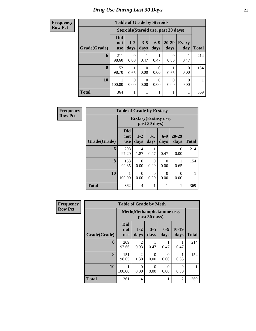| <b>Table of Grade by Steroids</b> |                                 |                                                                                               |           |           |                  |           |     |  |  |  |  |  |
|-----------------------------------|---------------------------------|-----------------------------------------------------------------------------------------------|-----------|-----------|------------------|-----------|-----|--|--|--|--|--|
|                                   |                                 | Steroids (Steroid use, past 30 days)                                                          |           |           |                  |           |     |  |  |  |  |  |
| Grade(Grade)                      | <b>Did</b><br>not<br><b>use</b> | 20-29<br>$6 - 9$<br>$1 - 2$<br>$3 - 5$<br><b>Every</b><br>days<br>days<br>days<br>day<br>days |           |           |                  |           |     |  |  |  |  |  |
| 6                                 | 211<br>98.60                    | 0<br>0.00                                                                                     | 0.47      | 0.47      | 0<br>0.00        | 0.47      | 214 |  |  |  |  |  |
| 8                                 | 152<br>98.70                    | 0.65                                                                                          | 0<br>0.00 | 0<br>0.00 | 0.65             | 0<br>0.00 | 154 |  |  |  |  |  |
| 10                                | 1<br>100.00                     | 0<br>0.00                                                                                     | 0<br>0.00 | 0<br>0.00 | $\Omega$<br>0.00 | 0<br>0.00 |     |  |  |  |  |  |
| <b>Total</b>                      | 364                             |                                                                                               |           |           |                  |           | 369 |  |  |  |  |  |

| <b>Frequency</b> | <b>Table of Grade by Ecstasy</b> |                                 |                                        |                  |                  |                   |              |
|------------------|----------------------------------|---------------------------------|----------------------------------------|------------------|------------------|-------------------|--------------|
| <b>Row Pct</b>   |                                  |                                 | Ecstasy (Ecstasy use,<br>past 30 days) |                  |                  |                   |              |
|                  | Grade(Grade)                     | <b>Did</b><br>not<br><b>use</b> | $1 - 2$<br>days                        | $3 - 5$<br>days  | $6-9$<br>days    | $20 - 29$<br>days | <b>Total</b> |
|                  | 6                                | 208<br>97.20                    | 4<br>1.87                              | 0.47             | 0.47             | $\Omega$<br>0.00  | 214          |
|                  | 8                                | 153<br>99.35                    | $\Omega$<br>0.00                       | $\Omega$<br>0.00 | $\Omega$<br>0.00 | 0.65              | 154          |
|                  | 10                               | 100.00                          | $\Omega$<br>0.00                       | ∩<br>0.00        | 0<br>0.00        | $\Omega$<br>0.00  |              |
|                  | <b>Total</b>                     | 362                             | $\overline{\mathcal{A}}$               | 1                | 1                | 1                 | 369          |

| <b>Frequency</b> |                                            | <b>Table of Grade by Meth</b>   |                        |                  |                  |                  |              |
|------------------|--------------------------------------------|---------------------------------|------------------------|------------------|------------------|------------------|--------------|
| <b>Row Pct</b>   | Meth(Methamphetamine use,<br>past 30 days) |                                 |                        |                  |                  |                  |              |
|                  | Grade(Grade)                               | <b>Did</b><br>not<br><b>use</b> | $1 - 2$<br>days        | $3 - 5$<br>days  | $6-9$<br>days    | $10-19$<br>days  | <b>Total</b> |
|                  | 6                                          | 209<br>97.66                    | $\mathfrak{D}$<br>0.93 | 0.47             | 0.47             | 0.47             | 214          |
|                  | 8                                          | 151<br>98.05                    | $\overline{c}$<br>1.30 | $\Omega$<br>0.00 | $\Omega$<br>0.00 | 0.65             | 154          |
|                  | 10                                         | 100.00                          | $\Omega$<br>0.00       | $\Omega$<br>0.00 | $\Omega$<br>0.00 | $\Omega$<br>0.00 |              |
|                  | <b>Total</b>                               | 361                             | 4                      | 1                | 1                | $\overline{2}$   | 369          |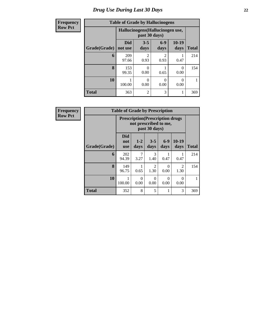## **Frequency**  $Row I$

# **Table of Grade by Hallucinogens**

| енсу |              | Table of <i>Grade</i> by Handchlogens |                                                   |                          |               |              |
|------|--------------|---------------------------------------|---------------------------------------------------|--------------------------|---------------|--------------|
| Pct  |              |                                       | Hallucinogens (Hallucinogen use,<br>past 30 days) |                          |               |              |
|      | Grade(Grade) | <b>Did</b><br>not use                 | $3 - 5$<br>days                                   | $6-9$<br>days            | 10-19<br>days | <b>Total</b> |
|      | 6            | 209<br>97.66                          | 2<br>0.93                                         | 0.93                     | 0.47          | 214          |
|      | 8            | 153<br>99.35                          | 0.00                                              | 0.65                     | 0<br>0.00     | 154          |
|      | 10           | 100.00                                | 0.00                                              | $\left( \right)$<br>0.00 | 0<br>0.00     |              |
|      | <b>Total</b> | 363                                   | $\overline{2}$                                    | 3                        |               | 369          |

| <b>Frequency</b> | <b>Table of Grade by Prescription</b> |                                                                                                    |                        |                        |                  |                  |     |  |  |
|------------------|---------------------------------------|----------------------------------------------------------------------------------------------------|------------------------|------------------------|------------------|------------------|-----|--|--|
| <b>Row Pct</b>   |                                       | <b>Prescription</b> (Prescription drugs)<br>not prescribed to me,                                  |                        |                        |                  |                  |     |  |  |
|                  | Grade(Grade)                          | Did<br>$10-19$<br>$6-9$<br>$3 - 5$<br>$1 - 2$<br>not<br>days<br>days<br>days<br>days<br><b>use</b> |                        |                        |                  |                  |     |  |  |
|                  | 6                                     | 202<br>94.39                                                                                       | $\overline{7}$<br>3.27 | 3<br>1.40              | 0.47             | 0.47             | 214 |  |  |
|                  | 8                                     | 149<br>96.75                                                                                       | 0.65                   | $\mathfrak{D}$<br>1.30 | $\Omega$<br>0.00 | 2<br>1.30        | 154 |  |  |
|                  | 10                                    | 100.00                                                                                             | $\Omega$<br>0.00       | $\Omega$<br>0.00       | $\Omega$<br>0.00 | $\Omega$<br>0.00 |     |  |  |
|                  | <b>Total</b>                          | 352                                                                                                | 8                      | 5                      |                  | 3                | 369 |  |  |

 $\mathcal{L}(\mathcal{A})$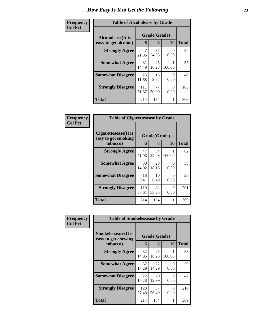| Frequency      | <b>Table of Alcoholease by Grade</b> |              |              |                  |              |  |
|----------------|--------------------------------------|--------------|--------------|------------------|--------------|--|
| <b>Col Pct</b> | Alcoholease(It is                    |              | Grade(Grade) |                  |              |  |
|                | easy to get alcohol)                 | 6            | 8            | <b>10</b>        | <b>Total</b> |  |
|                | <b>Strongly Agree</b>                | 47<br>21.96  | 37<br>24.03  | $\theta$<br>0.00 | 84           |  |
|                | <b>Somewhat Agree</b>                | 31<br>14.49  | 25<br>16.23  | 100.00           | 57           |  |
|                | <b>Somewhat Disagree</b>             | 25<br>11.68  | 15<br>9.74   | 0<br>0.00        | 40           |  |
|                | <b>Strongly Disagree</b>             | 111<br>51.87 | 77<br>50.00  | 0<br>0.00        | 188          |  |
|                | <b>Total</b>                         | 214          | 154          |                  | 369          |  |

| Frequency      | <b>Table of Cigarettesease by Grade</b>                 |              |                   |                           |              |  |
|----------------|---------------------------------------------------------|--------------|-------------------|---------------------------|--------------|--|
| <b>Col Pct</b> | Cigarettesease(It is<br>easy to get smoking<br>tobacco) | 6            | Grade(Grade)<br>8 | 10                        | <b>Total</b> |  |
|                | <b>Strongly Agree</b>                                   | 47<br>21.96  | 34<br>22.08       | 100.00                    | 82           |  |
|                | <b>Somewhat Agree</b>                                   | 30<br>14.02  | 28<br>18.18       | $\mathbf{\Omega}$<br>0.00 | 58           |  |
|                | <b>Somewhat Disagree</b>                                | 18<br>8.41   | 10<br>6.49        | $\mathbf{\Omega}$<br>0.00 | 28           |  |
|                | <b>Strongly Disagree</b>                                | 119<br>55.61 | 82<br>53.25       | $\mathbf{\Omega}$<br>0.00 | 201          |  |
|                | <b>Total</b>                                            | 214          | 154               | 1                         | 369          |  |

| <b>Frequency</b> | <b>Table of Smokelessease by Grade</b>             |              |              |           |              |  |
|------------------|----------------------------------------------------|--------------|--------------|-----------|--------------|--|
| <b>Col Pct</b>   | <b>Smokelessease</b> (It is<br>easy to get chewing |              | Grade(Grade) |           |              |  |
|                  | tobacco)                                           | 6            | 8            | <b>10</b> | <b>Total</b> |  |
|                  | <b>Strongly Agree</b>                              | 32<br>14.95  | 25<br>16.23  | 100.00    | 58           |  |
|                  | <b>Somewhat Agree</b>                              | 37<br>17.29  | 22<br>14.29  | 0<br>0.00 | 59           |  |
|                  | <b>Somewhat Disagree</b>                           | 22<br>10.28  | 20<br>12.99  | 0<br>0.00 | 42           |  |
|                  | <b>Strongly Disagree</b>                           | 123<br>57.48 | 87<br>56.49  | 0<br>0.00 | 210          |  |
|                  | <b>Total</b>                                       | 214          | 154          |           | 369          |  |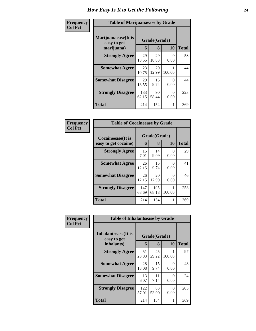| Frequency      | <b>Table of Marijuanaease by Grade</b>           |              |                   |                  |              |  |
|----------------|--------------------------------------------------|--------------|-------------------|------------------|--------------|--|
| <b>Col Pct</b> | Marijuanaease(It is<br>easy to get<br>marijuana) | 6            | Grade(Grade)<br>8 | 10               | <b>Total</b> |  |
|                | <b>Strongly Agree</b>                            | 29<br>13.55  | 29<br>18.83       | $\Omega$<br>0.00 | 58           |  |
|                | <b>Somewhat Agree</b>                            | 23<br>10.75  | 20<br>12.99       | 100.00           | 44           |  |
|                | <b>Somewhat Disagree</b>                         | 29<br>13.55  | 15<br>9.74        | 0<br>0.00        | 44           |  |
|                | <b>Strongly Disagree</b>                         | 133<br>62.15 | 90<br>58.44       | 0<br>0.00        | 223          |  |
|                | <b>Total</b>                                     | 214          | 154               | 1                | 369          |  |

| Frequency      | <b>Table of Cocaineease by Grade</b>      |              |                   |           |              |  |
|----------------|-------------------------------------------|--------------|-------------------|-----------|--------------|--|
| <b>Col Pct</b> | Cocaineease(It is<br>easy to get cocaine) | 6            | Grade(Grade)<br>8 | <b>10</b> | <b>Total</b> |  |
|                | <b>Strongly Agree</b>                     | 15<br>7.01   | 14<br>9.09        | 0<br>0.00 | 29           |  |
|                | <b>Somewhat Agree</b>                     | 26<br>12.15  | 15<br>9.74        | 0<br>0.00 | 41           |  |
|                | <b>Somewhat Disagree</b>                  | 26<br>12.15  | 20<br>12.99       | 0<br>0.00 | 46           |  |
|                | <b>Strongly Disagree</b>                  | 147<br>68.69 | 105<br>68.18      | 100.00    | 253          |  |
|                | <b>Total</b>                              | 214          | 154               | 1         | 369          |  |

| Frequency<br><b>Col Pct</b> | <b>Table of Inhalantsease by Grade</b> |              |              |           |              |
|-----------------------------|----------------------------------------|--------------|--------------|-----------|--------------|
|                             | Inhalantsease(It is<br>easy to get     |              | Grade(Grade) |           |              |
|                             | inhalants)                             | 6            | 8            | 10        | <b>Total</b> |
|                             | <b>Strongly Agree</b>                  | 51<br>23.83  | 45<br>29.22  | 100.00    | 97           |
|                             | <b>Somewhat Agree</b>                  | 28<br>13.08  | 15<br>9.74   | 0<br>0.00 | 43           |
|                             | <b>Somewhat Disagree</b>               | 13<br>6.07   | 11<br>7.14   | 0<br>0.00 | 24           |
|                             | <b>Strongly Disagree</b>               | 122<br>57.01 | 83<br>53.90  | 0<br>0.00 | 205          |
|                             | <b>Total</b>                           | 214          | 154          | 1         | 369          |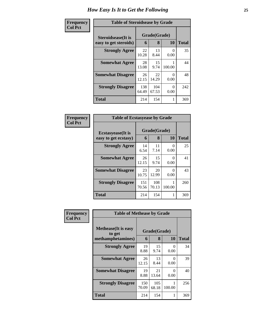| Frequency      | <b>Table of Steroidsease by Grade</b> |              |              |           |              |  |
|----------------|---------------------------------------|--------------|--------------|-----------|--------------|--|
| <b>Col Pct</b> | <b>Steroidsease</b> (It is            |              | Grade(Grade) |           |              |  |
|                | easy to get steroids)                 | 6            | 8            | 10        | <b>Total</b> |  |
|                | <b>Strongly Agree</b>                 | 22<br>10.28  | 13<br>8.44   | 0<br>0.00 | 35           |  |
|                | <b>Somewhat Agree</b>                 | 28<br>13.08  | 15<br>9.74   | 100.00    | 44           |  |
|                | <b>Somewhat Disagree</b>              | 26<br>12.15  | 22<br>14.29  | 0<br>0.00 | 48           |  |
|                | <b>Strongly Disagree</b>              | 138<br>64.49 | 104<br>67.53 | 0<br>0.00 | 242          |  |
|                | <b>Total</b>                          | 214          | 154          |           | 369          |  |

| Frequency      | <b>Table of Ecstasyease by Grade</b>              |              |                   |           |              |
|----------------|---------------------------------------------------|--------------|-------------------|-----------|--------------|
| <b>Col Pct</b> | <b>Ecstasyease</b> (It is<br>easy to get ecstasy) | 6            | Grade(Grade)<br>8 | <b>10</b> | <b>Total</b> |
|                | <b>Strongly Agree</b>                             | 14<br>6.54   | 11<br>7.14        | 0<br>0.00 | 25           |
|                | <b>Somewhat Agree</b>                             | 26<br>12.15  | 15<br>9.74        | ∩<br>0.00 | 41           |
|                | <b>Somewhat Disagree</b>                          | 23<br>10.75  | 20<br>12.99       | 0<br>0.00 | 43           |
|                | <b>Strongly Disagree</b>                          | 151<br>70.56 | 108<br>70.13      | 100.00    | 260          |
|                | <b>Total</b>                                      | 214          | 154               | 1         | 369          |

| Frequency<br><b>Col Pct</b> | <b>Table of Methease by Grade</b>                          |              |                   |                  |              |  |  |  |  |  |
|-----------------------------|------------------------------------------------------------|--------------|-------------------|------------------|--------------|--|--|--|--|--|
|                             | <b>Methease</b> (It is easy<br>to get<br>methamphetamines) | 6            | Grade(Grade)<br>8 | 10               | <b>Total</b> |  |  |  |  |  |
|                             | <b>Strongly Agree</b>                                      | 19<br>8.88   | 15<br>9.74        | $\Omega$<br>0.00 | 34           |  |  |  |  |  |
|                             | <b>Somewhat Agree</b>                                      | 26<br>12.15  | 13<br>8.44        | $\theta$<br>0.00 | 39           |  |  |  |  |  |
|                             | <b>Somewhat Disagree</b>                                   | 19<br>8.88   | 21<br>13.64       | 0<br>0.00        | 40           |  |  |  |  |  |
|                             | <b>Strongly Disagree</b>                                   | 150<br>70.09 | 105<br>68.18      | 100.00           | 256          |  |  |  |  |  |
|                             | Total                                                      | 214          | 154               |                  | 369          |  |  |  |  |  |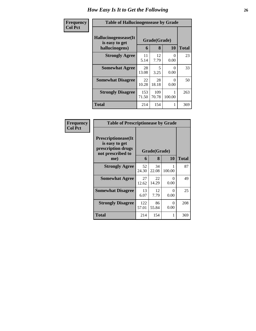| Frequency      | <b>Table of Hallucinogensease by Grade</b>               |              |                   |                  |     |  |  |  |  |  |
|----------------|----------------------------------------------------------|--------------|-------------------|------------------|-----|--|--|--|--|--|
| <b>Col Pct</b> | Hallucinogensease(It<br>is easy to get<br>hallucinogens) | 6            | Grade(Grade)<br>8 | <b>Total</b>     |     |  |  |  |  |  |
|                | <b>Strongly Agree</b>                                    | 11<br>5.14   | 12<br>7.79        | $\Omega$<br>0.00 | 23  |  |  |  |  |  |
|                | <b>Somewhat Agree</b>                                    | 28<br>13.08  | 5<br>3.25         | 0<br>0.00        | 33  |  |  |  |  |  |
|                | <b>Somewhat Disagree</b>                                 | 22<br>10.28  | 28<br>18.18       | $\Omega$<br>0.00 | 50  |  |  |  |  |  |
|                | <b>Strongly Disagree</b>                                 | 153<br>71.50 | 109<br>70.78      | 100.00           | 263 |  |  |  |  |  |
|                | <b>Total</b>                                             | 214          | 154               |                  | 369 |  |  |  |  |  |

| <b>Frequency</b> |
|------------------|
| <b>Col Pct</b>   |

| <b>Table of Prescriptionease by Grade</b>                                                |              |             |                           |       |  |  |  |  |  |
|------------------------------------------------------------------------------------------|--------------|-------------|---------------------------|-------|--|--|--|--|--|
| <b>Prescriptionease</b> (It<br>is easy to get<br>prescription drugs<br>not prescribed to | Grade(Grade) |             |                           |       |  |  |  |  |  |
| me)                                                                                      | 6            | 8           | 10                        | Total |  |  |  |  |  |
| <b>Strongly Agree</b>                                                                    | 52<br>24.30  | 34<br>22.08 | 100.00                    | 87    |  |  |  |  |  |
| <b>Somewhat Agree</b>                                                                    | 27<br>12.62  | 22<br>14.29 | $\mathbf{\Omega}$<br>0.00 | 49    |  |  |  |  |  |
| <b>Somewhat Disagree</b>                                                                 | 13<br>6.07   | 12<br>7.79  | 0<br>0.00                 | 25    |  |  |  |  |  |
| <b>Strongly Disagree</b>                                                                 | 122<br>57.01 | 86<br>55.84 | $\mathbf{\Omega}$<br>0.00 | 208   |  |  |  |  |  |
| Total                                                                                    | 214          | 154         | 1                         | 369   |  |  |  |  |  |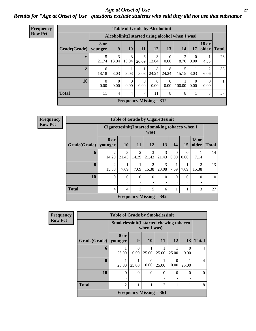#### *Age at Onset of Use* **27** *Results for "Age at Onset of Use" questions exclude students who said they did not use that substance*

| Frequency<br><b>Row Pct</b> |  |
|-----------------------------|--|
|                             |  |

| <b>Table of Grade by Alcoholinit</b> |                        |                                                  |                  |                  |                           |                  |                        |           |                        |              |  |
|--------------------------------------|------------------------|--------------------------------------------------|------------------|------------------|---------------------------|------------------|------------------------|-----------|------------------------|--------------|--|
|                                      |                        | Alcoholinit (I started using alcohol when I was) |                  |                  |                           |                  |                        |           |                        |              |  |
| Grade(Grade)                         | <b>8 or</b><br>younger | 9                                                | 10               | <b>11</b>        | 12                        | 13               | 14                     | 17        | <b>18 or</b><br>older  | <b>Total</b> |  |
| 6                                    | 5<br>21.74             | 3<br>13.04                                       | 3<br>13.04       | 6<br>26.09       | 3<br>13.04                | $\Omega$<br>0.00 | $\overline{2}$<br>8.70 | 0<br>0.00 | 4.35                   | 23           |  |
| 8                                    | 6<br>18.18             | 3.03                                             | 3.03             | 3.03             | 8<br>24.24                | 8<br>24.24       | 5<br>15.15             | 3.03      | $\mathfrak{D}$<br>6.06 | 33           |  |
| 10                                   | $\Omega$<br>0.00       | $\theta$<br>0.00                                 | $\Omega$<br>0.00 | $\Omega$<br>0.00 | $\Omega$<br>0.00          | $\theta$<br>0.00 | 100.00                 | 0<br>0.00 | 0<br>0.00              | 1            |  |
| <b>Total</b>                         | 11                     | 4                                                | $\overline{4}$   | 7                | 11                        | 8                | 8                      |           | 3                      | 57           |  |
|                                      |                        |                                                  |                  |                  | Frequency Missing $= 312$ |                  |                        |           |                        |              |  |

| <b>Frequency</b> | <b>Table of Grade by Cigarettesinit</b> |                         |                                                         |           |                           |              |                  |                  |                         |              |  |
|------------------|-----------------------------------------|-------------------------|---------------------------------------------------------|-----------|---------------------------|--------------|------------------|------------------|-------------------------|--------------|--|
| <b>Row Pct</b>   |                                         |                         | Cigarettesinit(I started smoking tobacco when I<br>was) |           |                           |              |                  |                  |                         |              |  |
|                  | Grade(Grade)                            | 8 or<br>younger         | <b>10</b>                                               | <b>11</b> | 12                        | 13           | 14               | 15               | <b>18 or</b><br>older   | <b>Total</b> |  |
|                  | 6                                       | $\mathfrak{D}$<br>14.29 | 3<br>21.43                                              | 14.29     | 3<br>21.43                | 3<br>21.43   | $\Omega$<br>0.00 | $\Omega$<br>0.00 | 7.14                    | 14           |  |
|                  | 8                                       | $\overline{2}$<br>15.38 | 7.69                                                    | 7.69      | $\overline{2}$<br>15.38   | 3<br>23.08   | 7.69             | 7.69             | $\overline{2}$<br>15.38 | 13           |  |
|                  | 10                                      | $\theta$                | $\mathbf{0}$                                            | $\Omega$  | $\theta$                  | $\mathbf{0}$ | $\Omega$         | $\Omega$         | $\Omega$                | $\Omega$     |  |
|                  | <b>Total</b>                            | 4                       | 4                                                       | 3         | 5                         | 6            |                  |                  | 3                       | 27           |  |
|                  |                                         |                         |                                                         |           | Frequency Missing $= 342$ |              |                  |                  |                         |              |  |

| <b>Frequency</b> |              | <b>Table of Grade by Smokelessinit</b>  |                  |                           |                |                  |           |                |
|------------------|--------------|-----------------------------------------|------------------|---------------------------|----------------|------------------|-----------|----------------|
| <b>Row Pct</b>   |              | Smokelessinit(I started chewing tobacco |                  | when I was)               |                |                  |           |                |
|                  | Grade(Grade) | 8 or<br>younger                         | 9                | <b>10</b>                 | 11             | <b>12</b>        | 13        | <b>Total</b>   |
|                  | 6            | 25.00                                   | $\Omega$<br>0.00 | 25.00                     | 25.00          | 25.00            | 0<br>0.00 | 4              |
|                  | 8            | 25.00                                   | 25.00            | $\Omega$<br>0.00          | 25.00          | $\theta$<br>0.00 | 25.00     | $\overline{4}$ |
|                  | 10           | $\Omega$                                | $\Omega$         | $\theta$<br>٠             | $\theta$       | $\Omega$         | $\Omega$  | 0              |
|                  | <b>Total</b> | $\mathfrak{D}$                          |                  |                           | $\overline{2}$ | 1                |           | 8              |
|                  |              |                                         |                  | Frequency Missing $= 361$ |                |                  |           |                |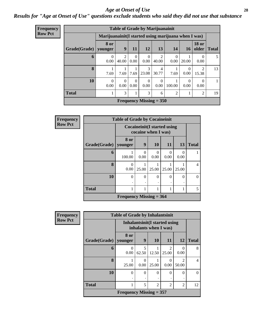#### *Age at Onset of Use* **28**

*Results for "Age at Onset of Use" questions exclude students who said they did not use that substance*

| <b>Frequency</b> |                                                      | <b>Table of Grade by Marijuanainit</b> |                                      |                  |                  |                           |                  |                  |                       |              |  |  |
|------------------|------------------------------------------------------|----------------------------------------|--------------------------------------|------------------|------------------|---------------------------|------------------|------------------|-----------------------|--------------|--|--|
| <b>Row Pct</b>   | Marijuanainit (I started using marijuana when I was) |                                        |                                      |                  |                  |                           |                  |                  |                       |              |  |  |
|                  | Grade(Grade)                                         | 8 or<br>younger                        | 9                                    | 11               | 12               | 13                        | 14               | 16               | <b>18 or</b><br>older | <b>Total</b> |  |  |
|                  | 6                                                    | $\Omega$<br>0.00                       | $\mathcal{D}_{\mathcal{L}}$<br>40.00 | $\Omega$<br>0.00 | $\Omega$<br>0.00 | 2<br>40.00                | $\Omega$<br>0.00 | 20.00            | 0<br>0.00             | 5            |  |  |
|                  | 8                                                    | 7.69                                   | 7.69                                 | 7.69             | 23.08            | $\overline{4}$<br>30.77   | 7.69             | 0<br>0.00        | 2<br>15.38            | 13           |  |  |
|                  | 10                                                   | $\Omega$<br>0.00                       | $\Omega$<br>0.00                     | $\theta$<br>0.00 | $\Omega$<br>0.00 | $\Omega$<br>0.00          | 100.00           | $\Omega$<br>0.00 | $\Omega$<br>0.00      | $\mathbf{1}$ |  |  |
|                  | <b>Total</b>                                         | 1                                      | 3                                    | 1                | 3                | 6                         | $\overline{2}$   | 1                | 2                     | 19           |  |  |
|                  |                                                      |                                        |                                      |                  |                  | Frequency Missing $= 350$ |                  |                  |                       |              |  |  |

| Frequency      |                                                     | <b>Table of Grade by Cocaineinit</b> |                  |                       |                       |           |                |
|----------------|-----------------------------------------------------|--------------------------------------|------------------|-----------------------|-----------------------|-----------|----------------|
| <b>Row Pct</b> | Cocaineinit (I started using<br>cocaine when I was) |                                      |                  |                       |                       |           |                |
|                | Grade(Grade)                                        | 8 or<br>younger                      | $\boldsymbol{9}$ | <b>10</b>             | <b>11</b>             | 13        | <b>Total</b>   |
|                | 6                                                   | 100.00                               | $\Omega$<br>0.00 | $\mathcal{L}$<br>0.00 | $\mathcal{L}$<br>0.00 | 0<br>0.00 |                |
|                | 8                                                   | 0.00                                 | 25.00            | 25.00                 | 25.00                 | 25.00     | $\overline{4}$ |
|                | 10                                                  | $\Omega$                             | $\Omega$         | $\theta$              | 0                     | $\Omega$  | 0              |
|                | <b>Total</b>                                        |                                      |                  |                       |                       |           | 5              |
|                |                                                     | Frequency Missing $= 364$            |                  |                       |                       |           |                |

| <b>Frequency</b> |                           | <b>Table of Grade by Inhalantsinit</b> |                                                               |                |                         |                         |              |  |  |
|------------------|---------------------------|----------------------------------------|---------------------------------------------------------------|----------------|-------------------------|-------------------------|--------------|--|--|
| <b>Row Pct</b>   |                           |                                        | <b>Inhalantsinit(I started using</b><br>inhalants when I was) |                |                         |                         |              |  |  |
|                  | Grade(Grade)              | 8 or<br>younger                        | 9                                                             | 10             | 11                      | <b>12</b>               | <b>Total</b> |  |  |
|                  | 6                         | $\mathcal{O}$<br>0.00                  | 5<br>62.50                                                    | 12.50          | $\mathfrak{D}$<br>25.00 | $\Omega$<br>0.00        | 8            |  |  |
|                  | 8                         | 25.00                                  | $\theta$<br>0.00                                              | 25.00          | 0.00                    | $\mathfrak{D}$<br>50.00 | 4            |  |  |
|                  | 10                        | $\Omega$                               | $\Omega$<br>٠                                                 | $\theta$       | $\Omega$                | $\Omega$<br>٠           | 0            |  |  |
|                  | <b>Total</b>              |                                        | 5                                                             | $\overline{2}$ | $\mathfrak{D}$          | 2                       | 12           |  |  |
|                  | Frequency Missing $= 357$ |                                        |                                                               |                |                         |                         |              |  |  |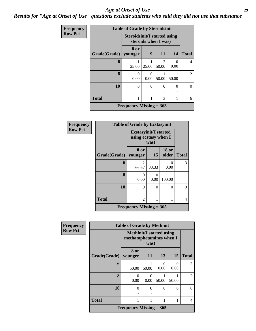#### *Age at Onset of Use* **29**

## *Results for "Age at Onset of Use" questions exclude students who said they did not use that substance*

| Frequency      | <b>Table of Grade by Steroidsinit</b> |                                                             |           |            |           |                |  |  |  |  |
|----------------|---------------------------------------|-------------------------------------------------------------|-----------|------------|-----------|----------------|--|--|--|--|
| <b>Row Pct</b> |                                       | <b>Steroidsinit(I started using</b><br>steroids when I was) |           |            |           |                |  |  |  |  |
|                | Grade(Grade)                          | 8 or<br>younger                                             | 9         | <b>11</b>  | 14        | <b>Total</b>   |  |  |  |  |
|                | 6                                     | 25.00                                                       | 25.00     | າ<br>50.00 | 0<br>0.00 | 4              |  |  |  |  |
|                | 8                                     | $\theta$<br>0.00                                            | 0<br>0.00 | 50.00      | 50.00     | $\overline{2}$ |  |  |  |  |
|                | 10                                    | $\theta$                                                    | $\Omega$  | 0          | $\theta$  | $\Omega$       |  |  |  |  |
|                | <b>Total</b>                          | 1                                                           |           | 3          |           | 6              |  |  |  |  |
|                |                                       | Frequency Missing $= 363$                                   |           |            |           |                |  |  |  |  |

| Frequency      | <b>Table of Grade by Ecstasyinit</b> |                                                              |           |                       |              |  |  |
|----------------|--------------------------------------|--------------------------------------------------------------|-----------|-----------------------|--------------|--|--|
| <b>Row Pct</b> |                                      | <b>Ecstasyinit(I started</b><br>using ecstasy when I<br>was) |           |                       |              |  |  |
|                | Grade(Grade)                         | 8 or<br>younger                                              | 15        | <b>18 or</b><br>older | <b>Total</b> |  |  |
|                | 6                                    | 2<br>66.67                                                   | 33.33     | $\Omega$<br>0.00      | 3            |  |  |
|                | 8                                    | 0<br>0.00                                                    | 0<br>0.00 | 100.00                |              |  |  |
|                | 10                                   | $\theta$                                                     | $\theta$  | 0                     | 0            |  |  |
|                | <b>Total</b>                         | 2                                                            | 1         | 1                     | 4            |  |  |
|                | Frequency Missing $= 365$            |                                                              |           |                       |              |  |  |

| Frequency      | <b>Table of Grade by Methinit</b> |                                                             |           |       |                  |                |  |  |
|----------------|-----------------------------------|-------------------------------------------------------------|-----------|-------|------------------|----------------|--|--|
| <b>Row Pct</b> |                                   | <b>Methinit</b> (I started using<br>methamphetamines when I |           |       |                  |                |  |  |
|                | Grade(Grade)                      | 8 or<br>younger                                             | 11        | 13    | 15               | <b>Total</b>   |  |  |
|                | 6                                 | 50.00                                                       | 50.00     | 0.00  | $\Omega$<br>0.00 | $\overline{2}$ |  |  |
|                | 8                                 | 0<br>0.00                                                   | 0<br>0.00 | 50.00 | 50.00            | $\overline{2}$ |  |  |
|                | 10                                | 0                                                           | $\Omega$  | 0     | $\Omega$         | $\Omega$       |  |  |
|                | <b>Total</b>                      | 1                                                           | 1         |       |                  | 4              |  |  |
|                |                                   | Frequency Missing $= 365$                                   |           |       |                  |                |  |  |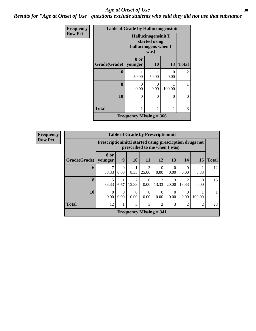#### Age at Onset of Use **30**

*Results for "Age at Onset of Use" questions exclude students who said they did not use that substance*

| Frequency      | <b>Table of Grade by Hallucinogensinit</b> |                                                              |                  |                  |                |  |  |  |
|----------------|--------------------------------------------|--------------------------------------------------------------|------------------|------------------|----------------|--|--|--|
| <b>Row Pct</b> |                                            | Hallucinogensinit(I<br>started using<br>hallucinogens when I |                  |                  |                |  |  |  |
|                | Grade(Grade)                               | 8 or<br>younger                                              | 10               | 13               | <b>Total</b>   |  |  |  |
|                | 6                                          | 50.00                                                        | 50.00            | $\Omega$<br>0.00 | $\overline{2}$ |  |  |  |
|                | 8                                          | ∩<br>0.00                                                    | $\Omega$<br>0.00 | 100.00           |                |  |  |  |
|                | 10                                         | $\Omega$                                                     | $\theta$         | $\theta$         | $\Omega$       |  |  |  |
|                | <b>Total</b>                               |                                                              |                  | 1                | 3              |  |  |  |
|                | Frequency Missing $= 366$                  |                                                              |                  |                  |                |  |  |  |

| <b>Frequency</b> | <b>Table of Grade by Prescriptioninit</b> |                  |                                                                                            |                         |                  |                                |                  |                         |                  |              |
|------------------|-------------------------------------------|------------------|--------------------------------------------------------------------------------------------|-------------------------|------------------|--------------------------------|------------------|-------------------------|------------------|--------------|
| <b>Row Pct</b>   |                                           |                  | Prescription in it (I started using prescription drugs not<br>prescribed to me when I was) |                         |                  |                                |                  |                         |                  |              |
|                  | Grade(Grade)                              | 8 or<br>younger  | 9                                                                                          | 10                      | 11               | 12                             | 13               | 14                      | 15               | <b>Total</b> |
|                  | 6                                         | 58.33            | $\Omega$<br>0.00                                                                           | 8.33                    | 3<br>25.00       | $\Omega$<br>0.00               | $\Omega$<br>0.00 | $\Omega$<br>0.00        | 8.33             | 12           |
|                  | 8                                         | 5<br>33.33       | 6.67                                                                                       | $\overline{2}$<br>13.33 | $\Omega$<br>0.00 | 2<br>13.33                     | 3<br>20.00       | $\mathfrak{D}$<br>13.33 | $\Omega$<br>0.00 | 15           |
|                  | 10                                        | $\Omega$<br>0.00 | $\Omega$<br>0.00                                                                           | $\Omega$<br>0.00        | $\Omega$<br>0.00 | $\Omega$<br>0.00               | $\theta$<br>0.00 | $\theta$<br>0.00        | 100.00           |              |
|                  | <b>Total</b>                              | 12               | 1                                                                                          | 3                       | 3                | $\overline{2}$                 | 3                | 2                       | 2                | 28           |
|                  |                                           |                  |                                                                                            |                         |                  | <b>Frequency Missing = 341</b> |                  |                         |                  |              |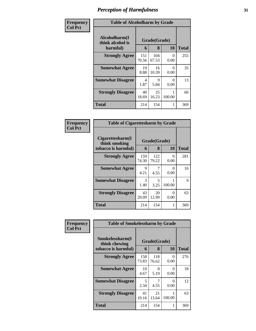| Frequency      | <b>Table of Alcoholharm by Grade</b>          |              |                   |           |              |  |
|----------------|-----------------------------------------------|--------------|-------------------|-----------|--------------|--|
| <b>Col Pct</b> | Alcoholharm(I<br>think alcohol is<br>harmful) | 6            | Grade(Grade)<br>8 | 10        | <b>Total</b> |  |
|                | <b>Strongly Agree</b>                         | 151<br>70.56 | 104<br>67.53      | 0<br>0.00 | 255          |  |
|                | <b>Somewhat Agree</b>                         | 19<br>8.88   | 16<br>10.39       | 0<br>0.00 | 35           |  |
|                | <b>Somewhat Disagree</b>                      | 4<br>1.87    | 9<br>5.84         | 0<br>0.00 | 13           |  |
|                | <b>Strongly Disagree</b>                      | 40<br>18.69  | 25<br>16.23       | 100.00    | 66           |  |
|                | <b>Total</b>                                  | 214          | 154               | 1         | 369          |  |

| Frequency<br>  Col Pct |
|------------------------|
|                        |

| <b>Table of Cigarettesharm by Grade</b>                  |                   |              |           |     |  |  |  |
|----------------------------------------------------------|-------------------|--------------|-----------|-----|--|--|--|
| Cigarettesharm(I<br>think smoking<br>tobacco is harmful) | Grade(Grade)<br>6 | <b>Total</b> |           |     |  |  |  |
| <b>Strongly Agree</b>                                    | 159<br>74.30      | 122<br>79.22 | 0<br>0.00 | 281 |  |  |  |
| <b>Somewhat Agree</b>                                    | 9<br>4.21         | 4.55         | 0<br>0.00 | 16  |  |  |  |
| <b>Somewhat Disagree</b>                                 | 3<br>1.40         | 5<br>3.25    | 100.00    | 9   |  |  |  |
| <b>Strongly Disagree</b>                                 | 43<br>20.09       | 20<br>12.99  | 0<br>0.00 | 63  |  |  |  |
| <b>Total</b>                                             | 214               | 154          | 1         | 369 |  |  |  |

| Frequency      | <b>Table of Smokelessharm by Grade</b> |              |              |           |              |
|----------------|----------------------------------------|--------------|--------------|-----------|--------------|
| <b>Col Pct</b> | Smokelessharm(I<br>think chewing       | Grade(Grade) |              |           |              |
|                | tobacco is harmful)                    | 6            | 8            | <b>10</b> | <b>Total</b> |
|                | <b>Strongly Agree</b>                  | 158<br>73.83 | 118<br>76.62 | 0<br>0.00 | 276          |
|                | <b>Somewhat Agree</b>                  | 10<br>4.67   | 8<br>5.19    | 0<br>0.00 | 18           |
|                | <b>Somewhat Disagree</b>               | 5<br>2.34    | 4.55         | 0<br>0.00 | 12           |
|                | <b>Strongly Disagree</b>               | 41<br>19.16  | 21<br>13.64  | 100.00    | 63           |
|                | <b>Total</b>                           | 214          | 154          |           | 369          |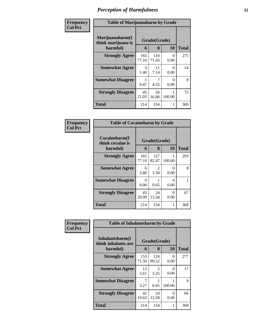| Frequency      | <b>Table of Marijuanaharm by Grade</b>            |              |                   |           |              |  |
|----------------|---------------------------------------------------|--------------|-------------------|-----------|--------------|--|
| <b>Col Pct</b> | Marijuanaharm(I<br>think marijuana is<br>harmful) | 6            | Grade(Grade)<br>8 | 10        | <b>Total</b> |  |
|                | <b>Strongly Agree</b>                             | 165<br>77.10 | 110<br>71.43      | 0<br>0.00 | 275          |  |
|                | <b>Somewhat Agree</b>                             | 3<br>1.40    | 11<br>7.14        | 0<br>0.00 | 14           |  |
|                | <b>Somewhat Disagree</b>                          | 0.47         | 4.55              | 0<br>0.00 | 8            |  |
|                | <b>Strongly Disagree</b>                          | 45<br>21.03  | 26<br>16.88       | 100.00    | 72           |  |
|                | <b>Total</b>                                      | 214          | 154               |           | 369          |  |

| Frequency<br>Col Pct |
|----------------------|

| <b>Table of Cocaineharm by Grade</b>          |                   |              |             |     |  |  |  |
|-----------------------------------------------|-------------------|--------------|-------------|-----|--|--|--|
| Cocaineharm(I<br>think cocaine is<br>harmful) | Grade(Grade)<br>6 | Total        |             |     |  |  |  |
| <b>Strongly Agree</b>                         | 165<br>77.10      | 127<br>82.47 | 1<br>100.00 | 293 |  |  |  |
| <b>Somewhat Agree</b>                         | 6<br>2.80         | 2<br>1.30    | 0<br>0.00   | 8   |  |  |  |
| <b>Somewhat Disagree</b>                      | 0<br>0.00         | 0.65         | 0<br>0.00   |     |  |  |  |
| <b>Strongly Disagree</b>                      | 43<br>20.09       | 24<br>15.58  | ∩<br>0.00   | 67  |  |  |  |
| <b>Total</b>                                  | 214               | 154          | 1           | 369 |  |  |  |

| Frequency      | <b>Table of Inhalantsharm by Grade</b>  |              |              |           |              |  |  |  |
|----------------|-----------------------------------------|--------------|--------------|-----------|--------------|--|--|--|
| <b>Col Pct</b> | Inhalantsharm(I)<br>think inhalants are | Grade(Grade) |              |           |              |  |  |  |
|                | harmful)                                | 6            | 8            | 10        | <b>Total</b> |  |  |  |
|                | <b>Strongly Agree</b>                   | 153<br>71.50 | 124<br>80.52 | 0<br>0.00 | 277          |  |  |  |
|                | <b>Somewhat Agree</b>                   | 12<br>5.61   | 5<br>3.25    | 0<br>0.00 | 17           |  |  |  |
|                | <b>Somewhat Disagree</b>                | 3.27         | 0.65         | 100.00    | 9            |  |  |  |
|                | <b>Strongly Disagree</b>                | 42<br>19.63  | 24<br>15.58  | 0<br>0.00 | 66           |  |  |  |
|                | <b>Total</b>                            | 214          | 154          | 1         | 369          |  |  |  |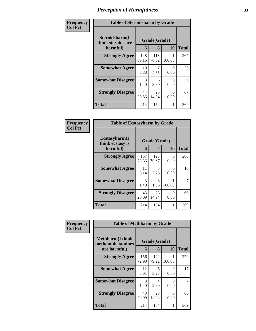| Frequency      | <b>Table of Steroidsharm by Grade</b>            |              |                   |           |              |  |
|----------------|--------------------------------------------------|--------------|-------------------|-----------|--------------|--|
| <b>Col Pct</b> | Steroidsharm(I<br>think steroids are<br>harmful) | 6            | Grade(Grade)<br>8 | 10        | <b>Total</b> |  |
|                | <b>Strongly Agree</b>                            | 148<br>69.16 | 118<br>76.62      | 100.00    | 267          |  |
|                | <b>Somewhat Agree</b>                            | 19<br>8.88   | 4.55              | 0<br>0.00 | 26           |  |
|                | <b>Somewhat Disagree</b>                         | 3<br>1.40    | 6<br>3.90         | 0<br>0.00 | 9            |  |
|                | <b>Strongly Disagree</b>                         | 44<br>20.56  | 23<br>14.94       | 0<br>0.00 | 67           |  |
|                | <b>Total</b>                                     | 214          | 154               |           | 369          |  |

| Frequency<br>Col Pct |
|----------------------|
|                      |

| <b>Table of Ecstasyharm by Grade</b>          |                   |              |           |     |  |  |
|-----------------------------------------------|-------------------|--------------|-----------|-----|--|--|
| Ecstasyharm(I<br>think ecstasy is<br>harmful) | Grade(Grade)<br>6 | <b>Total</b> |           |     |  |  |
| <b>Strongly Agree</b>                         | 157<br>73.36      | 123<br>79.87 | 0<br>0.00 | 280 |  |  |
| <b>Somewhat Agree</b>                         | 11<br>5.14        | 5<br>3.25    | ∩<br>0.00 | 16  |  |  |
| <b>Somewhat Disagree</b>                      | 3<br>1.40         | 3<br>1.95    | 100.00    | 7   |  |  |
| <b>Strongly Disagree</b>                      | 43<br>20.09       | 23<br>14.94  | 0<br>0.00 | 66  |  |  |
| <b>Total</b>                                  | 214               | 154          | 1         | 369 |  |  |

| Frequency      |                                              | <b>Table of Methharm by Grade</b> |              |           |              |
|----------------|----------------------------------------------|-----------------------------------|--------------|-----------|--------------|
| <b>Col Pct</b> | <b>Methharm</b> (I think<br>methamphetamines |                                   | Grade(Grade) |           |              |
|                | are harmful)                                 | 6                                 | 8            | <b>10</b> | <b>Total</b> |
|                | <b>Strongly Agree</b>                        | 156<br>72.90                      | 122<br>79.22 | 100.00    | 279          |
|                | <b>Somewhat Agree</b>                        | 12<br>5.61                        | 5<br>3.25    | 0<br>0.00 | 17           |
|                | <b>Somewhat Disagree</b>                     | 3<br>1.40                         | 4<br>2.60    | 0<br>0.00 |              |
|                | <b>Strongly Disagree</b>                     | 43<br>20.09                       | 23<br>14.94  | 0<br>0.00 | 66           |
|                | <b>Total</b>                                 | 214                               | 154          | 1         | 369          |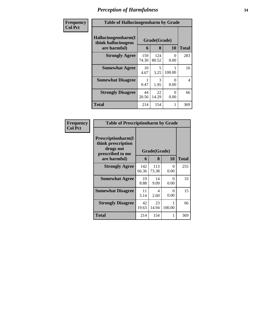| Frequency      | <b>Table of Hallucinogensharm by Grade</b>                 |              |                   |                  |              |  |
|----------------|------------------------------------------------------------|--------------|-------------------|------------------|--------------|--|
| <b>Col Pct</b> | Hallucinogensharm(I<br>think hallucinogens<br>are harmful) | 6            | Grade(Grade)<br>8 | 10               | <b>Total</b> |  |
|                | <b>Strongly Agree</b>                                      | 159<br>74.30 | 124<br>80.52      | $\Omega$<br>0.00 | 283          |  |
|                | <b>Somewhat Agree</b>                                      | 10<br>4.67   | 5<br>3.25         | 100.00           | 16           |  |
|                | <b>Somewhat Disagree</b>                                   | 0.47         | 3<br>1.95         | $\Omega$<br>0.00 | 4            |  |
|                | <b>Strongly Disagree</b>                                   | 44<br>20.56  | 22<br>14.29       | $\Omega$<br>0.00 | 66           |  |
|                | <b>Total</b>                                               | 214          | 154               |                  | 369          |  |

| Frequency      | <b>Table of Prescriptionharm by Grade</b>                                 |              |              |             |              |
|----------------|---------------------------------------------------------------------------|--------------|--------------|-------------|--------------|
| <b>Col Pct</b> | Prescriptionharm(I<br>think prescription<br>drugs not<br>prescribed to me |              | Grade(Grade) |             |              |
|                | are harmful)                                                              | 6            | 8            | 10          | <b>Total</b> |
|                | <b>Strongly Agree</b>                                                     | 142<br>66.36 | 113<br>73.38 | 0<br>0.00   | 255          |
|                | <b>Somewhat Agree</b>                                                     | 19<br>8.88   | 14<br>9.09   | 0<br>0.00   | 33           |
|                | <b>Somewhat Disagree</b>                                                  | 11<br>5.14   | 4<br>2.60    | 0<br>0.00   | 15           |
|                | <b>Strongly Disagree</b>                                                  | 42<br>19.63  | 23<br>14.94  | 1<br>100.00 | 66           |
|                | Total                                                                     | 214          | 154          | 1           | 369          |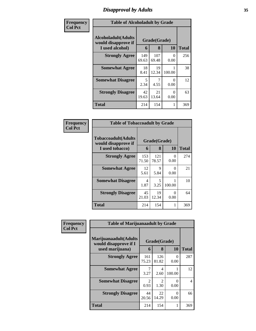# *Disapproval by Adults* **35**

| Frequency      | <b>Table of Alcoholadult by Grade</b>                                 |              |                   |                  |              |  |
|----------------|-----------------------------------------------------------------------|--------------|-------------------|------------------|--------------|--|
| <b>Col Pct</b> | <b>Alcoholadult</b> (Adults<br>would disapprove if<br>I used alcohol) | 6            | Grade(Grade)<br>8 | 10               | <b>Total</b> |  |
|                | <b>Strongly Agree</b>                                                 | 149<br>69.63 | 107<br>69.48      | 0<br>0.00        | 256          |  |
|                | <b>Somewhat Agree</b>                                                 | 18<br>8.41   | 19<br>12.34       | 100.00           | 38           |  |
|                | <b>Somewhat Disagree</b>                                              | 5<br>2.34    | 4.55              | $\Omega$<br>0.00 | 12           |  |
|                | <b>Strongly Disagree</b>                                              | 42<br>19.63  | 21<br>13.64       | $\Omega$<br>0.00 | 63           |  |
|                | <b>Total</b>                                                          | 214          | 154               | 1                | 369          |  |

| Frequency      | <b>Table of Tobaccoadult by Grade</b>                         |              |                   |                  |              |
|----------------|---------------------------------------------------------------|--------------|-------------------|------------------|--------------|
| <b>Col Pct</b> | Tobaccoadult(Adults<br>would disapprove if<br>I used tobacco) | 6            | Grade(Grade)<br>8 | 10               | <b>Total</b> |
|                | <b>Strongly Agree</b>                                         | 153<br>71.50 | 121<br>78.57      | $\Omega$<br>0.00 | 274          |
|                | <b>Somewhat Agree</b>                                         | 12<br>5.61   | 9<br>5.84         | $\Omega$<br>0.00 | 21           |
|                | <b>Somewhat Disagree</b>                                      | 4<br>1.87    | 5<br>3.25         | 100.00           | 10           |
|                | <b>Strongly Disagree</b>                                      | 45<br>21.03  | 19<br>12.34       | $\Omega$<br>0.00 | 64           |
|                | <b>Total</b>                                                  | 214          | 154               |                  | 369          |

| Frequency<br><b>Col Pct</b> | <b>Table of Marijuanaadult by Grade</b>                           |                        |                        |           |              |
|-----------------------------|-------------------------------------------------------------------|------------------------|------------------------|-----------|--------------|
|                             | Marijuanaadult(Adults<br>would disapprove if I<br>used marijuana) | 6                      | Grade(Grade)<br>8      | 10        | <b>Total</b> |
|                             | <b>Strongly Agree</b>                                             | 161<br>75.23           | 126<br>81.82           | 0<br>0.00 | 287          |
|                             | <b>Somewhat Agree</b>                                             | 3.27                   | 4<br>2.60              | 100.00    | 12           |
|                             | <b>Somewhat Disagree</b>                                          | $\mathfrak{D}$<br>0.93 | $\mathfrak{D}$<br>1.30 | 0<br>0.00 | 4            |
|                             | <b>Strongly Disagree</b>                                          | 44<br>20.56            | 22<br>14.29            | 0<br>0.00 | 66           |
|                             | <b>Total</b>                                                      | 214                    | 154                    |           | 369          |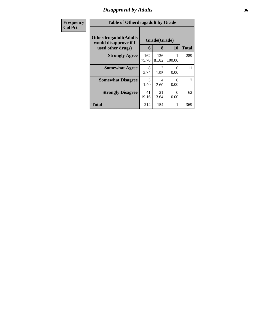# *Disapproval by Adults* **36**

| Frequency      | <b>Table of Otherdrugadult by Grade</b>                                     |              |                   |                           |              |
|----------------|-----------------------------------------------------------------------------|--------------|-------------------|---------------------------|--------------|
| <b>Col Pct</b> | <b>Otherdrugadult</b> (Adults<br>would disapprove if I<br>used other drugs) | 6            | Grade(Grade)<br>8 | 10                        | <b>Total</b> |
|                | <b>Strongly Agree</b>                                                       | 162<br>75.70 | 126<br>81.82      | 100.00                    | 289          |
|                | <b>Somewhat Agree</b>                                                       | 8<br>3.74    | 3<br>1.95         | $\mathbf{\Omega}$<br>0.00 | 11           |
|                | <b>Somewhat Disagree</b>                                                    | 3<br>1.40    | 4<br>2.60         | $\mathcal{O}$<br>0.00     | 7            |
|                | <b>Strongly Disagree</b>                                                    | 41<br>19.16  | 21<br>13.64       | $\mathbf{\Omega}$<br>0.00 | 62           |
|                | <b>Total</b>                                                                | 214          | 154               | 1                         | 369          |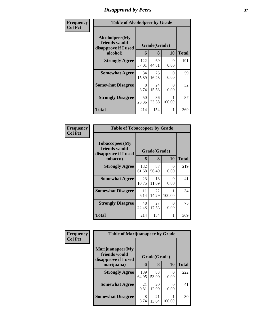# *Disapproval by Peers* **37**

| Frequency      | <b>Table of Alcoholpeer by Grade</b>                    |              |             |                  |              |  |  |
|----------------|---------------------------------------------------------|--------------|-------------|------------------|--------------|--|--|
| <b>Col Pct</b> | Alcoholpeer(My<br>friends would<br>disapprove if I used | Grade(Grade) |             |                  |              |  |  |
|                | alcohol)                                                | 6            | 8           | <b>10</b>        | <b>Total</b> |  |  |
|                | <b>Strongly Agree</b>                                   | 122<br>57.01 | 69<br>44.81 | 0<br>0.00        | 191          |  |  |
|                | <b>Somewhat Agree</b>                                   | 34<br>15.89  | 25<br>16.23 | 0<br>0.00        | 59           |  |  |
|                | <b>Somewhat Disagree</b>                                | 8<br>3.74    | 24<br>15.58 | $\Omega$<br>0.00 | 32           |  |  |
|                | <b>Strongly Disagree</b>                                | 50<br>23.36  | 36<br>23.38 | 100.00           | 87           |  |  |
|                | <b>Total</b>                                            | 214          | 154         | 1                | 369          |  |  |

| Frequency      | <b>Table of Tobaccopeer by Grade</b>                                |                                     |             |                  |              |  |  |
|----------------|---------------------------------------------------------------------|-------------------------------------|-------------|------------------|--------------|--|--|
| <b>Col Pct</b> | Tobaccopeer(My<br>friends would<br>disapprove if I used<br>tobacco) | Grade(Grade)<br><b>10</b><br>8<br>6 |             |                  | <b>Total</b> |  |  |
|                | <b>Strongly Agree</b>                                               | 132<br>61.68                        | 87<br>56.49 | 0<br>0.00        | 219          |  |  |
|                | <b>Somewhat Agree</b>                                               | 23<br>10.75                         | 18<br>11.69 | $\theta$<br>0.00 | 41           |  |  |
|                | <b>Somewhat Disagree</b>                                            | 11<br>5.14                          | 22<br>14.29 | 100.00           | 34           |  |  |
|                | <b>Strongly Disagree</b>                                            | 48<br>22.43                         | 27<br>17.53 | 0<br>0.00        | 75           |  |  |
|                | Total                                                               | 214                                 | 154         | 1                | 369          |  |  |

| Frequency      | <b>Table of Marijuanapeer by Grade</b>                    |              |             |           |              |
|----------------|-----------------------------------------------------------|--------------|-------------|-----------|--------------|
| <b>Col Pct</b> | Marijuanapeer(My<br>friends would<br>disapprove if I used | Grade(Grade) |             |           |              |
|                | marijuana)                                                | 6            | 8           | <b>10</b> | <b>Total</b> |
|                | <b>Strongly Agree</b>                                     | 139<br>64.95 | 83<br>53.90 | 0.00      | 222          |
|                | <b>Somewhat Agree</b>                                     | 21<br>9.81   | 20<br>12.99 | 0.00      | 41           |
|                | <b>Somewhat Disagree</b>                                  | 8<br>3.74    | 21<br>13.64 | 100.00    | 30           |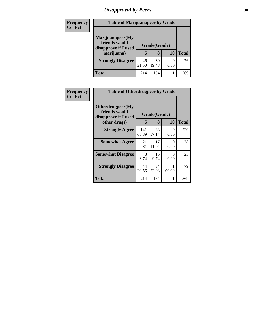# *Disapproval by Peers* **38**

| <b>Frequency</b> |                                                           | <b>Table of Marijuanapeer by Grade</b> |             |      |              |  |
|------------------|-----------------------------------------------------------|----------------------------------------|-------------|------|--------------|--|
| <b>Col Pct</b>   | Marijuanapeer(My<br>friends would<br>disapprove if I used | Grade(Grade)                           |             |      |              |  |
|                  | marijuana)                                                | 6                                      | 8           | 10   | <b>Total</b> |  |
|                  | <b>Strongly Disagree</b>                                  | 46<br>21.50                            | 30<br>19.48 | 0.00 | 76           |  |
|                  | Total                                                     | 214                                    | 154         |      | 369          |  |

| <b>Frequency</b> | <b>Table of Otherdrugpeer by Grade</b>                                    |              |                   |                      |       |  |  |  |
|------------------|---------------------------------------------------------------------------|--------------|-------------------|----------------------|-------|--|--|--|
| <b>Col Pct</b>   | Otherdrugpeer(My<br>friends would<br>disapprove if I used<br>other drugs) | 6            | Grade(Grade)<br>8 | 10                   | Total |  |  |  |
|                  | <b>Strongly Agree</b>                                                     | 141<br>65.89 | 88<br>57.14       | $\mathbf{0}$<br>0.00 | 229   |  |  |  |
|                  | <b>Somewhat Agree</b>                                                     | 21<br>9.81   | 17<br>11.04       | 0<br>0.00            | 38    |  |  |  |
|                  | <b>Somewhat Disagree</b>                                                  | 8<br>3.74    | 15<br>9.74        | 0<br>0.00            | 23    |  |  |  |
|                  | <b>Strongly Disagree</b>                                                  | 44<br>20.56  | 34<br>22.08       | 100.00               | 79    |  |  |  |
|                  | Total                                                                     | 214          | 154               |                      | 369   |  |  |  |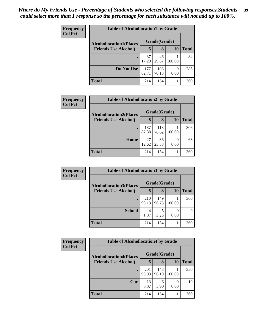| Frequency      | <b>Table of Alcohollocation1 by Grade</b> |              |              |        |              |  |  |  |
|----------------|-------------------------------------------|--------------|--------------|--------|--------------|--|--|--|
| <b>Col Pct</b> | <b>Alcohollocation1(Places</b>            |              | Grade(Grade) |        |              |  |  |  |
|                | <b>Friends Use Alcohol)</b>               | 6            | 8            | 10     | <b>Total</b> |  |  |  |
|                |                                           | 37<br>17.29  | 46<br>29.87  | 100.00 | 84           |  |  |  |
|                | Do Not Use                                | 177<br>82.71 | 108<br>70.13 | 0.00   | 285          |  |  |  |
|                | <b>Total</b>                              | 214          | 154          |        | 369          |  |  |  |

| Frequency      | <b>Table of Alcohollocation2 by Grade</b> |              |              |        |              |  |  |  |
|----------------|-------------------------------------------|--------------|--------------|--------|--------------|--|--|--|
| <b>Col Pct</b> | <b>Alcohollocation2(Places</b>            |              | Grade(Grade) |        |              |  |  |  |
|                | <b>Friends Use Alcohol)</b>               | 6            | 8            | 10     | <b>Total</b> |  |  |  |
|                |                                           | 187<br>87.38 | 118<br>76.62 | 100.00 | 306          |  |  |  |
|                | Home                                      | 27<br>12.62  | 36<br>23.38  | 0.00   | 63           |  |  |  |
|                | <b>Total</b>                              | 214          | 154          |        | 369          |  |  |  |

| Frequency      | <b>Table of Alcohollocation 3 by Grade</b> |              |              |        |              |  |
|----------------|--------------------------------------------|--------------|--------------|--------|--------------|--|
| <b>Col Pct</b> | <b>Alcohollocation3(Places</b>             |              | Grade(Grade) |        |              |  |
|                | <b>Friends Use Alcohol)</b>                | 6            | 8            | 10     | <b>Total</b> |  |
|                |                                            | 210<br>98.13 | 149<br>96.75 | 100.00 | 360          |  |
|                | <b>School</b>                              | 4<br>1.87    | 5<br>3.25    | 0.00   | 9            |  |
|                | <b>Total</b>                               | 214          | 154          |        | 369          |  |

| <b>Frequency</b> | <b>Table of Alcohollocation4 by Grade</b> |              |              |           |              |  |
|------------------|-------------------------------------------|--------------|--------------|-----------|--------------|--|
| <b>Col Pct</b>   | <b>Alcohollocation4(Places</b>            |              | Grade(Grade) |           |              |  |
|                  | <b>Friends Use Alcohol)</b>               | 6            | 8            | <b>10</b> | <b>Total</b> |  |
|                  |                                           | 201<br>93.93 | 148<br>96.10 | 100.00    | 350          |  |
|                  | Car                                       | 13<br>6.07   | 6<br>3.90    | 0.00      | 19           |  |
|                  | <b>Total</b>                              | 214          | 154          |           | 369          |  |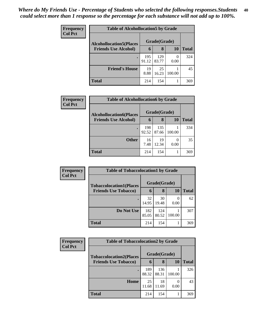| <b>Frequency</b><br><b>Col Pct</b> | <b>Table of Alcohollocation5 by Grade</b> |              |              |           |              |  |
|------------------------------------|-------------------------------------------|--------------|--------------|-----------|--------------|--|
|                                    | <b>Alcohollocation5(Places</b>            | Grade(Grade) |              |           |              |  |
|                                    | <b>Friends Use Alcohol)</b>               | 6            | 8            | <b>10</b> | <b>Total</b> |  |
|                                    |                                           | 195<br>91.12 | 129<br>83.77 | 0<br>0.00 | 324          |  |
|                                    | <b>Friend's House</b>                     | 19<br>8.88   | 25<br>16.23  | 100.00    | 45           |  |
|                                    | <b>Total</b>                              | 214          | 154          |           | 369          |  |

| Frequency      | <b>Table of Alcohollocation6 by Grade</b> |              |              |        |              |  |  |  |
|----------------|-------------------------------------------|--------------|--------------|--------|--------------|--|--|--|
| <b>Col Pct</b> | <b>Alcohollocation6(Places</b>            |              | Grade(Grade) |        |              |  |  |  |
|                | <b>Friends Use Alcohol)</b>               | 6            | 8            | 10     | <b>Total</b> |  |  |  |
|                |                                           | 198<br>92.52 | 135<br>87.66 | 100.00 | 334          |  |  |  |
|                | <b>Other</b>                              | 16<br>7.48   | 19<br>12.34  | 0.00   | 35           |  |  |  |
|                | <b>Total</b>                              | 214          | 154          |        | 369          |  |  |  |

| <b>Frequency</b> | <b>Table of Tobaccolocation1 by Grade</b> |              |              |        |              |
|------------------|-------------------------------------------|--------------|--------------|--------|--------------|
| <b>Col Pct</b>   | <b>Tobaccolocation1(Places</b>            |              | Grade(Grade) |        |              |
|                  | <b>Friends Use Tobacco)</b>               | 6            | 8            | 10     | <b>Total</b> |
|                  |                                           | 32<br>14.95  | 30<br>19.48  | 0.00   | 62           |
|                  | Do Not Use                                | 182<br>85.05 | 124<br>80.52 | 100.00 | 307          |
|                  | <b>Total</b>                              | 214          | 154          |        | 369          |

| <b>Frequency</b> | <b>Table of Tobaccolocation2 by Grade</b> |              |              |        |       |  |  |  |  |
|------------------|-------------------------------------------|--------------|--------------|--------|-------|--|--|--|--|
| <b>Col Pct</b>   | <b>Tobaccolocation2(Places</b>            |              | Grade(Grade) |        |       |  |  |  |  |
|                  | <b>Friends Use Tobacco)</b>               | 6            | 8            | 10     | Total |  |  |  |  |
|                  |                                           | 189<br>88.32 | 136<br>88.31 | 100.00 | 326   |  |  |  |  |
|                  | Home                                      | 25<br>11.68  | 18<br>11.69  | 0.00   | 43    |  |  |  |  |
|                  | Total                                     | 214          | 154          |        | 369   |  |  |  |  |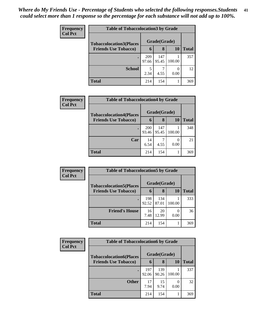| <b>Frequency</b> | <b>Table of Tobaccolocation3 by Grade</b> |              |              |        |       |  |  |  |
|------------------|-------------------------------------------|--------------|--------------|--------|-------|--|--|--|
| <b>Col Pct</b>   | <b>Tobaccolocation3(Places</b>            | Grade(Grade) |              |        |       |  |  |  |
|                  | <b>Friends Use Tobacco)</b>               | 6            | 8            | 10     | Total |  |  |  |
|                  |                                           | 209<br>97.66 | 147<br>95.45 | 100.00 | 357   |  |  |  |
|                  | <b>School</b>                             | 5<br>2.34    | 4.55         | 0.00   | 12    |  |  |  |
|                  | <b>Total</b>                              | 214          | 154          |        | 369   |  |  |  |

| Frequency      | <b>Table of Tobaccolocation4 by Grade</b>                     |       |                   |        |       |  |  |
|----------------|---------------------------------------------------------------|-------|-------------------|--------|-------|--|--|
| <b>Col Pct</b> | <b>Tobaccolocation4(Places</b><br><b>Friends Use Tobacco)</b> | 6     | Grade(Grade)<br>8 | 10     | Total |  |  |
|                |                                                               |       |                   |        |       |  |  |
|                | $\bullet$                                                     | 200   | 147               |        | 348   |  |  |
|                |                                                               | 93.46 | 95.45             | 100.00 |       |  |  |
|                | Car                                                           | 14    |                   |        | 21    |  |  |
|                |                                                               | 6.54  | 4.55              | 0.00   |       |  |  |
|                | <b>Total</b>                                                  | 214   | 154               |        | 369   |  |  |

| <b>Frequency</b> | <b>Table of Tobaccolocation5 by Grade</b>                     |              |              |        |              |  |
|------------------|---------------------------------------------------------------|--------------|--------------|--------|--------------|--|
| <b>Col Pct</b>   | <b>Tobaccolocation5(Places</b><br><b>Friends Use Tobacco)</b> |              | Grade(Grade) |        |              |  |
|                  |                                                               | 6            | 8            | 10     | <b>Total</b> |  |
|                  |                                                               | 198<br>92.52 | 134<br>87.01 | 100.00 | 333          |  |
|                  | <b>Friend's House</b>                                         | 16<br>7.48   | 20<br>12.99  | 0.00   | 36           |  |
|                  | <b>Total</b>                                                  | 214          | 154          |        | 369          |  |

| Frequency      | <b>Table of Tobaccolocation6 by Grade</b>                     |              |              |        |              |  |  |
|----------------|---------------------------------------------------------------|--------------|--------------|--------|--------------|--|--|
| <b>Col Pct</b> | <b>Tobaccolocation6(Places</b><br><b>Friends Use Tobacco)</b> | Grade(Grade) |              |        |              |  |  |
|                |                                                               | 6            | 8            | 10     | <b>Total</b> |  |  |
|                |                                                               | 197<br>92.06 | 139<br>90.26 | 100.00 | 337          |  |  |
|                | <b>Other</b>                                                  | 17<br>7.94   | 15<br>9.74   | 0.00   | 32           |  |  |
|                | <b>Total</b>                                                  | 214          | 154          |        | 369          |  |  |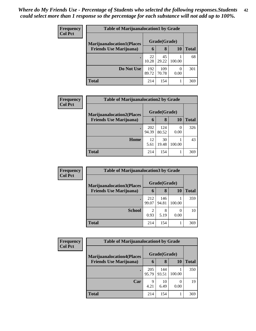| <b>Frequency</b> | <b>Table of Marijuanalocation1 by Grade</b> |              |              |        |              |  |  |
|------------------|---------------------------------------------|--------------|--------------|--------|--------------|--|--|
| <b>Col Pct</b>   | <b>Marijuanalocation1(Places</b>            |              | Grade(Grade) |        |              |  |  |
|                  | <b>Friends Use Marijuana</b> )              | 6            | 8            | 10     | <b>Total</b> |  |  |
|                  |                                             | 22<br>10.28  | 45<br>29.22  | 100.00 | 68           |  |  |
|                  | Do Not Use                                  | 192<br>89.72 | 109<br>70.78 | 0.00   | 301          |  |  |
|                  | <b>Total</b>                                | 214          | 154          |        | 369          |  |  |

| <b>Frequency</b> | <b>Table of Marijuanalocation2 by Grade</b> |              |              |           |       |  |  |
|------------------|---------------------------------------------|--------------|--------------|-----------|-------|--|--|
| <b>Col Pct</b>   | <b>Marijuanalocation2(Places)</b>           |              | Grade(Grade) |           |       |  |  |
|                  | <b>Friends Use Marijuana</b> )              | 6            | 8            | 10        | Total |  |  |
|                  |                                             | 202<br>94.39 | 124<br>80.52 | 0<br>0.00 | 326   |  |  |
|                  | <b>Home</b>                                 | 12<br>5.61   | 30<br>19.48  | 100.00    | 43    |  |  |
|                  | <b>Total</b>                                | 214          | 154          |           | 369   |  |  |

| Frequency      | <b>Table of Marijuanalocation3 by Grade</b>                        |              |              |        |       |  |  |
|----------------|--------------------------------------------------------------------|--------------|--------------|--------|-------|--|--|
| <b>Col Pct</b> | <b>Marijuanalocation3(Places</b><br><b>Friends Use Marijuana</b> ) |              | Grade(Grade) |        |       |  |  |
|                |                                                                    | 6            | 8            | 10     | Total |  |  |
|                |                                                                    | 212<br>99.07 | 146<br>94.81 | 100.00 | 359   |  |  |
|                | <b>School</b>                                                      | 2<br>0.93    | 8<br>5.19    | 0.00   | 10    |  |  |
|                | <b>Total</b>                                                       | 214          | 154          |        | 369   |  |  |

| <b>Frequency</b> | <b>Table of Marijuanalocation4 by Grade</b> |              |              |           |       |
|------------------|---------------------------------------------|--------------|--------------|-----------|-------|
| <b>Col Pct</b>   | <b>Marijuanalocation4(Places</b>            |              | Grade(Grade) |           |       |
|                  | <b>Friends Use Marijuana</b> )              | $\mathbf b$  | 8            | 10        | Total |
|                  |                                             | 205<br>95.79 | 144<br>93.51 | 100.00    | 350   |
|                  | Car                                         | 9<br>4.21    | 10<br>6.49   | 0<br>0.00 | 19    |
|                  | Total                                       | 214          | 154          |           | 369   |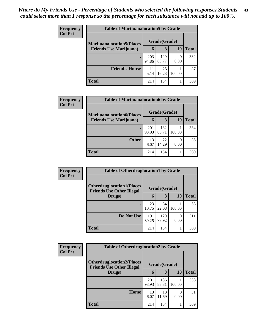| <b>Frequency</b> | <b>Table of Marijuanalocation5 by Grade</b>                         |              |              |        |       |
|------------------|---------------------------------------------------------------------|--------------|--------------|--------|-------|
| <b>Col Pct</b>   | <b>Marijuanalocation5</b> (Places<br><b>Friends Use Marijuana</b> ) |              | Grade(Grade) |        |       |
|                  |                                                                     | 6            | 8            | 10     | Total |
|                  |                                                                     | 203<br>94.86 | 129<br>83.77 | 0.00   | 332   |
|                  | <b>Friend's House</b>                                               | 11<br>5.14   | 25<br>16.23  | 100.00 | 37    |
|                  | Total                                                               | 214          | 154          |        | 369   |

| Frequency      | <b>Table of Marijuanalocation6 by Grade</b> |              |              |           |              |  |  |  |
|----------------|---------------------------------------------|--------------|--------------|-----------|--------------|--|--|--|
| <b>Col Pct</b> | <b>Marijuanalocation6(Places</b>            |              | Grade(Grade) |           |              |  |  |  |
|                | <b>Friends Use Marijuana</b> )              | 6            | 8            | 10        | <b>Total</b> |  |  |  |
|                |                                             | 201<br>93.93 | 132<br>85.71 | 100.00    | 334          |  |  |  |
|                | <b>Other</b>                                | 13<br>6.07   | 22<br>14.29  | 0<br>0.00 | 35           |  |  |  |
|                | <b>Total</b>                                | 214          | 154          |           | 369          |  |  |  |

| <b>Frequency</b> | <b>Table of Otherdruglocation1 by Grade</b>                          |              |              |        |       |  |
|------------------|----------------------------------------------------------------------|--------------|--------------|--------|-------|--|
| <b>Col Pct</b>   | <b>Otherdruglocation1(Places</b><br><b>Friends Use Other Illegal</b> |              | Grade(Grade) |        |       |  |
|                  | Drugs)                                                               | 6            | 8            | 10     | Total |  |
|                  | $\bullet$                                                            | 23<br>10.75  | 34<br>22.08  | 100.00 | 58    |  |
|                  | Do Not Use                                                           | 191<br>89.25 | 120<br>77.92 | 0.00   | 311   |  |
|                  | <b>Total</b>                                                         | 214          | 154          |        | 369   |  |

| Frequency      | <b>Table of Otherdruglocation2 by Grade</b>                          |              |              |        |              |
|----------------|----------------------------------------------------------------------|--------------|--------------|--------|--------------|
| <b>Col Pct</b> | <b>Otherdruglocation2(Places</b><br><b>Friends Use Other Illegal</b> |              | Grade(Grade) |        |              |
|                | Drugs)                                                               | 6            | 8            | 10     | <b>Total</b> |
|                | ٠                                                                    | 201<br>93.93 | 136<br>88.31 | 100.00 | 338          |
|                | Home                                                                 | 13<br>6.07   | 18<br>11.69  | 0.00   | 31           |
|                | Total                                                                | 214          | 154          |        | 369          |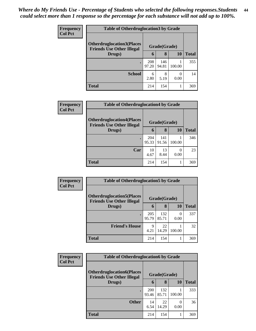| <b>Frequency</b> | <b>Table of Otherdruglocation 3 by Grade</b>                          |              |              |                  |       |
|------------------|-----------------------------------------------------------------------|--------------|--------------|------------------|-------|
| <b>Col Pct</b>   | <b>Otherdruglocation3(Places)</b><br><b>Friends Use Other Illegal</b> |              | Grade(Grade) |                  |       |
|                  | Drugs)                                                                | $\mathbf b$  | 8            | 10               | Total |
|                  | ٠                                                                     | 208<br>97.20 | 146<br>94.81 | 100.00           | 355   |
|                  | <b>School</b>                                                         | 6<br>2.80    | 8<br>5.19    | $\Omega$<br>0.00 | 14    |
|                  | <b>Total</b>                                                          | 214          | 154          |                  | 369   |

| <b>Frequency</b> | <b>Table of Otherdruglocation4 by Grade</b>                           |              |              |           |              |  |
|------------------|-----------------------------------------------------------------------|--------------|--------------|-----------|--------------|--|
| <b>Col Pct</b>   | <b>Otherdruglocation4(Places)</b><br><b>Friends Use Other Illegal</b> |              | Grade(Grade) |           |              |  |
|                  | Drugs)                                                                | 6            | 8            | 10        | <b>Total</b> |  |
|                  |                                                                       | 204<br>95.33 | 141<br>91.56 | 100.00    | 346          |  |
|                  | Car                                                                   | 10<br>4.67   | 13<br>8.44   | 0<br>0.00 | 23           |  |
|                  | <b>Total</b>                                                          | 214          | 154          |           | 369          |  |

| <b>Frequency</b> | <b>Table of Otherdruglocation5 by Grade</b>                          |              |              |        |              |
|------------------|----------------------------------------------------------------------|--------------|--------------|--------|--------------|
| <b>Col Pct</b>   | <b>Otherdruglocation5(Places</b><br><b>Friends Use Other Illegal</b> |              | Grade(Grade) |        |              |
|                  | Drugs)                                                               | 6            | 8            | 10     | <b>Total</b> |
|                  |                                                                      | 205<br>95.79 | 132<br>85.71 | 0.00   | 337          |
|                  | <b>Friend's House</b>                                                | 9<br>4.21    | 22<br>14.29  | 100.00 | 32           |
|                  | Total                                                                | 214          | 154          |        | 369          |

| <b>Frequency</b> | <b>Table of Otherdruglocation6 by Grade</b>                          |                     |              |        |              |  |
|------------------|----------------------------------------------------------------------|---------------------|--------------|--------|--------------|--|
| <b>Col Pct</b>   | <b>Otherdruglocation6(Places</b><br><b>Friends Use Other Illegal</b> |                     | Grade(Grade) |        |              |  |
|                  | Drugs)                                                               | 6                   | 8            | 10     | <b>Total</b> |  |
|                  |                                                                      | <b>200</b><br>93.46 | 132<br>85.71 | 100.00 | 333          |  |
|                  | <b>Other</b>                                                         | 14<br>6.54          | 22<br>14.29  | 0.00   | 36           |  |
|                  | <b>Total</b>                                                         | 214                 | 154          |        | 369          |  |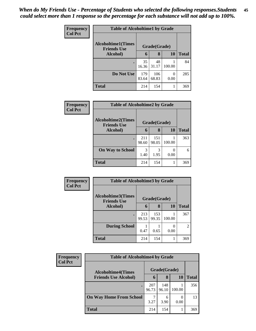| <b>Frequency</b> | <b>Table of Alcoholtime1 by Grade</b>           |              |              |           |              |  |  |
|------------------|-------------------------------------------------|--------------|--------------|-----------|--------------|--|--|
| <b>Col Pct</b>   | <b>Alcoholtime1(Times</b><br><b>Friends Use</b> |              | Grade(Grade) |           |              |  |  |
|                  | Alcohol)                                        | 6            | 8            | 10        | <b>Total</b> |  |  |
|                  | ٠                                               | 35<br>16.36  | 48<br>31.17  | 100.00    | 84           |  |  |
|                  | Do Not Use                                      | 179<br>83.64 | 106<br>68.83 | 0<br>0.00 | 285          |  |  |
|                  | <b>Total</b>                                    | 214          | 154          |           | 369          |  |  |

| Frequency      | <b>Table of Alcoholtime2 by Grade</b>           |              |              |        |              |  |
|----------------|-------------------------------------------------|--------------|--------------|--------|--------------|--|
| <b>Col Pct</b> | <b>Alcoholtime2(Times</b><br><b>Friends Use</b> | Grade(Grade) |              |        |              |  |
|                | Alcohol)                                        | 6            | 8            | 10     | <b>Total</b> |  |
|                | ٠                                               | 211<br>98.60 | 151<br>98.05 | 100.00 | 363          |  |
|                | <b>On Way to School</b>                         | 3<br>1.40    | 3<br>1.95    | 0.00   |              |  |
|                | <b>Total</b>                                    | 214          | 154          |        | 369          |  |

| Frequency      | <b>Table of Alcoholtime3 by Grade</b>           |              |              |        |              |
|----------------|-------------------------------------------------|--------------|--------------|--------|--------------|
| <b>Col Pct</b> | <b>Alcoholtime3(Times</b><br><b>Friends Use</b> |              | Grade(Grade) |        |              |
|                | Alcohol)                                        | 6            | 8            | 10     | <b>Total</b> |
|                | $\bullet$                                       | 213<br>99.53 | 153<br>99.35 | 100.00 | 367          |
|                | <b>During School</b>                            | 0.47         | 0.65         | 0.00   | 2            |
|                | <b>Total</b>                                    | 214          | 154          |        | 369          |

| Frequency<br><b>Col Pct</b> | <b>Table of Alcoholtime4 by Grade</b>                    |              |              |        |              |  |
|-----------------------------|----------------------------------------------------------|--------------|--------------|--------|--------------|--|
|                             | <b>Alcoholtime4(Times</b><br><b>Friends Use Alcohol)</b> |              | Grade(Grade) |        |              |  |
|                             |                                                          | 6            | 8            | 10     | <b>Total</b> |  |
|                             |                                                          | 207<br>96.73 | 148<br>96.10 | 100.00 | 356          |  |
|                             | <b>On Way Home From School</b>                           | 7<br>3.27    | 6<br>3.90    | 0.00   | 13           |  |
|                             | <b>Total</b>                                             | 214          | 154          |        | 369          |  |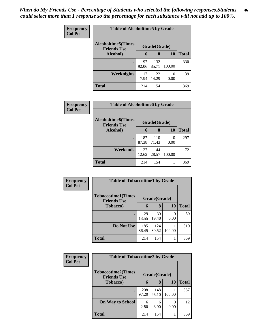| Frequency      | <b>Table of Alcoholtime5 by Grade</b>           |              |              |        |              |
|----------------|-------------------------------------------------|--------------|--------------|--------|--------------|
| <b>Col Pct</b> | <b>Alcoholtime5(Times</b><br><b>Friends Use</b> |              | Grade(Grade) |        |              |
|                | Alcohol)                                        | 6            | 8            | 10     | <b>Total</b> |
|                | ٠                                               | 197<br>92.06 | 132<br>85.71 | 100.00 | 330          |
|                | Weeknights                                      | 17<br>7.94   | 22<br>14.29  | 0.00   | 39           |
|                | <b>Total</b>                                    | 214          | 154          | 1      | 369          |

| <b>Frequency</b> | <b>Table of Alcoholtime6 by Grade</b>           |              |              |           |              |  |
|------------------|-------------------------------------------------|--------------|--------------|-----------|--------------|--|
| <b>Col Pct</b>   | <b>Alcoholtime6(Times</b><br><b>Friends Use</b> | Grade(Grade) |              |           |              |  |
|                  | Alcohol)                                        | 6            | 8            | <b>10</b> | <b>Total</b> |  |
|                  | ٠                                               | 187<br>87.38 | 110<br>71.43 | 0<br>0.00 | 297          |  |
|                  | Weekends                                        | 27<br>12.62  | 44<br>28.57  | 100.00    | 72           |  |
|                  | <b>Total</b>                                    | 214          | 154          |           | 369          |  |

| Frequency      | <b>Table of Tobaccotime1 by Grade</b>           |              |              |                  |              |  |
|----------------|-------------------------------------------------|--------------|--------------|------------------|--------------|--|
| <b>Col Pct</b> | <b>Tobaccotime1(Times</b><br><b>Friends Use</b> |              | Grade(Grade) |                  |              |  |
|                | <b>Tobacco</b> )                                | 6            | 8            | 10               | <b>Total</b> |  |
|                |                                                 | 29<br>13.55  | 30<br>19.48  | $\Omega$<br>0.00 | 59           |  |
|                | Do Not Use                                      | 185<br>86.45 | 124<br>80.52 | 100.00           | 310          |  |
|                | <b>Total</b>                                    | 214          | 154          |                  | 369          |  |

| Frequency      | <b>Table of Tobaccotime2 by Grade</b>           |              |              |           |              |
|----------------|-------------------------------------------------|--------------|--------------|-----------|--------------|
| <b>Col Pct</b> | <b>Tobaccotime2(Times</b><br><b>Friends Use</b> |              | Grade(Grade) |           |              |
|                | <b>Tobacco</b> )                                | 6            | 8            | <b>10</b> | <b>Total</b> |
|                | $\bullet$                                       | 208<br>97.20 | 148<br>96.10 | 100.00    | 357          |
|                | <b>On Way to School</b>                         | 6<br>2.80    | 6<br>3.90    | 0.00      | 12           |
|                | <b>Total</b>                                    | 214          | 154          |           | 369          |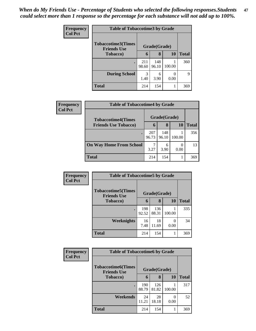| Frequency<br><b>Col Pct</b> | <b>Table of Tobaccotime3 by Grade</b>           |              |              |        |              |  |
|-----------------------------|-------------------------------------------------|--------------|--------------|--------|--------------|--|
|                             | <b>Tobaccotime3(Times</b><br><b>Friends Use</b> |              | Grade(Grade) |        |              |  |
|                             | <b>Tobacco</b> )                                | 6            | 8            | 10     | <b>Total</b> |  |
|                             | $\bullet$                                       | 211<br>98.60 | 148<br>96.10 | 100.00 | 360          |  |
|                             | <b>During School</b>                            | 3<br>1.40    | 6<br>3.90    | 0.00   | 9            |  |
|                             | <b>Total</b>                                    | 214          | 154          | 1      | 369          |  |

| <b>Frequency</b> | <b>Table of Tobaccotime4 by Grade</b>                    |              |              |        |              |  |
|------------------|----------------------------------------------------------|--------------|--------------|--------|--------------|--|
| <b>Col Pct</b>   | <b>Tobaccotime4(Times</b><br><b>Friends Use Tobacco)</b> |              | Grade(Grade) |        |              |  |
|                  |                                                          | 6            | 8            | 10     | <b>Total</b> |  |
|                  |                                                          | 207<br>96.73 | 148<br>96.10 | 100.00 | 356          |  |
|                  | <b>On Way Home From School</b>                           | 3.27         | 6<br>3.90    | 0.00   | 13           |  |
|                  | <b>Total</b>                                             | 214          | 154          |        | 369          |  |

| <b>Frequency</b> | <b>Table of Tobaccotime5 by Grade</b>           |              |              |           |              |  |
|------------------|-------------------------------------------------|--------------|--------------|-----------|--------------|--|
| <b>Col Pct</b>   | <b>Tobaccotime5(Times</b><br><b>Friends Use</b> | Grade(Grade) |              |           |              |  |
|                  | <b>Tobacco</b> )                                | 6            | 8            | 10        | <b>Total</b> |  |
|                  |                                                 | 198<br>92.52 | 136<br>88.31 | 100.00    | 335          |  |
|                  | Weeknights                                      | 16<br>7.48   | 18<br>11.69  | 0<br>0.00 | 34           |  |
|                  | <b>Total</b>                                    | 214          | 154          | 1         | 369          |  |

| Frequency      | <b>Table of Tobaccotime6 by Grade</b>           |              |              |           |              |
|----------------|-------------------------------------------------|--------------|--------------|-----------|--------------|
| <b>Col Pct</b> | <b>Tobaccotime6(Times</b><br><b>Friends Use</b> |              | Grade(Grade) |           |              |
|                | <b>Tobacco</b> )                                | 6            | 8            | <b>10</b> | <b>Total</b> |
|                | ٠                                               | 190<br>88.79 | 126<br>81.82 | 100.00    | 317          |
|                | Weekends                                        | 24<br>11.21  | 28<br>18.18  | 0.00      | 52           |
|                | <b>Total</b>                                    | 214          | 154          |           | 369          |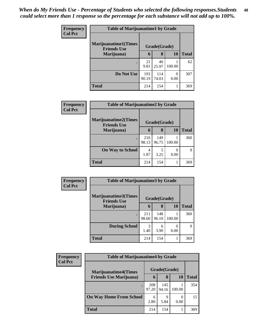| <b>Frequency</b> | <b>Table of Marijuanatime1 by Grade</b>            |              |              |           |              |
|------------------|----------------------------------------------------|--------------|--------------|-----------|--------------|
| <b>Col Pct</b>   | <b>Marijuanatime1</b> (Times<br><b>Friends Use</b> |              | Grade(Grade) |           |              |
|                  | Marijuana)                                         | $\mathbf 6$  | 8            | 10        | <b>Total</b> |
|                  |                                                    | 21<br>9.81   | 40<br>25.97  | 100.00    | 62           |
|                  | Do Not Use                                         | 193<br>90.19 | 114<br>74.03 | 0<br>0.00 | 307          |
|                  | <b>Total</b>                                       | 214          | 154          |           | 369          |

| Frequency      | <b>Table of Marijuanatime2 by Grade</b>            |              |              |        |              |
|----------------|----------------------------------------------------|--------------|--------------|--------|--------------|
| <b>Col Pct</b> | <b>Marijuanatime2</b> (Times<br><b>Friends Use</b> |              | Grade(Grade) |        |              |
|                | Marijuana)                                         | 6            | 8            | 10     | <b>Total</b> |
|                |                                                    | 210<br>98.13 | 149<br>96.75 | 100.00 | 360          |
|                | <b>On Way to School</b>                            | 4<br>1.87    | 5<br>3.25    | 0.00   | 9            |
|                | <b>Total</b>                                       | 214          | 154          |        | 369          |

| Frequency      | <b>Table of Marijuanatime3 by Grade</b>    |              |              |        |              |
|----------------|--------------------------------------------|--------------|--------------|--------|--------------|
| <b>Col Pct</b> | Marijuanatime3(Times<br><b>Friends Use</b> |              | Grade(Grade) |        |              |
|                | Marijuana)                                 | 6            | 8            | 10     | <b>Total</b> |
|                |                                            | 211<br>98.60 | 148<br>96.10 | 100.00 | 360          |
|                | <b>During School</b>                       | 3<br>1.40    | 6<br>3.90    | 0.00   | 9            |
|                | <b>Total</b>                               | 214          | 154          |        | 369          |

| <b>Frequency</b> | <b>Table of Marijuanatime4 by Grade</b> |              |              |        |              |
|------------------|-----------------------------------------|--------------|--------------|--------|--------------|
| <b>Col Pct</b>   | <b>Marijuanatime4(Times</b>             |              | Grade(Grade) |        |              |
|                  | <b>Friends Use Marijuana</b> )          | 6            | 8            | 10     | <b>Total</b> |
|                  |                                         | 208<br>97.20 | 145<br>94.16 | 100.00 | 354          |
|                  | <b>On Way Home From School</b>          | 6<br>2.80    | 9<br>5.84    | 0.00   | 15           |
|                  | <b>Total</b>                            | 214          | 154          |        | 369          |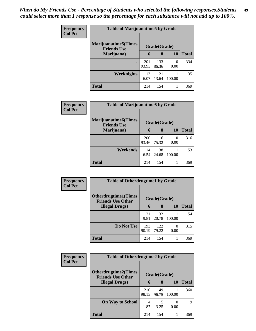| Frequency      | <b>Table of Marijuanatime5 by Grade</b>            |              |              |                       |              |
|----------------|----------------------------------------------------|--------------|--------------|-----------------------|--------------|
| <b>Col Pct</b> | <b>Marijuanatime5</b> (Times<br><b>Friends Use</b> |              | Grade(Grade) |                       |              |
|                | Marijuana)                                         | 6            | 8            | 10                    | <b>Total</b> |
|                |                                                    | 201<br>93.93 | 133<br>86.36 | $\mathcal{O}$<br>0.00 | 334          |
|                | <b>Weeknights</b>                                  | 13<br>6.07   | 21<br>13.64  | 100.00                | 35           |
|                | <b>Total</b>                                       | 214          | 154          |                       | 369          |

| Frequency      | <b>Table of Marijuanatime6 by Grade</b>            |                     |              |                  |              |
|----------------|----------------------------------------------------|---------------------|--------------|------------------|--------------|
| <b>Col Pct</b> | <b>Marijuanatime6</b> (Times<br><b>Friends Use</b> |                     | Grade(Grade) |                  |              |
|                | Marijuana)                                         | 6                   | 8            | 10               | <b>Total</b> |
|                |                                                    | <b>200</b><br>93.46 | 116<br>75.32 | $\left($<br>0.00 | 316          |
|                | Weekends                                           | 14<br>6.54          | 38<br>24.68  | 100.00           | 53           |
|                | <b>Total</b>                                       | 214                 | 154          |                  | 369          |

| Frequency      | <b>Table of Otherdrugtime1 by Grade</b>                 |              |              |                  |              |
|----------------|---------------------------------------------------------|--------------|--------------|------------------|--------------|
| <b>Col Pct</b> | <b>Otherdrugtime1(Times</b><br><b>Friends Use Other</b> |              | Grade(Grade) |                  |              |
|                | <b>Illegal Drugs</b> )                                  | 6            | 8            | 10               | <b>Total</b> |
|                |                                                         | 21<br>9.81   | 32<br>20.78  | 100.00           | 54           |
|                | Do Not Use                                              | 193<br>90.19 | 122<br>79.22 | $\left($<br>0.00 | 315          |
|                | <b>Total</b>                                            | 214          | 154          |                  | 369          |

| <b>Frequency</b> | <b>Table of Otherdrugtime2 by Grade</b>                 |              |              |                  |       |  |
|------------------|---------------------------------------------------------|--------------|--------------|------------------|-------|--|
| <b>Col Pct</b>   | <b>Otherdrugtime2(Times</b><br><b>Friends Use Other</b> |              | Grade(Grade) |                  |       |  |
|                  | <b>Illegal Drugs</b> )                                  | 6            | 8            | 10               | Total |  |
|                  | $\bullet$                                               | 210<br>98.13 | 149<br>96.75 | 100.00           | 360   |  |
|                  | <b>On Way to School</b>                                 | 4<br>1.87    | 5<br>3.25    | $\left($<br>0.00 | 9     |  |
|                  | Total                                                   | 214          | 154          |                  | 369   |  |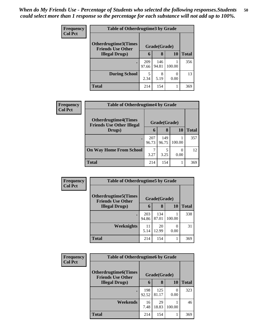| <b>Frequency</b> | <b>Table of Otherdrugtime3 by Grade</b>          |              |              |           |              |  |
|------------------|--------------------------------------------------|--------------|--------------|-----------|--------------|--|
| <b>Col Pct</b>   | Otherdrugtime3(Times<br><b>Friends Use Other</b> | Grade(Grade) |              |           |              |  |
|                  | <b>Illegal Drugs</b> )                           | 6            | 8            | 10        | <b>Total</b> |  |
|                  |                                                  | 209<br>97.66 | 146<br>94.81 | 100.00    | 356          |  |
|                  | <b>During School</b>                             | 5<br>2.34    | 8<br>5.19    | 0<br>0.00 | 13           |  |
|                  | <b>Total</b>                                     | 214          | 154          |           | 369          |  |

| <b>Frequency</b> | <b>Table of Otherdrugtime4 by Grade</b>                         |              |              |           |              |  |
|------------------|-----------------------------------------------------------------|--------------|--------------|-----------|--------------|--|
| <b>Col Pct</b>   | <b>Otherdrugtime4(Times</b><br><b>Friends Use Other Illegal</b> |              | Grade(Grade) |           |              |  |
|                  | Drugs)                                                          | 6            | 8            | 10        | <b>Total</b> |  |
|                  |                                                                 | 207<br>96.73 | 149<br>96.75 | 100.00    | 357          |  |
|                  | <b>On Way Home From School</b>                                  | 3.27         | 5<br>3.25    | 0<br>0.00 | 12           |  |
|                  | <b>Total</b>                                                    | 214          | 154          |           | 369          |  |

| <b>Frequency</b><br><b>Col Pct</b> | <b>Table of Otherdrugtime5 by Grade</b>                  |              |              |           |              |  |  |
|------------------------------------|----------------------------------------------------------|--------------|--------------|-----------|--------------|--|--|
|                                    | <b>Otherdrugtime5</b> (Times<br><b>Friends Use Other</b> |              | Grade(Grade) |           |              |  |  |
|                                    | <b>Illegal Drugs</b> )                                   | 6            | 8            | 10        | <b>Total</b> |  |  |
|                                    |                                                          | 203<br>94.86 | 134<br>87.01 | 100.00    | 338          |  |  |
|                                    | Weeknights                                               | 11<br>5.14   | 20<br>12.99  | 0<br>0.00 | 31           |  |  |
|                                    | <b>Total</b>                                             | 214          | 154          |           | 369          |  |  |

| <b>Frequency</b> | <b>Table of Otherdrugtime6 by Grade</b>                  |              |              |                   |              |  |
|------------------|----------------------------------------------------------|--------------|--------------|-------------------|--------------|--|
| <b>Col Pct</b>   | <b>Otherdrugtime6</b> (Times<br><b>Friends Use Other</b> |              | Grade(Grade) |                   |              |  |
|                  | <b>Illegal Drugs</b> )                                   | 6            | 8            | 10                | <b>Total</b> |  |
|                  |                                                          | 198<br>92.52 | 125<br>81.17 | $\bigcap$<br>0.00 | 323          |  |
|                  | Weekends                                                 | 16<br>7.48   | 29<br>18.83  | 100.00            | 46           |  |
|                  | <b>Total</b>                                             | 214          | 154          |                   | 369          |  |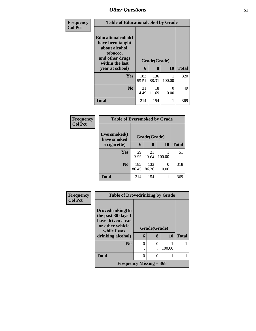| Frequency      | <b>Table of Educationalcohol by Grade</b>                                                                          |              |              |           |              |  |  |
|----------------|--------------------------------------------------------------------------------------------------------------------|--------------|--------------|-----------|--------------|--|--|
| <b>Col Pct</b> | <b>Educationalcohol</b> (I<br>have been taught<br>about alcohol,<br>tobacco,<br>and other drugs<br>within the last |              | Grade(Grade) |           |              |  |  |
|                | year at school)                                                                                                    | 6            | 8            | 10        | <b>Total</b> |  |  |
|                | Yes                                                                                                                | 183<br>85.51 | 136<br>88.31 | 100.00    | 320          |  |  |
|                | N <sub>0</sub>                                                                                                     | 31<br>14.49  | 18<br>11.69  | 0<br>0.00 | 49           |  |  |
|                | <b>Total</b>                                                                                                       | 214          | 154          |           | 369          |  |  |

| Frequency<br><b>Col Pct</b> | <b>Table of Eversmoked by Grade</b> |              |              |           |              |  |  |  |
|-----------------------------|-------------------------------------|--------------|--------------|-----------|--------------|--|--|--|
|                             | Eversmoked(I<br>have smoked         |              | Grade(Grade) |           |              |  |  |  |
|                             | a cigarette)                        | 6            | 8            | <b>10</b> | <b>Total</b> |  |  |  |
|                             | <b>Yes</b>                          | 29<br>13.55  | 21<br>13.64  | 100.00    | 51           |  |  |  |
|                             | N <sub>0</sub>                      | 185<br>86.45 | 133<br>86.36 | 0<br>0.00 | 318          |  |  |  |
|                             | <b>Total</b>                        | 214          | 154          |           | 369          |  |  |  |

| Frequency      | <b>Table of Drovedrinking by Grade</b>  |          |               |        |              |
|----------------|-----------------------------------------|----------|---------------|--------|--------------|
| <b>Col Pct</b> |                                         |          |               |        |              |
|                | Drovedrinking(In                        |          |               |        |              |
|                | the past 30 days I<br>have driven a car |          |               |        |              |
|                | or other vehicle<br>while I was         |          | Grade(Grade)  |        |              |
|                | drinking alcohol)                       | 6        | 8             | 10     | <b>Total</b> |
|                | N <sub>0</sub>                          | $\theta$ | $\theta$      |        |              |
|                |                                         |          |               | 100.00 |              |
|                | <b>Total</b>                            | 0        | $\mathcal{O}$ |        |              |
|                | Frequency Missing $=$ 368               |          |               |        |              |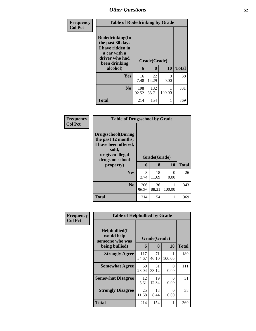| Frequency      | <b>Table of Rodedrinking by Grade</b>                                                                                  |              |                   |                           |              |
|----------------|------------------------------------------------------------------------------------------------------------------------|--------------|-------------------|---------------------------|--------------|
| <b>Col Pct</b> | Rodedrinking(In<br>the past 30 days<br>I have ridden in<br>a car with a<br>driver who had<br>been drinking<br>alcohol) | 6            | Grade(Grade)<br>8 | 10                        | <b>Total</b> |
|                | <b>Yes</b>                                                                                                             | 16<br>7.48   | 22<br>14.29       | $\mathbf{\Omega}$<br>0.00 | 38           |
|                | No.                                                                                                                    | 198<br>92.52 | 132<br>85.71      | 100.00                    | 331          |
|                | <b>Total</b>                                                                                                           | 214          | 154               |                           | 369          |

| Frequency      | <b>Table of Drugsschool by Grade</b>                                                                                                   |                   |              |           |     |
|----------------|----------------------------------------------------------------------------------------------------------------------------------------|-------------------|--------------|-----------|-----|
| <b>Col Pct</b> | <b>Drugsschool</b> (During<br>the past 12 months,<br>I have been offered,<br>sold,<br>or given illegal<br>drugs on school<br>property) | Grade(Grade)<br>6 | <b>Total</b> |           |     |
|                | Yes                                                                                                                                    | 8<br>3.74         | 18<br>11.69  | 0<br>0.00 | 26  |
|                | N <sub>0</sub>                                                                                                                         | 206<br>96.26      | 136<br>88.31 | 100.00    | 343 |
|                | <b>Total</b>                                                                                                                           | 214               | 154          | 1         | 369 |

| <b>Frequency</b> | <b>Table of Helpbullied by Grade</b>                                   |                              |             |                  |              |
|------------------|------------------------------------------------------------------------|------------------------------|-------------|------------------|--------------|
| <b>Col Pct</b>   | $Helpb$ ullied $(I$<br>would help<br>someone who was<br>being bullied) | Grade(Grade)<br>10<br>8<br>6 |             |                  | <b>Total</b> |
|                  | <b>Strongly Agree</b>                                                  | 117<br>54.67                 | 71<br>46.10 | 100.00           | 189          |
|                  | <b>Somewhat Agree</b>                                                  | 60<br>28.04                  | 51<br>33.12 | 0<br>0.00        | 111          |
|                  | <b>Somewhat Disagree</b>                                               | 12<br>5.61                   | 19<br>12.34 | $\Omega$<br>0.00 | 31           |
|                  | <b>Strongly Disagree</b>                                               | 25<br>11.68                  | 13<br>8.44  | ∩<br>0.00        | 38           |
|                  | Total                                                                  | 214                          | 154         | 1                | 369          |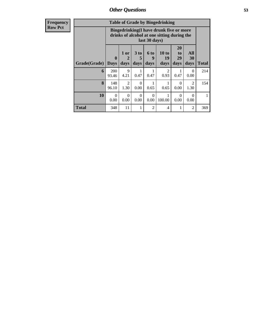**Frequency Row Pct**

|              | <b>Table of Grade by Bingedrinking</b> |                                                                                                                                              |           |      |                        |      |                |     |  |
|--------------|----------------------------------------|----------------------------------------------------------------------------------------------------------------------------------------------|-----------|------|------------------------|------|----------------|-----|--|
|              |                                        | Bingedrinking(I have drunk five or more<br>drinks of alcohol at one sitting during the<br>last 30 days)                                      |           |      |                        |      |                |     |  |
| Grade(Grade) | $\mathbf{0}$<br><b>Days</b>            | 20<br>10 to<br>1 or<br>3 <sub>to</sub><br>All<br>6 to<br>to<br>5<br>29<br>30<br>9<br>19<br>2<br>days<br>days<br>days<br>days<br>days<br>days |           |      |                        |      |                |     |  |
| 6            | 200<br>93.46                           | 9<br>4.21                                                                                                                                    | 1<br>0.47 | 0.47 | $\mathfrak{D}$<br>0.93 | 0.47 | 0<br>0.00      | 214 |  |
| 8            | 148<br>96.10                           | $\mathfrak{D}$<br>$\mathfrak{D}$<br>$\Omega$<br>0<br>1.30<br>0.00<br>0.00<br>1.30<br>0.65<br>0.65                                            |           |      |                        |      |                |     |  |
| 10           | $\Omega$<br>0.00                       | $\Omega$<br>$\Omega$<br>$\Omega$<br>1<br>0<br>0<br>100.00<br>0.00<br>0.00<br>0.00<br>0.00<br>0.00                                            |           |      |                        |      |                |     |  |
| <b>Total</b> | 348                                    | 11                                                                                                                                           | 1         | 2    | 4                      | 1    | $\mathfrak{D}$ | 369 |  |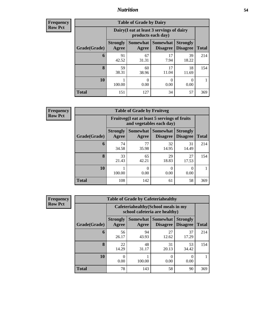## *Nutrition* **54**

**Frequency Row Pct**

| <b>Table of Grade by Dairy</b> |                          |                                                                 |                             |                                    |              |  |
|--------------------------------|--------------------------|-----------------------------------------------------------------|-----------------------------|------------------------------------|--------------|--|
|                                |                          | Dairy (I eat at least 3 servings of dairy<br>products each day) |                             |                                    |              |  |
| Grade(Grade)                   | <b>Strongly</b><br>Agree | Somewhat  <br>Agree                                             | Somewhat<br><b>Disagree</b> | <b>Strongly</b><br><b>Disagree</b> | <b>Total</b> |  |
| 6                              | 91<br>42.52              | 67<br>31.31                                                     | 17<br>7.94                  | 39<br>18.22                        | 214          |  |
| 8                              | 59<br>38.31              | 60<br>38.96                                                     | 17<br>11.04                 | 18<br>11.69                        | 154          |  |
| 10                             | 100.00                   | 0.00                                                            | 0.00                        | 0<br>0.00                          |              |  |
| <b>Total</b>                   | 151                      | 127                                                             | 34                          | 57                                 | 369          |  |

**Frequency Row Pct**

| <b>Table of Grade by Fruitveg</b> |                          |                                                                          |                                        |                                    |              |  |  |
|-----------------------------------|--------------------------|--------------------------------------------------------------------------|----------------------------------------|------------------------------------|--------------|--|--|
|                                   |                          | Fruitveg(I eat at least 5 servings of fruits<br>and vegetables each day) |                                        |                                    |              |  |  |
| Grade(Grade)                      | <b>Strongly</b><br>Agree | Agree                                                                    | <b>Somewhat   Somewhat</b><br>Disagree | <b>Strongly</b><br><b>Disagree</b> | <b>Total</b> |  |  |
| 6                                 | 74<br>34.58              | 77<br>35.98                                                              | 32<br>14.95                            | 31<br>14.49                        | 214          |  |  |
| 8                                 | 33<br>21.43              | 65<br>42.21                                                              | 29<br>18.83                            | 27<br>17.53                        | 154          |  |  |
| 10                                | 100.00                   | 0<br>0.00                                                                | 0<br>0.00                              | 0.00                               |              |  |  |
| <b>Total</b>                      | 108                      | 142                                                                      | 61                                     | 58                                 | 369          |  |  |

| <b>Frequency</b> |
|------------------|
| <b>Row Pct</b>   |

| <b>Table of Grade by Cafeteriahealthy</b> |                          |                                                                       |                                    |                                    |              |  |  |
|-------------------------------------------|--------------------------|-----------------------------------------------------------------------|------------------------------------|------------------------------------|--------------|--|--|
|                                           |                          | Cafeteriahealthy (School meals in my<br>school cafeteria are healthy) |                                    |                                    |              |  |  |
| Grade(Grade)                              | <b>Strongly</b><br>Agree | <b>Somewhat</b><br>Agree                                              | <b>Somewhat</b><br><b>Disagree</b> | <b>Strongly</b><br><b>Disagree</b> | <b>Total</b> |  |  |
| 6                                         | 56<br>26.17              | 94<br>43.93                                                           | 27<br>12.62                        | 37<br>17.29                        | 214          |  |  |
| 8                                         | 22<br>14.29              | 48<br>31.17                                                           | 31<br>20.13                        | 53<br>34.42                        | 154          |  |  |
| 10                                        | 0<br>0.00                | 100.00                                                                | 0<br>0.00                          | 0<br>0.00                          |              |  |  |
| Total                                     | 78                       | 143                                                                   | 58                                 | 90                                 | 369          |  |  |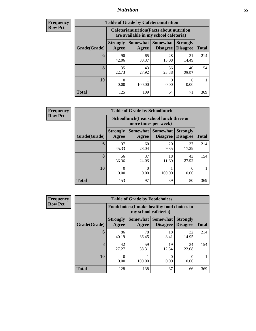## *Nutrition* **55**

| Frequency |
|-----------|
| Row Pct   |

| <b>Table of Grade by Cafeterianutrition</b> |                           |                                                                                           |                                    |                                    |              |  |
|---------------------------------------------|---------------------------|-------------------------------------------------------------------------------------------|------------------------------------|------------------------------------|--------------|--|
|                                             |                           | <b>Cafeterianutrition</b> (Facts about nutrition<br>are available in my school cafeteria) |                                    |                                    |              |  |
| Grade(Grade)                                | <b>Strongly</b><br>Agree  | Somewhat  <br>Agree                                                                       | <b>Somewhat</b><br><b>Disagree</b> | <b>Strongly</b><br><b>Disagree</b> | <b>Total</b> |  |
| 6                                           | 90<br>42.06               | 65<br>30.37                                                                               | 28<br>13.08                        | 31<br>14.49                        | 214          |  |
| 8                                           | 35<br>22.73               | 43<br>27.92                                                                               | 36<br>23.38                        | 40<br>25.97                        | 154          |  |
| 10                                          | $\mathbf{\Omega}$<br>0.00 | 100.00                                                                                    | 0<br>0.00                          | 0<br>0.00                          |              |  |
| <b>Total</b>                                | 125                       | 109                                                                                       | 64                                 | 71                                 | 369          |  |

**Frequency Row Pct**

| <b>Table of Grade by Schoollunch</b> |                          |                                                                 |                      |                                    |              |  |  |
|--------------------------------------|--------------------------|-----------------------------------------------------------------|----------------------|------------------------------------|--------------|--|--|
|                                      |                          | Schoollunch(I eat school lunch three or<br>more times per week) |                      |                                    |              |  |  |
| Grade(Grade)                         | <b>Strongly</b><br>Agree | Somewhat  <br>Agree                                             | Somewhat<br>Disagree | <b>Strongly</b><br><b>Disagree</b> | <b>Total</b> |  |  |
| 6                                    | 97<br>45.33              | 60<br>28.04                                                     | 20<br>9.35           | 37<br>17.29                        | 214          |  |  |
| 8                                    | 56<br>36.36              | 37<br>24.03                                                     | 18<br>11.69          | 43<br>27.92                        | 154          |  |  |
| 10                                   | 0.00                     | 0.00                                                            | 100.00               | 0.00                               |              |  |  |
| <b>Total</b>                         | 153                      | 97                                                              | 39                   | 80                                 | 369          |  |  |

**Frequency Row Pct**

| <b>Table of Grade by Foodchoices</b> |                          |                                                                            |                             |                                    |              |  |  |
|--------------------------------------|--------------------------|----------------------------------------------------------------------------|-----------------------------|------------------------------------|--------------|--|--|
|                                      |                          | <b>Foodchoices</b> (I make healthy food choices in<br>my school cafeteria) |                             |                                    |              |  |  |
| Grade(Grade)                         | <b>Strongly</b><br>Agree | <b>Somewhat</b><br>Agree                                                   | Somewhat<br><b>Disagree</b> | <b>Strongly</b><br><b>Disagree</b> | <b>Total</b> |  |  |
| 6                                    | 86<br>40.19              | 78<br>36.45                                                                | 18<br>8.41                  | 32<br>14.95                        | 214          |  |  |
| 8                                    | 42<br>27.27              | 59<br>38.31                                                                | 19<br>12.34                 | 34<br>22.08                        | 154          |  |  |
| 10                                   | 0.00                     | 100.00                                                                     | 0<br>0.00                   | 0<br>0.00                          |              |  |  |
| <b>Total</b>                         | 128                      | 138                                                                        | 37                          | 66                                 | 369          |  |  |

٦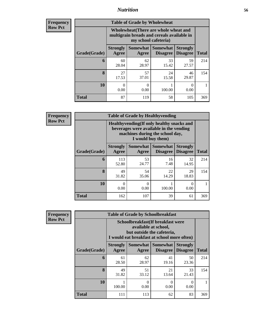## *Nutrition* **56**

| <b>Frequency</b><br>Row Pct |
|-----------------------------|
|                             |

| <b>Table of Grade by Wholewheat</b> |                                                                                                             |                   |                             |                                    |              |  |
|-------------------------------------|-------------------------------------------------------------------------------------------------------------|-------------------|-----------------------------|------------------------------------|--------------|--|
|                                     | Wholewheat (There are whole wheat and<br>multigrain breads and cereals available in<br>my school cafeteria) |                   |                             |                                    |              |  |
| Grade(Grade)                        | <b>Strongly</b><br>Agree                                                                                    | Somewhat<br>Agree | Somewhat<br><b>Disagree</b> | <b>Strongly</b><br><b>Disagree</b> | <b>Total</b> |  |
| 6                                   | 60<br>28.04                                                                                                 | 62<br>28.97       | 33<br>15.42                 | 59<br>27.57                        | 214          |  |
| 8                                   | 27<br>17.53                                                                                                 | 57<br>37.01       | 24<br>15.58                 | 46<br>29.87                        | 154          |  |
| 10                                  | $\mathbf{\Omega}$<br>0.00                                                                                   | 0<br>0.00         | 100.00                      | 0<br>0.00                          |              |  |
| Total                               | 87                                                                                                          | 119               | 58                          | 105                                | 369          |  |

**Frequency Row Pct**

| V | <b>Table of Grade by Healthyvending</b> |                                                                                                                                               |                     |                             |                                    |              |  |
|---|-----------------------------------------|-----------------------------------------------------------------------------------------------------------------------------------------------|---------------------|-----------------------------|------------------------------------|--------------|--|
|   |                                         | Healthyvending (If only healthy snacks and<br>beverages were available in the vending<br>machines during the school day,<br>I would buy them) |                     |                             |                                    |              |  |
|   | Grade(Grade)                            | <b>Strongly</b><br>Agree                                                                                                                      | Somewhat  <br>Agree | Somewhat<br><b>Disagree</b> | <b>Strongly</b><br><b>Disagree</b> | <b>Total</b> |  |
|   | 6                                       | 113<br>52.80                                                                                                                                  | 53<br>24.77         | 16<br>7.48                  | 32<br>14.95                        | 214          |  |
|   | 8                                       | 49<br>31.82                                                                                                                                   | 54<br>35.06         | 22<br>14.29                 | 29<br>18.83                        | 154          |  |
|   | 10                                      | $\mathbf{\Omega}$<br>0.00                                                                                                                     | $\Omega$<br>0.00    | 1<br>100.00                 | 0<br>0.00                          |              |  |
|   | <b>Total</b>                            | 162                                                                                                                                           | 107                 | 39                          | 61                                 | 369          |  |

**Frequency Row Pct**

| <b>Table of Grade by Schoolbreakfast</b> |                                                                                                                                         |                  |                                          |                                    |              |  |
|------------------------------------------|-----------------------------------------------------------------------------------------------------------------------------------------|------------------|------------------------------------------|------------------------------------|--------------|--|
|                                          | Schoolbreakfast (If breakfast were<br>available at school,<br>but outside the cafeteria,<br>I would eat breakfast at school more often) |                  |                                          |                                    |              |  |
| Grade(Grade)                             | <b>Strongly</b><br>Agree                                                                                                                | Agree            | Somewhat   Somewhat  <br><b>Disagree</b> | <b>Strongly</b><br><b>Disagree</b> | <b>Total</b> |  |
| 6                                        | 61<br>28.50                                                                                                                             | 62<br>28.97      | 41<br>19.16                              | 50<br>23.36                        | 214          |  |
| 8                                        | 49<br>31.82                                                                                                                             | 51<br>33.12      | 21<br>13.64                              | 33<br>21.43                        | 154          |  |
| 10                                       | 100.00                                                                                                                                  | $\Omega$<br>0.00 | 0<br>0.00                                | 0<br>0.00                          |              |  |
| Total                                    | 111                                                                                                                                     | 113              | 62                                       | 83                                 | 369          |  |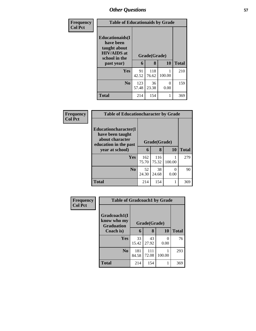| Frequency      | <b>Table of Educationaids by Grade</b>                                                                    |              |                   |                  |              |
|----------------|-----------------------------------------------------------------------------------------------------------|--------------|-------------------|------------------|--------------|
| <b>Col Pct</b> | <b>Educationaids</b> (I<br>have been<br>taught about<br><b>HIV/AIDS</b> at<br>school in the<br>past year) | 6            | Grade(Grade)<br>8 | 10               | <b>Total</b> |
|                | <b>Yes</b>                                                                                                | 91<br>42.52  | 118<br>76.62      | 100.00           | 210          |
|                | N <sub>0</sub>                                                                                            | 123<br>57.48 | 36<br>23.38       | $\Omega$<br>0.00 | 159          |
|                | <b>Total</b>                                                                                              | 214          | 154               |                  | 369          |

| <b>Frequency</b> | <b>Table of Educationcharacter by Grade</b>                                          |              |              |           |              |
|------------------|--------------------------------------------------------------------------------------|--------------|--------------|-----------|--------------|
| <b>Col Pct</b>   | Educationcharacter(I<br>have been taught<br>about character<br>education in the past | Grade(Grade) |              |           |              |
|                  | year at school)                                                                      | 6            | 8            | 10        | <b>Total</b> |
|                  | <b>Yes</b>                                                                           | 162<br>75.70 | 116<br>75.32 | 100.00    | 279          |
|                  | N <sub>0</sub>                                                                       | 52<br>24.30  | 38<br>24.68  | ∩<br>0.00 | 90           |
|                  | <b>Total</b>                                                                         | 214          | 154          |           | 369          |

| Frequency      | <b>Table of Gradcoach1 by Grade</b>              |              |              |           |              |
|----------------|--------------------------------------------------|--------------|--------------|-----------|--------------|
| <b>Col Pct</b> | Gradcoach1(I<br>know who my<br><b>Graduation</b> |              | Grade(Grade) |           |              |
|                | Coach is)                                        | 6            | 8            | 10        | <b>Total</b> |
|                | Yes                                              | 33<br>15.42  | 43<br>27.92  | 0<br>0.00 | 76           |
|                | N <sub>0</sub>                                   | 181<br>84.58 | 111<br>72.08 | 100.00    | 293          |
|                | <b>Total</b>                                     | 214          | 154          |           | 369          |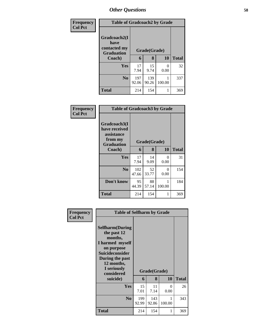| <b>Frequency</b> | <b>Table of Gradcoach2 by Grade</b>                                       |              |              |        |              |
|------------------|---------------------------------------------------------------------------|--------------|--------------|--------|--------------|
| <b>Col Pct</b>   | Gradcoach2(I<br>have<br>contacted my<br>Grade(Grade)<br><b>Graduation</b> |              |              |        |              |
|                  | Coach)                                                                    | 6            | 8            | 10     | <b>Total</b> |
|                  | Yes                                                                       | 17<br>7.94   | 15<br>9.74   | 0.00   | 32           |
|                  | N <sub>0</sub>                                                            | 197<br>92.06 | 139<br>90.26 | 100.00 | 337          |
|                  | Total                                                                     | 214          | 154          |        | 369          |

| Frequency<br><b>Col Pct</b> | <b>Table of Gradcoach3 by Grade</b>                                         |              |              |           |              |
|-----------------------------|-----------------------------------------------------------------------------|--------------|--------------|-----------|--------------|
|                             | Gradcoach3(I<br>have received<br>assistance<br>from my<br><b>Graduation</b> |              | Grade(Grade) |           |              |
|                             | Coach)                                                                      | 6            | 8            | <b>10</b> | <b>Total</b> |
|                             | Yes                                                                         | 17<br>7.94   | 14<br>9.09   | 0<br>0.00 | 31           |
|                             | N <sub>0</sub>                                                              | 102<br>47.66 | 52<br>33.77  | 0<br>0.00 | 154          |
|                             | Don't know                                                                  | 95<br>44.39  | 88<br>57.14  | 100.00    | 184          |
|                             | <b>Total</b>                                                                | 214          | 154          | 1         | 369          |

| <b>Frequency</b> | <b>Table of Selfharm by Grade</b>                                                                                                                                          |              |              |             |              |
|------------------|----------------------------------------------------------------------------------------------------------------------------------------------------------------------------|--------------|--------------|-------------|--------------|
| <b>Col Pct</b>   | <b>Selfharm</b> (During<br>the past 12<br>months,<br>I harmed myself<br>on purpose<br><b>Suicideconsider</b><br>During the past<br>12 months,<br>I seriously<br>considered |              | Grade(Grade) |             |              |
|                  | suicide)                                                                                                                                                                   | 6            | 8            | 10          | <b>Total</b> |
|                  | Yes                                                                                                                                                                        | 15<br>7.01   | 11<br>7.14   | 0<br>0.00   | 26           |
|                  | N <sub>0</sub>                                                                                                                                                             | 199<br>92.99 | 143<br>92.86 | 1<br>100.00 | 343          |
|                  | <b>Total</b>                                                                                                                                                               | 214          | 154          | 1           | 369          |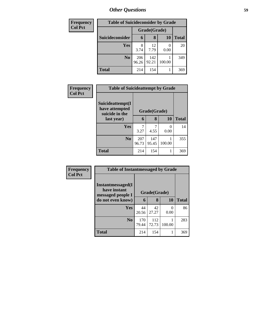| <b>Frequency</b> | <b>Table of Suicideconsider by Grade</b> |              |              |           |              |
|------------------|------------------------------------------|--------------|--------------|-----------|--------------|
| <b>Col Pct</b>   |                                          | Grade(Grade) |              |           |              |
|                  | Suicideconsider                          | 6            | 8            | <b>10</b> | <b>Total</b> |
|                  | Yes                                      | 3.74         | 12<br>7.79   | 0.00      | 20           |
|                  | N <sub>0</sub>                           | 206<br>96.26 | 142<br>92.21 | 100.00    | 349          |
|                  | <b>Total</b>                             | 214          | 154          |           | 369          |

| Frequency      |                                                      | <b>Table of Suicideattempt by Grade</b> |              |           |              |  |
|----------------|------------------------------------------------------|-----------------------------------------|--------------|-----------|--------------|--|
| <b>Col Pct</b> | Suicideattempt(I<br>have attempted<br>suicide in the |                                         | Grade(Grade) |           |              |  |
|                | last year)                                           | 6                                       | 8            | <b>10</b> | <b>Total</b> |  |
|                | Yes                                                  | 7<br>3.27                               | 4.55         | 0<br>0.00 | 14           |  |
|                | N <sub>0</sub>                                       | 207<br>96.73                            | 147<br>95.45 | 100.00    | 355          |  |
|                | <b>Total</b>                                         | 214                                     | 154          | 1         | 369          |  |

| Frequency      | <b>Table of Instantmessaged by Grade</b>               |              |              |           |              |  |  |
|----------------|--------------------------------------------------------|--------------|--------------|-----------|--------------|--|--|
| <b>Col Pct</b> | Instantmessaged(I<br>have instant<br>messaged people I | Grade(Grade) |              |           |              |  |  |
|                | do not even know)                                      | 6            | 8            | 10        | <b>Total</b> |  |  |
|                | Yes                                                    | 44<br>20.56  | 42<br>27.27  | 0<br>0.00 | 86           |  |  |
|                | N <sub>0</sub>                                         | 170<br>79.44 | 112<br>72.73 | 100.00    | 283          |  |  |
|                | <b>Total</b>                                           | 214          | 154          |           | 369          |  |  |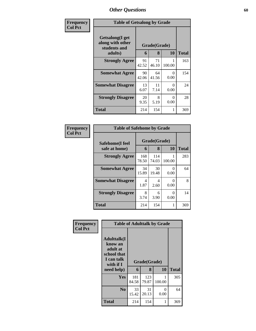| Frequency      | <b>Table of Getsalong by Grade</b>                  |             |              |           |              |
|----------------|-----------------------------------------------------|-------------|--------------|-----------|--------------|
| <b>Col Pct</b> | Getsalong(I get<br>along with other<br>students and |             | Grade(Grade) |           |              |
|                | adults)                                             | 6           | 8            | 10        | <b>Total</b> |
|                | <b>Strongly Agree</b>                               | 91<br>42.52 | 71<br>46.10  | 100.00    | 163          |
|                | <b>Somewhat Agree</b>                               | 90<br>42.06 | 64<br>41.56  | 0<br>0.00 | 154          |
|                | <b>Somewhat Disagree</b>                            | 13<br>6.07  | 11<br>7.14   | 0<br>0.00 | 24           |
|                | <b>Strongly Disagree</b>                            | 20<br>9.35  | 8<br>5.19    | 0<br>0.00 | 28           |
|                | Total                                               | 214         | 154          | 1         | 369          |

| Frequency      | <b>Table of Safehome by Grade</b> |              |                   |           |              |
|----------------|-----------------------------------|--------------|-------------------|-----------|--------------|
| <b>Col Pct</b> | Safehome(I feel<br>safe at home)  | 6            | Grade(Grade)<br>8 | 10        | <b>Total</b> |
|                | <b>Strongly Agree</b>             | 168<br>78.50 | 114<br>74.03      | 100.00    | 283          |
|                | <b>Somewhat Agree</b>             | 34<br>15.89  | 30<br>19.48       | 0<br>0.00 | 64           |
|                | <b>Somewhat Disagree</b>          | 4<br>1.87    | 4<br>2.60         | 0<br>0.00 | 8            |
|                | <b>Strongly Disagree</b>          | 8<br>3.74    | 6<br>3.90         | 0<br>0.00 | 14           |
|                | <b>Total</b>                      | 214          | 154               | 1         | 369          |

| Frequency      | <b>Table of Adulttalk by Grade</b>                                                                |              |                   |           |              |  |  |  |
|----------------|---------------------------------------------------------------------------------------------------|--------------|-------------------|-----------|--------------|--|--|--|
| <b>Col Pct</b> | <b>Adulttalk(I</b><br>know an<br>adult at<br>school that<br>I can talk<br>with if I<br>need help) | 6            | Grade(Grade)<br>8 | 10        | <b>Total</b> |  |  |  |
|                | <b>Yes</b>                                                                                        | 181<br>84.58 | 123<br>79.87      | 100.00    | 305          |  |  |  |
|                | N <sub>0</sub>                                                                                    | 33<br>15.42  | 31<br>20.13       | 0<br>0.00 | 64           |  |  |  |
|                | <b>Total</b>                                                                                      | 214          | 154               |           | 369          |  |  |  |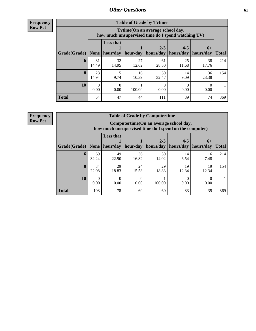**Frequency Row Pct**

| <b>Table of Grade by Tytime</b> |                                                                                        |                              |             |                      |                      |                   |              |
|---------------------------------|----------------------------------------------------------------------------------------|------------------------------|-------------|----------------------|----------------------|-------------------|--------------|
|                                 | Tvtime(On an average school day,<br>how much unsupervised time do I spend watching TV) |                              |             |                      |                      |                   |              |
| Grade(Grade)                    | None                                                                                   | <b>Less that</b><br>hour/day | hour/day    | $2 - 3$<br>hours/day | $4 - 5$<br>hours/day | $6+$<br>hours/day | <b>Total</b> |
| 6                               | 31<br>14.49                                                                            | 32<br>14.95                  | 27<br>12.62 | 61<br>28.50          | 25<br>11.68          | 38<br>17.76       | 214          |
| 8                               | 23<br>14.94                                                                            | 15<br>9.74                   | 16<br>10.39 | 50<br>32.47          | 14<br>9.09           | 36<br>23.38       | 154          |
| 10                              | 0<br>0.00                                                                              | 0<br>0.00                    | 100.00      | 0.00                 | 0.00                 | 0.00              |              |
| <b>Total</b>                    | 54                                                                                     | 47                           | 44          | 111                  | 39                   | 74                | 369          |

**Frequency**

**Row Pct**

| <b>Table of Grade by Computertime</b> |             |                                                                                                   |                  |                      |                      |                   |              |
|---------------------------------------|-------------|---------------------------------------------------------------------------------------------------|------------------|----------------------|----------------------|-------------------|--------------|
|                                       |             | Computertime (On an average school day,<br>how much unsupervised time do I spend on the computer) |                  |                      |                      |                   |              |
| Grade(Grade)                          | None        | <b>Less that</b><br>hour/day                                                                      | hour/day         | $2 - 3$<br>hours/day | $4 - 5$<br>hours/day | $6+$<br>hours/day | <b>Total</b> |
| 6                                     | 69<br>32.24 | 49<br>22.90                                                                                       | 36<br>16.82      | 30<br>14.02          | 14<br>6.54           | 16<br>7.48        | 214          |
| 8                                     | 34<br>22.08 | 29<br>18.83                                                                                       | 24<br>15.58      | 29<br>18.83          | 19<br>12.34          | 19<br>12.34       | 154          |
| 10                                    | 0.00        | 0.00                                                                                              | $\left($<br>0.00 | 100.00               | 0.00                 | 0.00              |              |
| <b>Total</b>                          | 103         | 78                                                                                                | 60               | 60                   | 33                   | 35                | 369          |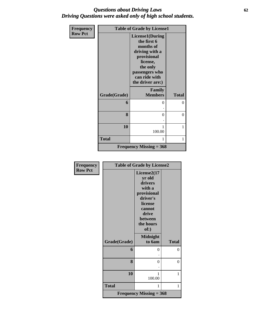## *Questions about Driving Laws* **62** *Driving Questions were asked only of high school students.*

| Frequency      | <b>Table of Grade by License1</b> |                                                                                                                                                             |                |  |
|----------------|-----------------------------------|-------------------------------------------------------------------------------------------------------------------------------------------------------------|----------------|--|
| <b>Row Pct</b> |                                   | License1(During<br>the first 6<br>months of<br>driving with a<br>provisional<br>license,<br>the only<br>passengers who<br>can ride with<br>the driver are:) |                |  |
|                | Grade(Grade)                      | Family<br><b>Members</b>                                                                                                                                    | <b>Total</b>   |  |
|                | 6                                 | 0                                                                                                                                                           | $\theta$       |  |
|                | 8                                 | $\Omega$                                                                                                                                                    | $\overline{0}$ |  |
|                | 10                                | 100.00                                                                                                                                                      | 1              |  |
|                | <b>Total</b>                      | 1                                                                                                                                                           | 1              |  |
|                |                                   | <b>Frequency Missing = 368</b>                                                                                                                              |                |  |

| Frequency      | <b>Table of Grade by License2</b> |                                |              |  |  |
|----------------|-----------------------------------|--------------------------------|--------------|--|--|
| <b>Row Pct</b> |                                   | License2(17                    |              |  |  |
|                |                                   | yr old                         |              |  |  |
|                |                                   | drivers                        |              |  |  |
|                |                                   | with a                         |              |  |  |
|                |                                   | provisional                    |              |  |  |
|                |                                   | driver's                       |              |  |  |
|                |                                   | license                        |              |  |  |
|                |                                   | cannot                         |              |  |  |
|                |                                   | drive                          |              |  |  |
|                |                                   | <b>between</b>                 |              |  |  |
|                |                                   | the hours                      |              |  |  |
|                |                                   | of:)                           |              |  |  |
|                |                                   |                                |              |  |  |
|                |                                   | <b>Midnight</b>                |              |  |  |
|                | Grade(Grade)                      | to 6am                         | <b>Total</b> |  |  |
|                | 6                                 | 0                              | $\theta$     |  |  |
|                |                                   |                                |              |  |  |
|                | 8                                 | 0                              | $\theta$     |  |  |
|                |                                   |                                |              |  |  |
|                | 10                                | 1                              | 1            |  |  |
|                |                                   | 100.00                         |              |  |  |
|                |                                   |                                |              |  |  |
|                | <b>Total</b>                      | 1                              | 1            |  |  |
|                |                                   | <b>Frequency Missing = 368</b> |              |  |  |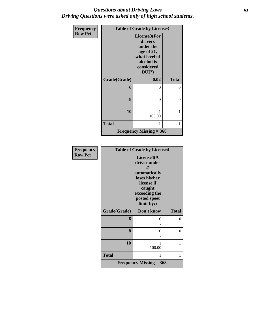## *Questions about Driving Laws* **63** *Driving Questions were asked only of high school students.*

| <b>Frequency</b> | <b>Table of Grade by License3</b> |                                                                                                             |              |  |
|------------------|-----------------------------------|-------------------------------------------------------------------------------------------------------------|--------------|--|
| <b>Row Pct</b>   |                                   | License3(For<br>drivers<br>under the<br>age of 21,<br>what level of<br>alcohol is<br>considered<br>$DUI$ ?) |              |  |
|                  | Grade(Grade)                      | 0.02                                                                                                        | <b>Total</b> |  |
|                  | 6                                 | $\Omega$                                                                                                    | 0            |  |
|                  |                                   |                                                                                                             |              |  |
|                  | 8                                 | $\theta$                                                                                                    | 0            |  |
|                  |                                   |                                                                                                             |              |  |
|                  | 10                                | 100.00                                                                                                      | 1            |  |
|                  | <b>Total</b>                      | 1                                                                                                           | 1            |  |
|                  |                                   | <b>Frequency Missing = 368</b>                                                                              |              |  |

| Frequency      | <b>Table of Grade by License4</b> |                                                                                                                                           |                |  |
|----------------|-----------------------------------|-------------------------------------------------------------------------------------------------------------------------------------------|----------------|--|
| <b>Row Pct</b> |                                   | License4(A<br>driver under<br>21<br>automatically<br>loses his/her<br>license if<br>caught<br>exceeding the<br>posted speet<br>limit by:) |                |  |
|                | Grade(Grade)                      | Don't know                                                                                                                                | <b>Total</b>   |  |
|                | 6                                 | 0                                                                                                                                         | $\theta$       |  |
|                |                                   |                                                                                                                                           |                |  |
|                | 8                                 | 0                                                                                                                                         | $\overline{0}$ |  |
|                | 10                                | 1<br>100.00                                                                                                                               | 1              |  |
|                | <b>Total</b>                      | 1                                                                                                                                         | 1              |  |
|                |                                   | <b>Frequency Missing = 368</b>                                                                                                            |                |  |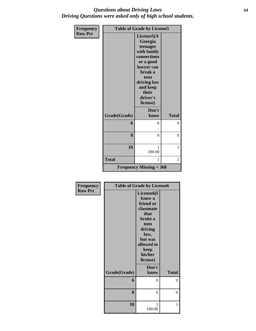## *Questions about Driving Laws* **64** *Driving Questions were asked only of high school students.*

| <b>Frequency</b> |              | <b>Table of Grade by License5</b> |              |
|------------------|--------------|-----------------------------------|--------------|
| <b>Row Pct</b>   |              | License5(A                        |              |
|                  |              | Georgia                           |              |
|                  |              | teenager                          |              |
|                  |              | with family                       |              |
|                  |              | connections                       |              |
|                  |              | or a good                         |              |
|                  |              | lawyer can<br>break a             |              |
|                  |              | teen                              |              |
|                  |              | driving law                       |              |
|                  |              | and keep                          |              |
|                  |              | their                             |              |
|                  |              | driver's                          |              |
|                  |              | license)                          |              |
|                  |              | Don't                             |              |
|                  | Grade(Grade) | know                              | <b>Total</b> |
|                  | 6            | $\Omega$                          | 0            |
|                  |              |                                   |              |
|                  | 8            | $\theta$                          | $\theta$     |
|                  |              |                                   |              |
|                  |              |                                   |              |
|                  | 10           | 1<br>100.00                       | 1            |
|                  |              |                                   |              |
|                  | <b>Total</b> | 1                                 | 1            |
|                  |              | <b>Frequency Missing = 368</b>    |              |

| Frequency      |              | <b>Table of Grade by License6</b> |              |
|----------------|--------------|-----------------------------------|--------------|
| <b>Row Pct</b> |              | License <sub>6</sub> (I           |              |
|                |              | know a                            |              |
|                |              | friend or                         |              |
|                |              | classmate                         |              |
|                |              | that                              |              |
|                |              | broke a                           |              |
|                |              | teen                              |              |
|                |              | driving                           |              |
|                |              | law,                              |              |
|                |              | but was                           |              |
|                |              | allowed to                        |              |
|                |              | keep                              |              |
|                |              | his/her                           |              |
|                |              | license)                          |              |
|                |              | Don't                             |              |
|                | Grade(Grade) | know                              | <b>Total</b> |
|                | 6            | 0                                 | 0            |
|                |              |                                   |              |
|                | 8            | 0                                 | 0            |
|                |              |                                   |              |
|                | 10           | 1                                 | 1            |
|                |              | 100.00                            |              |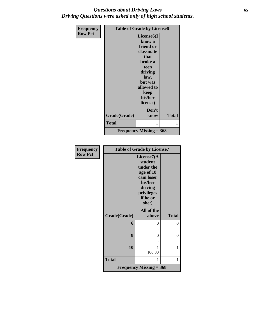## *Questions about Driving Laws* **65** *Driving Questions were asked only of high school students.*

| Frequency      | <b>Table of Grade by License6</b> |                                                                                                                                                                   |              |
|----------------|-----------------------------------|-------------------------------------------------------------------------------------------------------------------------------------------------------------------|--------------|
| <b>Row Pct</b> |                                   | License <sub>6</sub> (I<br>know a<br>friend or<br>classmate<br>that<br>broke a<br>teen<br>driving<br>law,<br>but was<br>allowed to<br>keep<br>his/her<br>license) |              |
|                | Grade(Grade)                      | Don't<br>know                                                                                                                                                     | <b>Total</b> |
|                | <b>Total</b>                      | 1                                                                                                                                                                 | 1            |
|                |                                   | <b>Frequency Missing = 368</b>                                                                                                                                    |              |

| <b>Frequency</b> | <b>Table of Grade by License7</b> |                                                                                                                       |              |  |
|------------------|-----------------------------------|-----------------------------------------------------------------------------------------------------------------------|--------------|--|
| <b>Row Pct</b>   |                                   | License7(A<br>student<br>under the<br>age of 18<br>cam loser<br>his/her<br>driving<br>privileges<br>if he or<br>she:) |              |  |
|                  | Grade(Grade)                      | All of the<br>above                                                                                                   | <b>Total</b> |  |
|                  | 6                                 | 0                                                                                                                     | 0            |  |
|                  | 8                                 | $\theta$                                                                                                              | 0            |  |
|                  | 10                                | 1<br>100.00                                                                                                           | 1            |  |
|                  | <b>Total</b>                      | 1                                                                                                                     | 1            |  |
|                  |                                   | <b>Frequency Missing = 368</b>                                                                                        |              |  |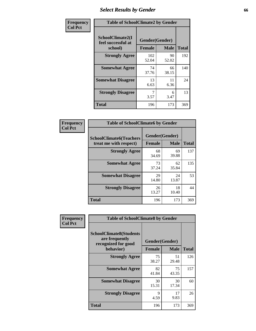# *Select Results by Gender* **66**

| Frequency      | <b>Table of SchoolClimate2 by Gender</b> |                               |                            |                     |  |  |
|----------------|------------------------------------------|-------------------------------|----------------------------|---------------------|--|--|
| <b>Col Pct</b> | SchoolClimate2(I<br>feel successful at   | Gender(Gender)                |                            |                     |  |  |
|                | school)<br><b>Strongly Agree</b>         | <b>Female</b><br>102<br>52.04 | <b>Male</b><br>90<br>52.02 | <b>Total</b><br>192 |  |  |
|                | <b>Somewhat Agree</b>                    | 74<br>37.76                   | 66<br>38.15                | 140                 |  |  |
|                | <b>Somewhat Disagree</b>                 | 13<br>6.63                    | 11<br>6.36                 | 24                  |  |  |
|                | <b>Strongly Disagree</b>                 | 3.57                          | 6<br>3.47                  | 13                  |  |  |
|                | <b>Total</b>                             | 196                           | 173                        | 369                 |  |  |

| <b>Frequency</b> | <b>Table of SchoolClimate6 by Gender</b> |                |             |              |  |
|------------------|------------------------------------------|----------------|-------------|--------------|--|
| <b>Col Pct</b>   | <b>SchoolClimate6(Teachers</b>           | Gender(Gender) |             |              |  |
|                  | treat me with respect)                   | <b>Female</b>  | <b>Male</b> | <b>Total</b> |  |
|                  | <b>Strongly Agree</b>                    | 68<br>34.69    | 69<br>39.88 | 137          |  |
|                  | <b>Somewhat Agree</b>                    | 73<br>37.24    | 62<br>35.84 | 135          |  |
|                  | <b>Somewhat Disagree</b>                 | 29<br>14.80    | 24<br>13.87 | 53           |  |
|                  | <b>Strongly Disagree</b>                 | 26<br>13.27    | 18<br>10.40 | 44           |  |
|                  | <b>Total</b>                             | 196            | 173         | 369          |  |

| <b>Frequency</b> | <b>Table of SchoolClimate8 by Gender</b>                                             |               |                               |              |
|------------------|--------------------------------------------------------------------------------------|---------------|-------------------------------|--------------|
| <b>Col Pct</b>   | <b>SchoolClimate8(Students</b><br>are frequently<br>recognized for good<br>behavior) | <b>Female</b> | Gender(Gender)<br><b>Male</b> | <b>Total</b> |
|                  | <b>Strongly Agree</b>                                                                | 75<br>38.27   | 51<br>29.48                   | 126          |
|                  | <b>Somewhat Agree</b>                                                                | 82<br>41.84   | 75<br>43.35                   | 157          |
|                  | <b>Somewhat Disagree</b>                                                             | 30<br>15.31   | 30<br>17.34                   | 60           |
|                  | <b>Strongly Disagree</b>                                                             | 9<br>4.59     | 17<br>9.83                    | 26           |
|                  | Total                                                                                | 196           | 173                           | 369          |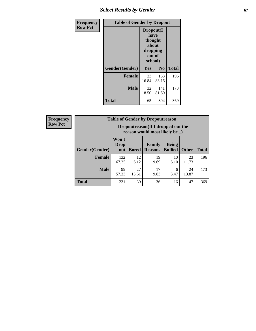# **Select Results by Gender 67**

| <b>Frequency</b> | <b>Table of Gender by Dropout</b> |                                                                        |                |              |
|------------------|-----------------------------------|------------------------------------------------------------------------|----------------|--------------|
| <b>Row Pct</b>   |                                   | Dropout(I<br>have<br>thought<br>about<br>dropping<br>out of<br>school) |                |              |
|                  | Gender(Gender)                    | Yes                                                                    | N <sub>0</sub> | <b>Total</b> |
|                  | <b>Female</b>                     | 33<br>16.84                                                            | 163<br>83.16   | 196          |
|                  | <b>Male</b>                       | 32<br>18.50                                                            | 141<br>81.50   | 173          |
|                  | <b>Total</b>                      | 65                                                                     | 304            | 369          |

| <b>Frequency</b> | <b>Table of Gender by Dropoutreason</b> |                                                                     |              |                          |                                |              |              |
|------------------|-----------------------------------------|---------------------------------------------------------------------|--------------|--------------------------|--------------------------------|--------------|--------------|
| <b>Row Pct</b>   |                                         | Dropoutreason (If I dropped out the<br>reason would most likely be) |              |                          |                                |              |              |
|                  | Gender(Gender)                          | Won't<br>Drop<br>out                                                | <b>Bored</b> | Family<br><b>Reasons</b> | <b>Being</b><br><b>Bullied</b> | <b>Other</b> | <b>Total</b> |
|                  | <b>Female</b>                           | 132<br>67.35                                                        | 12<br>6.12   | 19<br>9.69               | 10<br>5.10                     | 23<br>11.73  | 196          |
|                  | <b>Male</b>                             | 99<br>57.23                                                         | 27<br>15.61  | 17<br>9.83               | 6<br>3.47                      | 24<br>13.87  | 173          |
|                  | <b>Total</b>                            | 231                                                                 | 39           | 36                       | 16                             | 47           | 369          |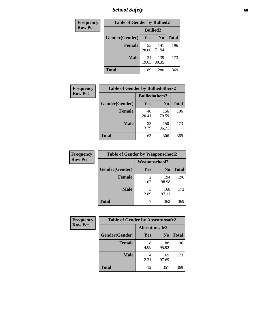*School Safety* **68**

| Frequency      | <b>Table of Gender by Bullied2</b> |                 |                |              |
|----------------|------------------------------------|-----------------|----------------|--------------|
| <b>Row Pct</b> |                                    | <b>Bullied2</b> |                |              |
|                | Gender(Gender)                     | Yes             | N <sub>0</sub> | <b>Total</b> |
|                | <b>Female</b>                      | 55<br>28.06     | 141<br>71.94   | 196          |
|                | <b>Male</b>                        | 34<br>19.65     | 139<br>80.35   | 173          |
|                | <b>Total</b>                       | 89              | 280            | 369          |

| <b>Frequency</b> | <b>Table of Gender by Bulliedothers2</b> |                       |                |              |
|------------------|------------------------------------------|-----------------------|----------------|--------------|
| <b>Row Pct</b>   |                                          | <b>Bulliedothers2</b> |                |              |
|                  | Gender(Gender)                           | Yes                   | N <sub>0</sub> | <b>Total</b> |
|                  | <b>Female</b>                            | 40<br>20.41           | 156<br>79.59   | 196          |
|                  | <b>Male</b>                              | 23<br>13.29           | 150<br>86.71   | 173          |
|                  | <b>Total</b>                             | 63                    | 306            | 369          |

| Frequency      | <b>Table of Gender by Weaponschool2</b> |                        |                |              |
|----------------|-----------------------------------------|------------------------|----------------|--------------|
| <b>Row Pct</b> |                                         | <b>Weaponschool2</b>   |                |              |
|                | Gender(Gender)                          | Yes                    | N <sub>0</sub> | <b>Total</b> |
|                | <b>Female</b>                           | $\mathfrak{D}$<br>1.02 | 194<br>98.98   | 196          |
|                | <b>Male</b>                             | 5<br>2.89              | 168<br>97.11   | 173          |
|                | <b>Total</b>                            |                        | 362            | 369          |

| Frequency      | <b>Table of Gender by Absentunsafe2</b> |               |                |              |
|----------------|-----------------------------------------|---------------|----------------|--------------|
| <b>Row Pct</b> |                                         | Absentunsafe2 |                |              |
|                | Gender(Gender)                          | Yes           | N <sub>0</sub> | <b>Total</b> |
|                | <b>Female</b>                           | 8<br>4.08     | 188<br>95.92   | 196          |
|                | <b>Male</b>                             | 2.31          | 169<br>97.69   | 173          |
|                | <b>Total</b>                            | 12            | 357            | 369          |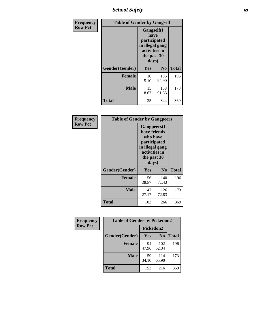*School Safety* **69**

| Frequency      | <b>Table of Gender by Gangself</b> |                                                                                                |              |              |
|----------------|------------------------------------|------------------------------------------------------------------------------------------------|--------------|--------------|
| <b>Row Pct</b> |                                    | Gangself(I<br>have<br>participated<br>in illegal gang<br>activities in<br>the past 30<br>days) |              |              |
|                | Gender(Gender)                     | Yes                                                                                            | $\bf No$     | <b>Total</b> |
|                | <b>Female</b>                      | 10<br>5.10                                                                                     | 186<br>94.90 | 196          |
|                | <b>Male</b>                        | 15<br>8.67                                                                                     | 158<br>91.33 | 173          |
|                | <b>Total</b>                       | 25                                                                                             | 344          | 369          |

| Frequency      | <b>Table of Gender by Gangpeers</b> |                                                                                                                             |                |              |
|----------------|-------------------------------------|-----------------------------------------------------------------------------------------------------------------------------|----------------|--------------|
| <b>Row Pct</b> |                                     | <b>Gangpeers</b> (I<br>have friends<br>who have<br>participated<br>in illegal gang<br>activities in<br>the past 30<br>days) |                |              |
|                | Gender(Gender)                      | Yes                                                                                                                         | N <sub>0</sub> | <b>Total</b> |
|                | <b>Female</b>                       | 56<br>28.57                                                                                                                 | 140<br>71.43   | 196          |
|                | <b>Male</b>                         | 47<br>27.17                                                                                                                 | 126<br>72.83   | 173          |
|                | <b>Total</b>                        | 103                                                                                                                         | 266            | 369          |

| Frequency      | <b>Table of Gender by Pickedon2</b> |             |                |              |
|----------------|-------------------------------------|-------------|----------------|--------------|
| <b>Row Pct</b> |                                     | Pickedon2   |                |              |
|                | Gender(Gender)                      | Yes         | N <sub>0</sub> | <b>Total</b> |
|                | <b>Female</b>                       | 94<br>47.96 | 102<br>52.04   | 196          |
|                | <b>Male</b>                         | 59<br>34.10 | 114<br>65.90   | 173          |
|                | <b>Total</b>                        | 153         | 216            | 369          |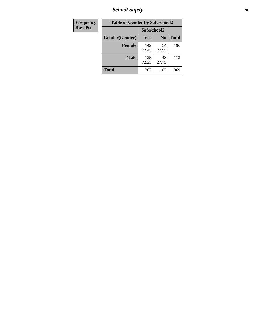*School Safety* **70**

| Frequency      | <b>Table of Gender by Safeschool2</b> |              |                |              |
|----------------|---------------------------------------|--------------|----------------|--------------|
| <b>Row Pct</b> |                                       | Safeschool2  |                |              |
|                | Gender(Gender)                        | <b>Yes</b>   | N <sub>0</sub> | <b>Total</b> |
|                | <b>Female</b>                         | 142<br>72.45 | 54<br>27.55    | 196          |
|                | <b>Male</b>                           | 125<br>72.25 | 48<br>27.75    | 173          |
|                | <b>Total</b>                          | 267          | 102            | 369          |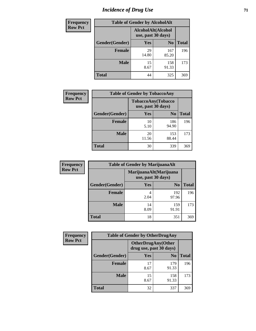# *Incidence of Drug Use* <sup>71</sup>

| <b>Frequency</b> | <b>Table of Gender by AlcoholAlt</b> |                                          |                |              |  |
|------------------|--------------------------------------|------------------------------------------|----------------|--------------|--|
| <b>Row Pct</b>   |                                      | AlcoholAlt(Alcohol<br>use, past 30 days) |                |              |  |
|                  | Gender(Gender)                       | <b>Yes</b>                               | N <sub>0</sub> | <b>Total</b> |  |
|                  | <b>Female</b>                        | 29<br>14.80                              | 167<br>85.20   | 196          |  |
|                  | <b>Male</b>                          | 15<br>8.67                               | 158<br>91.33   | 173          |  |
|                  | <b>Total</b>                         | 44                                       | 325            | 369          |  |

| <b>Frequency</b> | <b>Table of Gender by TobaccoAny</b> |                    |                    |              |
|------------------|--------------------------------------|--------------------|--------------------|--------------|
| <b>Row Pct</b>   |                                      | use, past 30 days) | TobaccoAny(Tobacco |              |
|                  | Gender(Gender)                       | Yes                | N <sub>0</sub>     | <b>Total</b> |
|                  | <b>Female</b>                        | 10<br>5.10         | 186<br>94.90       | 196          |
|                  | <b>Male</b>                          | 20<br>11.56        | 153<br>88.44       | 173          |
|                  | <b>Total</b>                         | 30                 | 339                | 369          |

| <b>Frequency</b> | <b>Table of Gender by MarijuanaAlt</b> |                                              |                |              |
|------------------|----------------------------------------|----------------------------------------------|----------------|--------------|
| <b>Row Pct</b>   |                                        | MarijuanaAlt(Marijuana<br>use, past 30 days) |                |              |
|                  | Gender(Gender)                         | Yes                                          | N <sub>0</sub> | <b>Total</b> |
|                  | Female                                 | 4<br>2.04                                    | 192<br>97.96   | 196          |
|                  | <b>Male</b>                            | 14<br>8.09                                   | 159<br>91.91   | 173          |
|                  | <b>Total</b>                           | 18                                           | 351            | 369          |

| <b>Frequency</b> | <b>Table of Gender by OtherDrugAny</b> |                                                      |                |              |
|------------------|----------------------------------------|------------------------------------------------------|----------------|--------------|
| <b>Row Pct</b>   |                                        | <b>OtherDrugAny(Other</b><br>drug use, past 30 days) |                |              |
|                  | Gender(Gender)                         | <b>Yes</b>                                           | N <sub>0</sub> | <b>Total</b> |
|                  | <b>Female</b>                          | 17<br>8.67                                           | 179<br>91.33   | 196          |
|                  | <b>Male</b>                            | 15<br>8.67                                           | 158<br>91.33   | 173          |
|                  | <b>Total</b>                           | 32                                                   | 337            | 369          |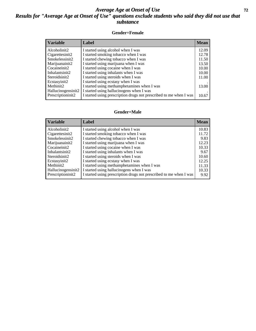## *Average Age at Onset of Use* **72** *Results for "Average Age at Onset of Use" questions exclude students who said they did not use that substance*

### **Gender=Female**

| <i><b>Variable</b></i> | <b>Label</b>                                                       | <b>Mean</b> |
|------------------------|--------------------------------------------------------------------|-------------|
| Alcoholinit2           | I started using alcohol when I was                                 | 12.09       |
| Cigarettesinit2        | I started smoking tobacco when I was                               | 12.78       |
| Smokelessinit2         | I started chewing tobacco when I was                               | 11.50       |
| Marijuanainit2         | I started using marijuana when I was                               | 13.50       |
| Cocaineinit2           | I started using cocaine when I was                                 | 10.00       |
| Inhalantsinit2         | I started using inhalants when I was                               | 10.00       |
| Steroidsinit2          | I started using steroids when I was                                | 11.00       |
| Ecstasyinit2           | I started using ecstasy when I was                                 |             |
| Methinit2              | I started using methamphetamines when I was                        | 13.00       |
| Hallucinogensinit2     | I started using hallucinogens when I was                           |             |
| Prescription in t2     | I started using prescription drugs not prescribed to me when I was | 10.67       |

### **Gender=Male**

| <b>Variable</b>                 | Label                                                              | <b>Mean</b> |
|---------------------------------|--------------------------------------------------------------------|-------------|
| Alcoholinit2                    | I started using alcohol when I was                                 | 10.83       |
| Cigarettesinit2                 | I started smoking tobacco when I was                               | 11.72       |
| Smokelessinit2                  | I started chewing tobacco when I was                               | 9.83        |
| Marijuanainit2                  | I started using marijuana when I was                               | 12.23       |
| Cocaineinit2                    | I started using cocaine when I was                                 | 10.33       |
| Inhalantsinit2                  | I started using inhalants when I was                               | 9.67        |
| Steroidsinit2                   | I started using steroids when I was                                | 10.60       |
| Ecstasyinit2                    | I started using ecstasy when I was                                 | 12.25       |
| Methinit2                       | I started using methamphetamines when I was                        | 11.33       |
| Hallucinogensinit2              | I started using hallucinogens when I was                           | 10.33       |
| Prescription in it <sub>2</sub> | I started using prescription drugs not prescribed to me when I was | 9.92        |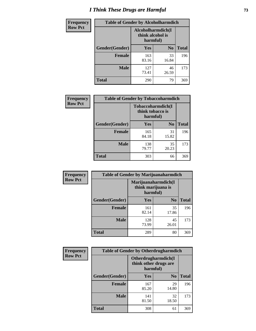# *I Think These Drugs are Harmful* **73**

| <b>Frequency</b> | <b>Table of Gender by Alcoholharmdich</b> |                                                   |                |              |
|------------------|-------------------------------------------|---------------------------------------------------|----------------|--------------|
| <b>Row Pct</b>   |                                           | Alcoholharmdich(I<br>think alcohol is<br>harmful) |                |              |
|                  | Gender(Gender)                            | Yes                                               | N <sub>0</sub> | <b>Total</b> |
|                  | <b>Female</b>                             | 163<br>83.16                                      | 33<br>16.84    | 196          |
|                  | <b>Male</b>                               | 127<br>73.41                                      | 46<br>26.59    | 173          |
|                  | Total                                     | 290                                               | 79             | 369          |

| Frequency      | <b>Table of Gender by Tobaccoharmdich</b> |                                                   |                |              |
|----------------|-------------------------------------------|---------------------------------------------------|----------------|--------------|
| <b>Row Pct</b> |                                           | Tobaccoharmdich(I<br>think tobacco is<br>harmful) |                |              |
|                | Gender(Gender)                            | <b>Yes</b>                                        | N <sub>0</sub> | <b>Total</b> |
|                | <b>Female</b>                             | 165<br>84.18                                      | 31<br>15.82    | 196          |
|                | <b>Male</b>                               | 138<br>79.77                                      | 35<br>20.23    | 173          |
|                | <b>Total</b>                              | 303                                               | 66             | 369          |

| Frequency      | <b>Table of Gender by Marijuanaharmdich</b> |                                                       |                |              |  |
|----------------|---------------------------------------------|-------------------------------------------------------|----------------|--------------|--|
| <b>Row Pct</b> |                                             | Marijuanaharmdich(I<br>think marijuana is<br>harmful) |                |              |  |
|                | Gender(Gender)                              | <b>Yes</b>                                            | N <sub>0</sub> | <b>Total</b> |  |
|                | <b>Female</b>                               | 161<br>82.14                                          | 35<br>17.86    | 196          |  |
|                | <b>Male</b>                                 | 128<br>73.99                                          | 45<br>26.01    | 173          |  |
|                | <b>Total</b>                                | 289                                                   | 80             | 369          |  |

| Frequency      | <b>Table of Gender by Otherdrugharmdich</b> |                                                          |                |              |
|----------------|---------------------------------------------|----------------------------------------------------------|----------------|--------------|
| <b>Row Pct</b> |                                             | Otherdrugharmdich(I<br>think other drugs are<br>harmful) |                |              |
|                | Gender(Gender)                              | <b>Yes</b>                                               | N <sub>0</sub> | <b>Total</b> |
|                | <b>Female</b>                               | 167<br>85.20                                             | 29<br>14.80    | 196          |
|                | <b>Male</b>                                 | 141<br>81.50                                             | 32<br>18.50    | 173          |
|                | <b>Total</b>                                | 308                                                      | 61             | 369          |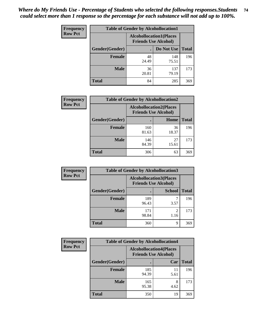| <b>Frequency</b> | <b>Table of Gender by Alcohollocation1</b> |                                                               |              |              |  |
|------------------|--------------------------------------------|---------------------------------------------------------------|--------------|--------------|--|
| <b>Row Pct</b>   |                                            | <b>Alcohollocation1(Places</b><br><b>Friends Use Alcohol)</b> |              |              |  |
|                  | Gender(Gender)                             |                                                               | Do Not Use   | <b>Total</b> |  |
|                  | <b>Female</b>                              | 48<br>24.49                                                   | 148<br>75.51 | 196          |  |
|                  | <b>Male</b>                                | 36<br>20.81                                                   | 137<br>79.19 | 173          |  |
|                  | Total                                      | 84                                                            | 285          | 369          |  |

| <b>Frequency</b> | <b>Table of Gender by Alcohollocation2</b> |                                |                             |              |
|------------------|--------------------------------------------|--------------------------------|-----------------------------|--------------|
| <b>Row Pct</b>   |                                            | <b>Alcohollocation2(Places</b> | <b>Friends Use Alcohol)</b> |              |
|                  | Gender(Gender)                             |                                | Home                        | <b>Total</b> |
|                  | <b>Female</b>                              | 160<br>81.63                   | 36<br>18.37                 | 196          |
|                  | <b>Male</b>                                | 146<br>84.39                   | 27<br>15.61                 | 173          |
|                  | <b>Total</b>                               | 306                            | 63                          | 369          |

| <b>Frequency</b> | <b>Table of Gender by Alcohollocation3</b> |                                                               |                        |              |
|------------------|--------------------------------------------|---------------------------------------------------------------|------------------------|--------------|
| <b>Row Pct</b>   |                                            | <b>Alcohollocation3(Places</b><br><b>Friends Use Alcohol)</b> |                        |              |
|                  | Gender(Gender)                             |                                                               | <b>School</b>          | <b>Total</b> |
|                  | <b>Female</b>                              | 189<br>96.43                                                  | 3.57                   | 196          |
|                  | <b>Male</b>                                | 171<br>98.84                                                  | $\mathfrak{D}$<br>1.16 | 173          |
|                  | <b>Total</b>                               | 360                                                           | q                      | 369          |

| Frequency      | <b>Table of Gender by Alcohollocation4</b> |              |                                                               |              |
|----------------|--------------------------------------------|--------------|---------------------------------------------------------------|--------------|
| <b>Row Pct</b> |                                            |              | <b>Alcohollocation4(Places</b><br><b>Friends Use Alcohol)</b> |              |
|                | Gender(Gender)                             |              | Car                                                           | <b>Total</b> |
|                | <b>Female</b>                              | 185<br>94.39 | 11<br>5.61                                                    | 196          |
|                | <b>Male</b>                                | 165<br>95.38 | 8<br>4.62                                                     | 173          |
|                | <b>Total</b>                               | 350          | 19                                                            | 369          |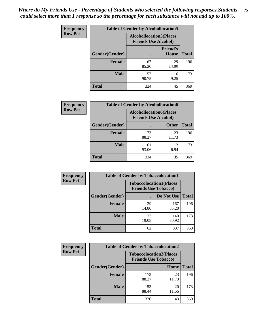| <b>Frequency</b> | <b>Table of Gender by Alcohollocation5</b> |                                                                |                                 |              |
|------------------|--------------------------------------------|----------------------------------------------------------------|---------------------------------|--------------|
| <b>Row Pct</b>   |                                            | <b>Alcohollocation5</b> (Places<br><b>Friends Use Alcohol)</b> |                                 |              |
|                  | Gender(Gender)                             |                                                                | <b>Friend's</b><br><b>House</b> | <b>Total</b> |
|                  | <b>Female</b>                              | 167<br>85.20                                                   | 29<br>14.80                     | 196          |
|                  | <b>Male</b>                                | 157<br>90.75                                                   | 16<br>9.25                      | 173          |
|                  | <b>Total</b>                               | 324                                                            | 45                              | 369          |

| Frequency      | <b>Table of Gender by Alcohollocation6</b> |                                                               |              |              |  |
|----------------|--------------------------------------------|---------------------------------------------------------------|--------------|--------------|--|
| <b>Row Pct</b> |                                            | <b>Alcohollocation6(Places</b><br><b>Friends Use Alcohol)</b> |              |              |  |
|                | <b>Gender</b> (Gender)                     |                                                               | <b>Other</b> | <b>Total</b> |  |
|                | <b>Female</b>                              | 173<br>88.27                                                  | 23<br>11.73  | 196          |  |
|                | <b>Male</b>                                | 161<br>93.06                                                  | 12<br>6.94   | 173          |  |
|                | <b>Total</b>                               | 334                                                           | 35           | 369          |  |

| Frequency      | <b>Table of Gender by Tobaccolocation1</b> |                                                               |              |              |  |
|----------------|--------------------------------------------|---------------------------------------------------------------|--------------|--------------|--|
| <b>Row Pct</b> |                                            | <b>Tobaccolocation1(Places</b><br><b>Friends Use Tobacco)</b> |              |              |  |
|                | Gender(Gender)                             |                                                               | Do Not Use   | <b>Total</b> |  |
|                | Female                                     | 29<br>14.80                                                   | 167<br>85.20 | 196          |  |
|                | <b>Male</b>                                | 33<br>19.08                                                   | 140<br>80.92 | 173          |  |
|                | <b>Total</b>                               | 62                                                            | 307          | 369          |  |

| <b>Frequency</b> | <b>Table of Gender by Tobaccolocation2</b> |                                                               |             |              |
|------------------|--------------------------------------------|---------------------------------------------------------------|-------------|--------------|
| <b>Row Pct</b>   |                                            | <b>Tobaccolocation2(Places</b><br><b>Friends Use Tobacco)</b> |             |              |
|                  | Gender(Gender)                             |                                                               | Home        | <b>Total</b> |
|                  | Female                                     | 173<br>88.27                                                  | 23<br>11.73 | 196          |
|                  | <b>Male</b>                                | 153<br>88.44                                                  | 20<br>11.56 | 173          |
|                  | <b>Total</b>                               | 326                                                           | 43          | 369          |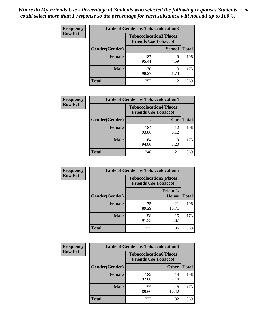| <b>Frequency</b> | <b>Table of Gender by Tobaccolocation3</b> |                                |                             |              |
|------------------|--------------------------------------------|--------------------------------|-----------------------------|--------------|
| <b>Row Pct</b>   |                                            | <b>Tobaccolocation3(Places</b> | <b>Friends Use Tobacco)</b> |              |
|                  | Gender(Gender)                             |                                | <b>School</b>               | <b>Total</b> |
|                  | <b>Female</b>                              | 187<br>95.41                   | q<br>4.59                   | 196          |
|                  | <b>Male</b>                                | 170<br>98.27                   | 3<br>1.73                   | 173          |
|                  | <b>Total</b>                               | 357                            | 12                          | 369          |

| <b>Frequency</b> | <b>Table of Gender by Tobaccolocation4</b> |                                                               |            |              |
|------------------|--------------------------------------------|---------------------------------------------------------------|------------|--------------|
| <b>Row Pct</b>   |                                            | <b>Tobaccolocation4(Places</b><br><b>Friends Use Tobacco)</b> |            |              |
|                  | Gender(Gender)                             |                                                               | Car        | <b>Total</b> |
|                  | <b>Female</b>                              | 184<br>93.88                                                  | 12<br>6.12 | 196          |
|                  | <b>Male</b>                                | 164<br>94.80                                                  | q<br>5.20  | 173          |
|                  | <b>Total</b>                               | 348                                                           | 21         | 369          |

| <b>Frequency</b> | <b>Table of Gender by Tobaccolocation5</b> |                                                               |                                 |              |
|------------------|--------------------------------------------|---------------------------------------------------------------|---------------------------------|--------------|
| <b>Row Pct</b>   |                                            | <b>Tobaccolocation5(Places</b><br><b>Friends Use Tobacco)</b> |                                 |              |
|                  | Gender(Gender)                             |                                                               | <b>Friend's</b><br><b>House</b> | <b>Total</b> |
|                  | <b>Female</b>                              | 175<br>89.29                                                  | 21<br>10.71                     | 196          |
|                  | <b>Male</b>                                | 158<br>91.33                                                  | 15<br>8.67                      | 173          |
|                  | <b>Total</b>                               | 333                                                           | 36                              | 369          |

| <b>Frequency</b> | <b>Table of Gender by Tobaccolocation6</b> |                                                               |              |              |
|------------------|--------------------------------------------|---------------------------------------------------------------|--------------|--------------|
| <b>Row Pct</b>   |                                            | <b>Tobaccolocation6(Places</b><br><b>Friends Use Tobacco)</b> |              |              |
|                  | Gender(Gender)                             |                                                               | <b>Other</b> | <b>Total</b> |
|                  | Female                                     | 182<br>92.86                                                  | 14<br>7.14   | 196          |
|                  | <b>Male</b>                                | 155<br>89.60                                                  | 18<br>10.40  | 173          |
|                  | <b>Total</b>                               | 337                                                           | 32           | 369          |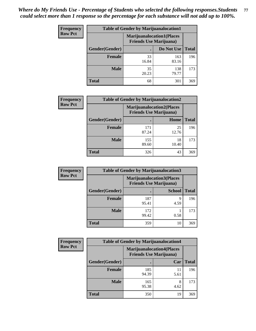| <b>Frequency</b> | <b>Table of Gender by Marijuanalocation1</b> |                                                                    |              |              |  |
|------------------|----------------------------------------------|--------------------------------------------------------------------|--------------|--------------|--|
| <b>Row Pct</b>   |                                              | <b>Marijuanalocation1(Places</b><br><b>Friends Use Marijuana</b> ) |              |              |  |
|                  | Gender(Gender)                               |                                                                    | Do Not Use   | <b>Total</b> |  |
|                  | <b>Female</b>                                | 33<br>16.84                                                        | 163<br>83.16 | 196          |  |
|                  | <b>Male</b>                                  | 35<br>20.23                                                        | 138<br>79.77 | 173          |  |
|                  | <b>Total</b>                                 | 68                                                                 | 301          | 369          |  |

| <b>Frequency</b> | <b>Table of Gender by Marijuanalocation2</b> |                                                                    |             |              |
|------------------|----------------------------------------------|--------------------------------------------------------------------|-------------|--------------|
| <b>Row Pct</b>   |                                              | <b>Marijuanalocation2(Places</b><br><b>Friends Use Marijuana</b> ) |             |              |
|                  | Gender(Gender)                               |                                                                    | Home        | <b>Total</b> |
|                  | <b>Female</b>                                | 171<br>87.24                                                       | 25<br>12.76 | 196          |
|                  | <b>Male</b>                                  | 155<br>89.60                                                       | 18<br>10.40 | 173          |
|                  | <b>Total</b>                                 | 326                                                                | 43          | 369          |

| Frequency      |                | <b>Table of Gender by Marijuanalocation3</b> |                                                                     |              |
|----------------|----------------|----------------------------------------------|---------------------------------------------------------------------|--------------|
| <b>Row Pct</b> |                |                                              | <b>Marijuanalocation3(Places)</b><br><b>Friends Use Marijuana</b> ) |              |
|                | Gender(Gender) |                                              | <b>School</b>                                                       | <b>Total</b> |
|                | Female         | 187<br>95.41                                 | q<br>4.59                                                           | 196          |
|                | <b>Male</b>    | 172<br>99.42                                 | 0.58                                                                | 173          |
|                | <b>Total</b>   | 359                                          | 10                                                                  | 369          |

| <b>Frequency</b> | <b>Table of Gender by Marijuanalocation4</b> |              |                                                                    |              |
|------------------|----------------------------------------------|--------------|--------------------------------------------------------------------|--------------|
| <b>Row Pct</b>   |                                              |              | <b>Marijuanalocation4(Places</b><br><b>Friends Use Marijuana</b> ) |              |
|                  | Gender(Gender)                               |              | Car                                                                | <b>Total</b> |
|                  | Female                                       | 185<br>94.39 | 11<br>5.61                                                         | 196          |
|                  | <b>Male</b>                                  | 165<br>95.38 | 8<br>4.62                                                          | 173          |
|                  | <b>Total</b>                                 | 350          | 19                                                                 | 369          |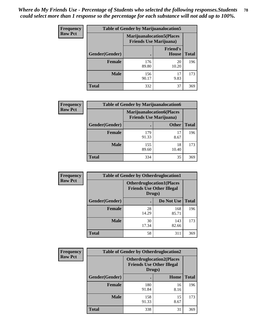| <b>Frequency</b> | <b>Table of Gender by Marijuanalocation5</b> |                                                                    |                                 |              |
|------------------|----------------------------------------------|--------------------------------------------------------------------|---------------------------------|--------------|
| <b>Row Pct</b>   |                                              | <b>Marijuanalocation5(Places</b><br><b>Friends Use Marijuana</b> ) |                                 |              |
|                  | <b>Gender(Gender)</b>                        |                                                                    | <b>Friend's</b><br><b>House</b> | <b>Total</b> |
|                  | <b>Female</b>                                | 176<br>89.80                                                       | 20<br>10.20                     | 196          |
|                  | <b>Male</b>                                  | 156<br>90.17                                                       | 17<br>9.83                      | 173          |
|                  | <b>Total</b>                                 | 332                                                                | 37                              | 369          |

| <b>Frequency</b> | <b>Table of Gender by Marijuanalocation6</b> |              |                                                                     |              |
|------------------|----------------------------------------------|--------------|---------------------------------------------------------------------|--------------|
| <b>Row Pct</b>   |                                              |              | <b>Marijuanalocation6(Places)</b><br><b>Friends Use Marijuana</b> ) |              |
|                  | Gender(Gender)                               |              | <b>Other</b>                                                        | <b>Total</b> |
|                  | <b>Female</b>                                | 179<br>91.33 | 17<br>8.67                                                          | 196          |
|                  | <b>Male</b>                                  | 155<br>89.60 | 18<br>10.40                                                         | 173          |
|                  | <b>Total</b>                                 | 334          | 35                                                                  | 369          |

| <b>Frequency</b> | <b>Table of Gender by Otherdruglocation1</b> |                                                                                |              |              |
|------------------|----------------------------------------------|--------------------------------------------------------------------------------|--------------|--------------|
| <b>Row Pct</b>   |                                              | <b>Otherdruglocation1(Places</b><br><b>Friends Use Other Illegal</b><br>Drugs) |              |              |
|                  | Gender(Gender)                               |                                                                                | Do Not Use   | <b>Total</b> |
|                  | <b>Female</b>                                | 28<br>14.29                                                                    | 168<br>85.71 | 196          |
|                  | <b>Male</b>                                  | 30<br>17.34                                                                    | 143<br>82.66 | 173          |
|                  | <b>Total</b>                                 | 58                                                                             | 311          | 369          |

| Frequency      | <b>Table of Gender by Otherdruglocation2</b> |                                                                                |            |              |
|----------------|----------------------------------------------|--------------------------------------------------------------------------------|------------|--------------|
| <b>Row Pct</b> |                                              | <b>Otherdruglocation2(Places</b><br><b>Friends Use Other Illegal</b><br>Drugs) |            |              |
|                | Gender(Gender)                               |                                                                                | Home       | <b>Total</b> |
|                | <b>Female</b>                                | 180<br>91.84                                                                   | 16<br>8.16 | 196          |
|                | <b>Male</b>                                  | 158<br>91.33                                                                   | 15<br>8.67 | 173          |
|                | <b>Total</b>                                 | 338                                                                            | 31         | 369          |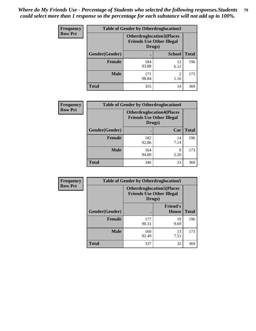| Frequency      | <b>Table of Gender by Otherdruglocation3</b> |                                                                                |                        |              |
|----------------|----------------------------------------------|--------------------------------------------------------------------------------|------------------------|--------------|
| <b>Row Pct</b> |                                              | <b>Otherdruglocation3(Places</b><br><b>Friends Use Other Illegal</b><br>Drugs) |                        |              |
|                | Gender(Gender)                               |                                                                                | <b>School</b>          | <b>Total</b> |
|                | <b>Female</b>                                | 184<br>93.88                                                                   | 12<br>6.12             | 196          |
|                | <b>Male</b>                                  | 171<br>98.84                                                                   | $\mathfrak{D}$<br>1.16 | 173          |
|                | <b>Total</b>                                 | 355                                                                            | 14                     | 369          |

| Frequency      | <b>Table of Gender by Otherdruglocation4</b> |                                            |                                  |              |
|----------------|----------------------------------------------|--------------------------------------------|----------------------------------|--------------|
| <b>Row Pct</b> |                                              | <b>Friends Use Other Illegal</b><br>Drugs) | <b>Otherdruglocation4(Places</b> |              |
|                | Gender(Gender)                               |                                            | Car                              | <b>Total</b> |
|                | <b>Female</b>                                | 182<br>92.86                               | 14<br>7.14                       | 196          |
|                | <b>Male</b>                                  | 164<br>94.80                               | 9<br>5.20                        | 173          |
|                | <b>Total</b>                                 | 346                                        | 23                               | 369          |

| <b>Frequency</b> |                | <b>Table of Gender by Otherdruglocation5</b> |                                                                      |              |
|------------------|----------------|----------------------------------------------|----------------------------------------------------------------------|--------------|
| <b>Row Pct</b>   |                | Drugs)                                       | <b>Otherdruglocation5(Places</b><br><b>Friends Use Other Illegal</b> |              |
|                  | Gender(Gender) |                                              | <b>Friend's</b><br>House                                             | <b>Total</b> |
|                  | <b>Female</b>  | 177<br>90.31                                 | 19<br>9.69                                                           | 196          |
|                  | <b>Male</b>    | 160<br>92.49                                 | 13<br>7.51                                                           | 173          |
|                  | <b>Total</b>   | 337                                          | 32                                                                   | 369          |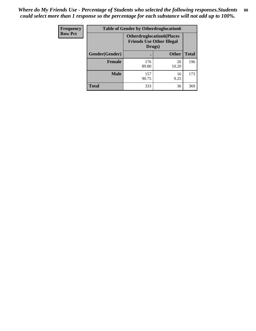| Frequency      | <b>Table of Gender by Otherdruglocation6</b> |                                                                                |              |              |
|----------------|----------------------------------------------|--------------------------------------------------------------------------------|--------------|--------------|
| <b>Row Pct</b> |                                              | <b>Otherdruglocation6(Places</b><br><b>Friends Use Other Illegal</b><br>Drugs) |              |              |
|                | Gender(Gender)                               |                                                                                | <b>Other</b> | <b>Total</b> |
|                | <b>Female</b>                                | 176<br>89.80                                                                   | 20<br>10.20  | 196          |
|                | <b>Male</b>                                  | 157<br>90.75                                                                   | 16<br>9.25   | 173          |
|                | <b>Total</b>                                 | 333                                                                            | 36           | 369          |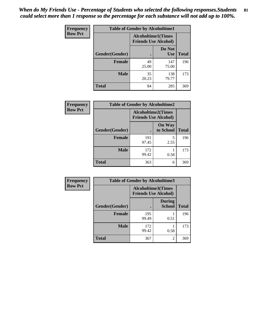| Frequency      | <b>Table of Gender by Alcoholtime1</b> |                                                          |                      |              |
|----------------|----------------------------------------|----------------------------------------------------------|----------------------|--------------|
| <b>Row Pct</b> |                                        | <b>Alcoholtime1(Times</b><br><b>Friends Use Alcohol)</b> |                      |              |
|                | Gender(Gender)                         | $\bullet$                                                | Do Not<br><b>Use</b> | <b>Total</b> |
|                | <b>Female</b>                          | 49<br>25.00                                              | 147<br>75.00         | 196          |
|                | <b>Male</b>                            | 35<br>20.23                                              | 138<br>79.77         | 173          |
|                | <b>Total</b>                           | 84                                                       | 285                  | 369          |

| Frequency      | <b>Table of Gender by Alcoholtime2</b> |                                                          |                            |              |
|----------------|----------------------------------------|----------------------------------------------------------|----------------------------|--------------|
| <b>Row Pct</b> |                                        | <b>Alcoholtime2(Times</b><br><b>Friends Use Alcohol)</b> |                            |              |
|                | Gender(Gender)                         |                                                          | <b>On Way</b><br>to School | <b>Total</b> |
|                | <b>Female</b>                          | 191<br>97.45                                             | 5<br>2.55                  | 196          |
|                | <b>Male</b>                            | 172<br>99.42                                             | 0.58                       | 173          |
|                | <b>Total</b>                           | 363                                                      | 6                          | 369          |

| Frequency      | <b>Table of Gender by Alcoholtime3</b> |                                                          |                                |              |
|----------------|----------------------------------------|----------------------------------------------------------|--------------------------------|--------------|
| <b>Row Pct</b> |                                        | <b>Alcoholtime3(Times</b><br><b>Friends Use Alcohol)</b> |                                |              |
|                | Gender(Gender)                         |                                                          | <b>During</b><br><b>School</b> | <b>Total</b> |
|                | <b>Female</b>                          | 195<br>99.49                                             | 0.51                           | 196          |
|                | <b>Male</b>                            | 172<br>99.42                                             | 0.58                           | 173          |
|                | <b>Total</b>                           | 367                                                      | 2                              | 369          |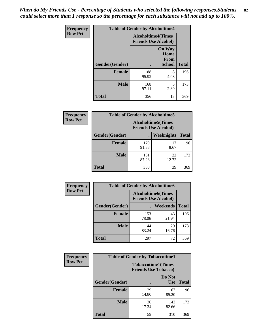*When do My Friends Use - Percentage of Students who selected the following responses.Students could select more than 1 response so the percentage for each substance will not add up to 100%.* **82**

| <b>Frequency</b> | <b>Table of Gender by Alcoholtime4</b> |                                                          |                                                |              |
|------------------|----------------------------------------|----------------------------------------------------------|------------------------------------------------|--------------|
| <b>Row Pct</b>   |                                        | <b>Alcoholtime4(Times</b><br><b>Friends Use Alcohol)</b> |                                                |              |
|                  | Gender(Gender)                         |                                                          | <b>On Way</b><br>Home<br>From<br><b>School</b> | <b>Total</b> |
|                  | <b>Female</b>                          | 188<br>95.92                                             | 8<br>4.08                                      | 196          |
|                  | <b>Male</b>                            | 168<br>97.11                                             | 5<br>2.89                                      | 173          |
|                  | <b>Total</b>                           | 356                                                      | 13                                             | 369          |

| <b>Frequency</b> | <b>Table of Gender by Alcoholtime5</b> |                                                           |             |              |
|------------------|----------------------------------------|-----------------------------------------------------------|-------------|--------------|
| <b>Row Pct</b>   |                                        | <b>Alcoholtime5</b> (Times<br><b>Friends Use Alcohol)</b> |             |              |
|                  | Gender(Gender)                         |                                                           | Weeknights  | <b>Total</b> |
|                  | <b>Female</b>                          | 179<br>91.33                                              | 17<br>8.67  | 196          |
|                  | <b>Male</b>                            | 151<br>87.28                                              | 22<br>12.72 | 173          |
|                  | <b>Total</b>                           | 330                                                       | 39          | 369          |

| <b>Frequency</b> | <b>Table of Gender by Alcoholtime6</b> |              |                                                          |              |
|------------------|----------------------------------------|--------------|----------------------------------------------------------|--------------|
| <b>Row Pct</b>   |                                        |              | <b>Alcoholtime6(Times</b><br><b>Friends Use Alcohol)</b> |              |
|                  | Gender(Gender)                         |              | Weekends                                                 | <b>Total</b> |
|                  | Female                                 | 153<br>78.06 | 43<br>21.94                                              | 196          |
|                  | <b>Male</b>                            | 144<br>83.24 | 29<br>16.76                                              | 173          |
|                  | <b>Total</b>                           | 297          | 72                                                       | 369          |

| Frequency      | <b>Table of Gender by Tobaccotime1</b> |                                                          |                      |              |
|----------------|----------------------------------------|----------------------------------------------------------|----------------------|--------------|
| <b>Row Pct</b> |                                        | <b>Tobaccotime1(Times</b><br><b>Friends Use Tobacco)</b> |                      |              |
|                | Gender(Gender)                         |                                                          | Do Not<br><b>Use</b> | <b>Total</b> |
|                | <b>Female</b>                          | 29<br>14.80                                              | 167<br>85.20         | 196          |
|                | <b>Male</b>                            | 30<br>17.34                                              | 143<br>82.66         | 173          |
|                | <b>Total</b>                           | 59                                                       | 310                  | 369          |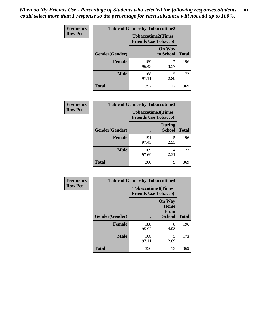*When do My Friends Use - Percentage of Students who selected the following responses.Students could select more than 1 response so the percentage for each substance will not add up to 100%.* **83**

| <b>Frequency</b> | <b>Table of Gender by Tobaccotime2</b> |                                                          |                            |              |
|------------------|----------------------------------------|----------------------------------------------------------|----------------------------|--------------|
| <b>Row Pct</b>   |                                        | <b>Tobaccotime2(Times</b><br><b>Friends Use Tobacco)</b> |                            |              |
|                  | Gender(Gender)                         | $\bullet$                                                | <b>On Way</b><br>to School | <b>Total</b> |
|                  | Female                                 | 189<br>96.43                                             | 3.57                       | 196          |
|                  | <b>Male</b>                            | 168<br>97.11                                             | 5<br>2.89                  | 173          |
|                  | <b>Total</b>                           | 357                                                      | 12                         | 369          |

| <b>Frequency</b> | <b>Table of Gender by Tobaccotime3</b> |                                                          |                                |              |
|------------------|----------------------------------------|----------------------------------------------------------|--------------------------------|--------------|
| <b>Row Pct</b>   |                                        | <b>Tobaccotime3(Times</b><br><b>Friends Use Tobacco)</b> |                                |              |
|                  | Gender(Gender)                         |                                                          | <b>During</b><br><b>School</b> | <b>Total</b> |
|                  | <b>Female</b>                          | 191<br>97.45                                             | 5<br>2.55                      | 196          |
|                  | <b>Male</b>                            | 169<br>97.69                                             | 4<br>2.31                      | 173          |
|                  | <b>Total</b>                           | 360                                                      | 9                              | 369          |

| <b>Frequency</b> | <b>Table of Gender by Tobaccotime4</b> |                                                          |                                                |              |
|------------------|----------------------------------------|----------------------------------------------------------|------------------------------------------------|--------------|
| <b>Row Pct</b>   |                                        | <b>Tobaccotime4(Times</b><br><b>Friends Use Tobacco)</b> |                                                |              |
|                  | Gender(Gender)                         |                                                          | <b>On Way</b><br>Home<br>From<br><b>School</b> | <b>Total</b> |
|                  | <b>Female</b>                          | 188<br>95.92                                             | 8<br>4.08                                      | 196          |
|                  | <b>Male</b>                            | 168<br>97.11                                             | 5<br>2.89                                      | 173          |
|                  | <b>Total</b>                           | 356                                                      | 13                                             | 369          |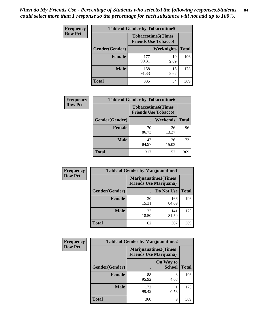| <b>Frequency</b> | <b>Table of Gender by Tobaccotime5</b> |                                                          |                   |              |  |
|------------------|----------------------------------------|----------------------------------------------------------|-------------------|--------------|--|
| <b>Row Pct</b>   |                                        | <b>Tobaccotime5(Times</b><br><b>Friends Use Tobacco)</b> |                   |              |  |
|                  | <b>Gender</b> (Gender)                 |                                                          | <b>Weeknights</b> | <b>Total</b> |  |
|                  | <b>Female</b>                          | 177<br>90.31                                             | 19<br>9.69        | 196          |  |
|                  | <b>Male</b>                            | 158<br>91.33                                             | 15<br>8.67        | 173          |  |
|                  | <b>Total</b>                           | 335                                                      | 34                | 369          |  |

| <b>Frequency</b> | <b>Table of Gender by Tobaccotime6</b> |                                                          |             |              |
|------------------|----------------------------------------|----------------------------------------------------------|-------------|--------------|
| <b>Row Pct</b>   |                                        | <b>Tobaccotime6(Times</b><br><b>Friends Use Tobacco)</b> |             |              |
|                  | Gender(Gender)                         |                                                          | Weekends    | <b>Total</b> |
|                  | Female                                 | 170<br>86.73                                             | 26<br>13.27 | 196          |
|                  | <b>Male</b>                            | 147<br>84.97                                             | 26<br>15.03 | 173          |
|                  | <b>Total</b>                           | 317                                                      | 52          | 369          |

| Frequency      | <b>Table of Gender by Marijuanatime1</b>               |             |              |              |
|----------------|--------------------------------------------------------|-------------|--------------|--------------|
| <b>Row Pct</b> | Marijuanatime1(Times<br><b>Friends Use Marijuana</b> ) |             |              |              |
|                | Gender(Gender)                                         |             | Do Not Use   | <b>Total</b> |
|                | <b>Female</b>                                          | 30<br>15.31 | 166<br>84.69 | 196          |
|                | <b>Male</b>                                            | 32<br>18.50 | 141<br>81.50 | 173          |
|                | <b>Total</b>                                           | 62          | 307          | 369          |

| <b>Frequency</b> | <b>Table of Gender by Marijuanatime2</b> |                                |                             |              |
|------------------|------------------------------------------|--------------------------------|-----------------------------|--------------|
| <b>Row Pct</b>   |                                          | <b>Friends Use Marijuana</b> ) | <b>Marijuanatime2(Times</b> |              |
|                  | Gender(Gender)                           |                                | On Way to<br><b>School</b>  | <b>Total</b> |
|                  | <b>Female</b>                            | 188<br>95.92                   | 8<br>4.08                   | 196          |
|                  | <b>Male</b>                              | 172<br>99.42                   | 0.58                        | 173          |
|                  | <b>Total</b>                             | 360                            | 9                           | 369          |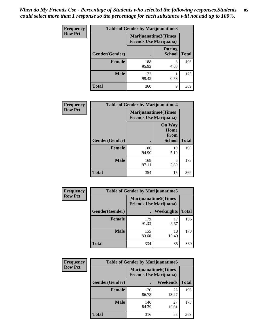| Frequency      | <b>Table of Gender by Marijuanatime3</b> |                                                        |                                |              |
|----------------|------------------------------------------|--------------------------------------------------------|--------------------------------|--------------|
| <b>Row Pct</b> |                                          | Marijuanatime3(Times<br><b>Friends Use Marijuana</b> ) |                                |              |
|                | Gender(Gender)                           |                                                        | <b>During</b><br><b>School</b> | <b>Total</b> |
|                | <b>Female</b>                            | 188<br>95.92                                           | 8<br>4.08                      | 196          |
|                | <b>Male</b>                              | 172<br>99.42                                           | 0.58                           | 173          |
|                | <b>Total</b>                             | 360                                                    | 9                              | 369          |

| <b>Frequency</b> | <b>Table of Gender by Marijuanatime4</b> |              |                                                               |              |
|------------------|------------------------------------------|--------------|---------------------------------------------------------------|--------------|
| <b>Row Pct</b>   |                                          |              | <b>Marijuanatime4(Times</b><br><b>Friends Use Marijuana</b> ) |              |
|                  |                                          |              | <b>On Way</b><br>Home<br><b>From</b>                          |              |
|                  | Gender(Gender)                           |              | School                                                        | <b>Total</b> |
|                  | <b>Female</b>                            | 186<br>94.90 | 10<br>5.10                                                    | 196          |
|                  | <b>Male</b>                              | 168<br>97.11 | 5<br>2.89                                                     | 173          |
|                  | <b>Total</b>                             | 354          | 15                                                            | 369          |

| Frequency      | <b>Table of Gender by Marijuanatime5</b> |              |                                                                |              |
|----------------|------------------------------------------|--------------|----------------------------------------------------------------|--------------|
| <b>Row Pct</b> |                                          |              | <b>Marijuanatime5</b> (Times<br><b>Friends Use Marijuana</b> ) |              |
|                | Gender(Gender)                           |              | Weeknights                                                     | <b>Total</b> |
|                | <b>Female</b>                            | 179<br>91.33 | 17<br>8.67                                                     | 196          |
|                | <b>Male</b>                              | 155<br>89.60 | 18<br>10.40                                                    | 173          |
|                | <b>Total</b>                             | 334          | 35                                                             | 369          |

| Frequency      | <b>Table of Gender by Marijuanatime6</b> |                                                                |                 |              |
|----------------|------------------------------------------|----------------------------------------------------------------|-----------------|--------------|
| <b>Row Pct</b> |                                          | <b>Marijuanatime6</b> (Times<br><b>Friends Use Marijuana</b> ) |                 |              |
|                | Gender(Gender)                           |                                                                | <b>Weekends</b> | <b>Total</b> |
|                | <b>Female</b>                            | 170<br>86.73                                                   | 26<br>13.27     | 196          |
|                | <b>Male</b>                              | 146<br>84.39                                                   | 27<br>15.61     | 173          |
|                | <b>Total</b>                             | 316                                                            | 53              | 369          |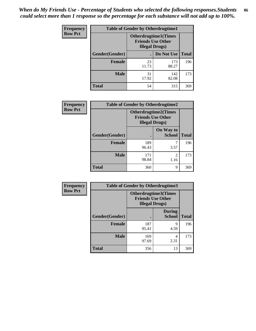*When do My Friends Use - Percentage of Students who selected the following responses.Students could select more than 1 response so the percentage for each substance will not add up to 100%.* **86**

| <b>Frequency</b> | <b>Table of Gender by Otherdrugtime1</b> |                                                    |                             |     |
|------------------|------------------------------------------|----------------------------------------------------|-----------------------------|-----|
| <b>Row Pct</b>   |                                          | <b>Friends Use Other</b><br><b>Illegal Drugs</b> ) | <b>Otherdrugtime1(Times</b> |     |
|                  | Gender(Gender)                           |                                                    | Do Not Use   Total          |     |
|                  | <b>Female</b>                            | 23<br>11.73                                        | 173<br>88.27                | 196 |
|                  | Male                                     | 31<br>17.92                                        | 142<br>82.08                | 173 |
|                  | <b>Total</b>                             | 54                                                 | 315                         | 369 |

| Frequency      |                | <b>Table of Gender by Otherdrugtime2</b>                                          |                            |              |
|----------------|----------------|-----------------------------------------------------------------------------------|----------------------------|--------------|
| <b>Row Pct</b> |                | <b>Otherdrugtime2(Times</b><br><b>Friends Use Other</b><br><b>Illegal Drugs</b> ) |                            |              |
|                | Gender(Gender) |                                                                                   | On Way to<br><b>School</b> | <b>Total</b> |
|                | <b>Female</b>  | 189<br>96.43                                                                      | 3.57                       | 196          |
|                | <b>Male</b>    | 171<br>98.84                                                                      | 2<br>1.16                  | 173          |
|                | <b>Total</b>   | 360                                                                               | 9                          | 369          |

| Frequency      | <b>Table of Gender by Otherdrugtime3</b> |                                                                                  |                                |              |  |
|----------------|------------------------------------------|----------------------------------------------------------------------------------|--------------------------------|--------------|--|
| <b>Row Pct</b> |                                          | <b>Otherdrugtime3(Times</b><br><b>Friends Use Other</b><br><b>Illegal Drugs)</b> |                                |              |  |
|                | Gender(Gender)                           |                                                                                  | <b>During</b><br><b>School</b> | <b>Total</b> |  |
|                | <b>Female</b>                            | 187<br>95.41                                                                     | 9<br>4.59                      | 196          |  |
|                | <b>Male</b>                              | 169<br>97.69                                                                     | 4<br>2.31                      | 173          |  |
|                | <b>Total</b>                             | 356                                                                              | 13                             | 369          |  |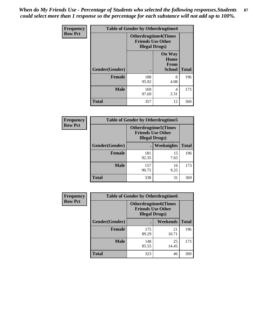*When do My Friends Use - Percentage of Students who selected the following responses.Students could select more than 1 response so the percentage for each substance will not add up to 100%.* **87**

| Frequency      | <b>Table of Gender by Otherdrugtime4</b> |                        |                                                         |              |
|----------------|------------------------------------------|------------------------|---------------------------------------------------------|--------------|
| <b>Row Pct</b> |                                          | <b>Illegal Drugs</b> ) | <b>Otherdrugtime4(Times</b><br><b>Friends Use Other</b> |              |
|                | Gender(Gender)                           |                        | <b>On Way</b><br>Home<br><b>From</b><br><b>School</b>   | <b>Total</b> |
|                | <b>Female</b>                            | 188<br>95.92           | 8<br>4.08                                               | 196          |
|                | <b>Male</b>                              | 169<br>97.69           | 4<br>2.31                                               | 173          |
|                | <b>Total</b>                             | 357                    | 12                                                      | 369          |

| <b>Frequency</b> | <b>Table of Gender by Otherdrugtime5</b> |                                                                                    |            |              |  |
|------------------|------------------------------------------|------------------------------------------------------------------------------------|------------|--------------|--|
| <b>Row Pct</b>   |                                          | <b>Otherdrugtime5</b> (Times<br><b>Friends Use Other</b><br><b>Illegal Drugs</b> ) |            |              |  |
|                  | Gender(Gender)                           |                                                                                    | Weeknights | <b>Total</b> |  |
|                  | <b>Female</b>                            | 181<br>92.35                                                                       | 15<br>7.65 | 196          |  |
|                  | <b>Male</b>                              | 157<br>90.75                                                                       | 16<br>9.25 | 173          |  |
|                  | <b>Total</b>                             | 338                                                                                | 31         | 369          |  |

| <b>Frequency</b> |                | <b>Table of Gender by Otherdrugtime6</b>                                          |             |              |  |
|------------------|----------------|-----------------------------------------------------------------------------------|-------------|--------------|--|
| <b>Row Pct</b>   |                | <b>Otherdrugtime6(Times</b><br><b>Friends Use Other</b><br><b>Illegal Drugs</b> ) |             |              |  |
|                  | Gender(Gender) |                                                                                   | Weekends    | <b>Total</b> |  |
|                  | <b>Female</b>  | 175<br>89.29                                                                      | 21<br>10.71 | 196          |  |
|                  | <b>Male</b>    | 148<br>85.55                                                                      | 25<br>14.45 | 173          |  |
|                  | <b>Total</b>   | 323                                                                               | 46          | 369          |  |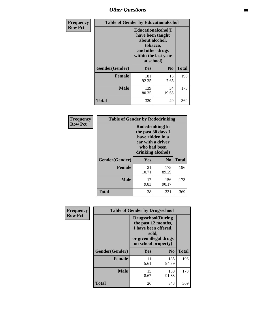## *Other Questions* **88**

| <b>Frequency</b> | <b>Table of Gender by Educationalcohol</b> |                                                                                                                                       |                |              |
|------------------|--------------------------------------------|---------------------------------------------------------------------------------------------------------------------------------------|----------------|--------------|
| <b>Row Pct</b>   |                                            | <b>Educationalcohol</b> (I<br>have been taught<br>about alcohol,<br>tobacco,<br>and other drugs<br>within the last year<br>at school) |                |              |
|                  | Gender(Gender)                             | <b>Yes</b>                                                                                                                            | N <sub>0</sub> | <b>Total</b> |
|                  | <b>Female</b>                              | 181<br>92.35                                                                                                                          | 15<br>7.65     | 196          |
|                  | <b>Male</b>                                | 139<br>80.35                                                                                                                          | 34<br>19.65    | 173          |
|                  | <b>Total</b>                               | 320                                                                                                                                   | 49             | 369          |

| Frequency      | <b>Table of Gender by Rodedrinking</b> |                                                                                                                     |                |              |
|----------------|----------------------------------------|---------------------------------------------------------------------------------------------------------------------|----------------|--------------|
| <b>Row Pct</b> |                                        | Rodedrinking(In<br>the past 30 days I<br>have ridden in a<br>car with a driver<br>who had been<br>drinking alcohol) |                |              |
|                | Gender(Gender)                         | Yes                                                                                                                 | N <sub>0</sub> | <b>Total</b> |
|                | <b>Female</b>                          | 21<br>10.71                                                                                                         | 175<br>89.29   | 196          |
|                | <b>Male</b>                            | 17<br>9.83                                                                                                          | 156<br>90.17   | 173          |
|                | <b>Total</b>                           | 38                                                                                                                  | 331            | 369          |

| Frequency      |                | <b>Table of Gender by Drugsschool</b>                                                                                               |                |              |
|----------------|----------------|-------------------------------------------------------------------------------------------------------------------------------------|----------------|--------------|
| <b>Row Pct</b> |                | <b>Drugsschool</b> (During<br>the past 12 months,<br>I have been offered,<br>sold,<br>or given illegal drugs<br>on school property) |                |              |
|                | Gender(Gender) | Yes                                                                                                                                 | N <sub>0</sub> | <b>Total</b> |
|                | <b>Female</b>  | 11<br>5.61                                                                                                                          | 185<br>94.39   | 196          |
|                | <b>Male</b>    | 15<br>8.67                                                                                                                          | 158<br>91.33   | 173          |
|                | <b>Total</b>   | 26                                                                                                                                  | 343            | 369          |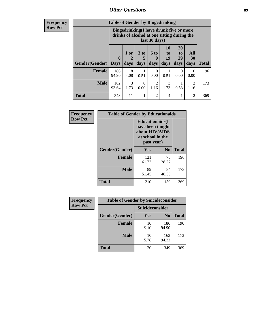## *Other Questions* **89**

**Frequency Row Pct**

| <b>Table of Gender by Bingedrinking</b> |                                                                                                         |              |                   |                   |                        |                               |                          |              |
|-----------------------------------------|---------------------------------------------------------------------------------------------------------|--------------|-------------------|-------------------|------------------------|-------------------------------|--------------------------|--------------|
|                                         | Bingedrinking(I have drunk five or more<br>drinks of alcohol at one sitting during the<br>last 30 days) |              |                   |                   |                        |                               |                          |              |
| <b>Gender</b> (Gender)                  | $\mathbf 0$<br><b>Days</b>                                                                              | 1 or<br>days | 3 to<br>5<br>days | 6 to<br>q<br>days | 10<br>to<br>19<br>days | <b>20</b><br>to<br>29<br>days | All<br><b>30</b><br>days | <b>Total</b> |
| <b>Female</b>                           | 186<br>94.90                                                                                            | 8<br>4.08    | 0.51              | 0<br>0.00         | 0.51                   | 0<br>0.00                     | $\Omega$<br>0.00         | 196          |
| <b>Male</b>                             | 162<br>93.64                                                                                            | 3<br>1.73    | 0<br>0.00         | 2<br>1.16         | 3<br>1.73              | 0.58                          | $\overline{2}$<br>1.16   | 173          |
| <b>Total</b>                            | 348                                                                                                     | 11           | 1                 | $\mathfrak{D}$    | 4                      |                               | $\overline{2}$           | 369          |

| Frequency      | <b>Table of Gender by Educationaids</b> |                                                                                                 |                |              |
|----------------|-----------------------------------------|-------------------------------------------------------------------------------------------------|----------------|--------------|
| <b>Row Pct</b> |                                         | <b>Educationaids</b> (I<br>have been taught<br>about HIV/AIDS<br>at school in the<br>past year) |                |              |
|                | Gender(Gender)                          | Yes                                                                                             | N <sub>0</sub> | <b>Total</b> |
|                | <b>Female</b>                           | 121<br>61.73                                                                                    | 75<br>38.27    | 196          |
|                | <b>Male</b>                             | 89<br>51.45                                                                                     | 84<br>48.55    | 173          |
|                | <b>Total</b>                            | 210                                                                                             | 159            | 369          |

| <b>Frequency</b> | <b>Table of Gender by Suicideconsider</b> |                 |                |              |
|------------------|-------------------------------------------|-----------------|----------------|--------------|
| <b>Row Pct</b>   |                                           | Suicideconsider |                |              |
|                  | Gender(Gender)                            | Yes             | N <sub>0</sub> | <b>Total</b> |
|                  | <b>Female</b>                             | 10<br>5.10      | 186<br>94.90   | 196          |
|                  | <b>Male</b>                               | 10<br>5.78      | 163<br>94.22   | 173          |
|                  | Total                                     | 20              | 349            | 369          |